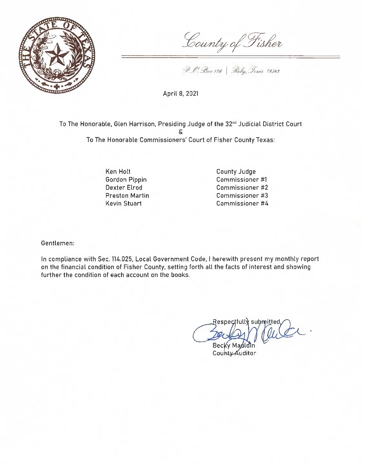

County of Fisher

P. C. Box 126 Roby, Jexas 79548

April 8, 2021

To The Honorable, Glen Harrison, Presiding Judge of the 32<sup>nd</sup> Judicial District Court δ. To The Honorable Commissioners' Court of Fisher County Texas:

> Ken Holt Gordon Pippin Dexter Elrod **Preston Martin** Kevin Stuart

**County Judge** Commissioner #1 Commissioner #2 Commissioner #3 Commissioner #4

Gentlemen:

In compliance with Sec. 114.025, Local Government Code, I herewith present my monthly report on the financial condition of Fisher County, setting forth all the facts of interest and showing further the condition of each account on the books.

 $\sf{Respec}$ full $\setminus$  submitted, que

Becky Mauldin County Auditor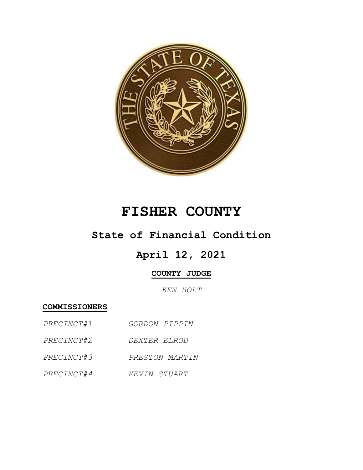

# **FISHER COUNTY**

### **State of Financial Condition**

## **April 12, 2021**

### **COUNTY JUDGE**

*KEN HOLT*

**COMMISSIONERS**

- *PRECINCT#1 GORDON PIPPIN*
- *PRECINCT#2 DEXTER ELROD*
- *PRECINCT#3 PRESTON MARTIN*
- *PRECINCT#4 KEVIN STUART*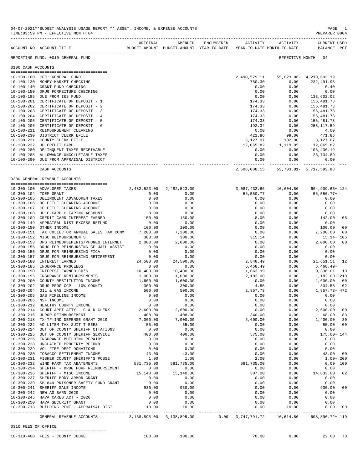|                     | ACCOUNT NO ACCOUNT-TITLE                       | ORIGINAL     | AMENDED<br>BUDGET-AMOUNT BUDGET-AMOUNT YEAR-TO-DATE | ENCUMBERED | ACTIVITY               | ACTIVITY<br>YEAR-TO-DATE MONTH-TO-DATE | CURRENT USED<br>BALANCE PCT |                |
|---------------------|------------------------------------------------|--------------|-----------------------------------------------------|------------|------------------------|----------------------------------------|-----------------------------|----------------|
|                     | REPORTING FUND: 0010 GENERAL FUND              |              |                                                     |            |                        |                                        | EFFECTIVE MONTH - 04        |                |
| 0100 CASH ACCOUNTS  |                                                |              |                                                     |            |                        |                                        |                             |                |
|                     | 10-100-100 CFC: GENERAL FUND                   |              |                                                     |            | 2,490,579.11           |                                        | 55,023.86- 4,210,603.19     |                |
|                     | 10-100-130 MONEY MARKET CHECKING               |              |                                                     |            | 750.30                 | 0.00                                   | 232,491.98                  |                |
|                     | 10-100-140 GRANT FUND CHECKING                 |              |                                                     |            | 0.00                   | 0.00                                   | 0.40                        |                |
|                     | 10-100-150 DRUG FORFEITURE CHECKING            |              |                                                     |            | 0.00                   | 0.00                                   | 0.00                        |                |
|                     | 10-100-185 DUE FROM I&S FUND                   |              |                                                     |            | 0.00                   | 0.00                                   | 133,602.02                  |                |
|                     | 10-100-201 CERTIFICATE OF DEPOSIT - 1          |              |                                                     |            | 174.33                 | 0.00                                   | 156,481.73                  |                |
|                     | 10-100-202 CERTIFICATE OF DEPOSIT - 2          |              |                                                     |            | 174.33                 | 0.00                                   | 156,481.73                  |                |
|                     | 10-100-203 CERTIFICATE OF DEPOSIT - 3          |              |                                                     |            | 174.33                 | 0.00                                   | 156,481.73                  |                |
|                     | 10-100-204 CERTIFICATE OF DEPOSIT - 4          |              |                                                     |            | 174.33                 | 0.00                                   | 156,481.73                  |                |
|                     | 10-100-205 CERTIFICATE OF DEPOSIT - 5          |              |                                                     |            | 174.33                 | 0.00                                   | 156,481.73                  |                |
|                     | 10-100-206 CERTIFICATE OF DEPOSIT - 6          |              |                                                     |            | 192.34                 | 0.00                                   | 258, 117.59                 |                |
|                     | 10-100-211 REIMBURSEMENT CLEARING              |              |                                                     |            | 0.00                   | 0.00                                   | 4.00                        |                |
|                     | 10-100-230 DISTRICT CLERK EFILE                |              |                                                     |            | 421.86                 | 99.00                                  | 471.86                      |                |
|                     | 10-100-231 COUNTY CLERK EFILE                  |              |                                                     |            | 3,127.07               | 102.00                                 | 3,127.07                    |                |
|                     | 10-100-232 JP CREDIT CARD                      |              |                                                     |            | 12,065.82              | 1,119.05                               | 12,065.82                   |                |
|                     | 10-100-280 DELINQUENT TAXES RECEIVABLE         |              |                                                     |            | 0.00                   | 0.00                                   | 108,436.19                  |                |
|                     | 10-100-285 ALLOWANCE-UNCOLLETABLE TAXES        |              |                                                     |            | 0.00                   | 0.00                                   | 23,734.89-                  |                |
|                     | 10-100-290 DUE FROM APPRAISAL DISTRICT         |              |                                                     |            | 0.00                   | 0.00                                   | 0.00                        |                |
|                     | CASH ACCOUNTS                                  |              |                                                     |            |                        | 2,508,008.15 53,703.81 - 5,717,593.88  |                             |                |
|                     |                                                |              |                                                     |            |                        |                                        |                             |                |
|                     | 0300 GENERAL REVENUE ACCOUNTS                  |              |                                                     |            |                        |                                        |                             |                |
|                     | 10-300-100 ADVALOREM TAXES                     | 2,482,523.00 | 2,482,523.00                                        |            | 3,087,432.66           | 10,604.80                              | 604,909.66+124              |                |
|                     | 10-300-104 TDEM GRANT                          | 0.00         | 0.00                                                |            | 56,550.77              | 0.00                                   | 56,550.77+                  |                |
|                     | 10-300-105 DELINQUENT ADVALOREM TAXES          | 0.00         | 0.00                                                |            | 0.00                   | 0.00                                   | 0.00                        |                |
|                     | 10-300-106 DC EFILE CLEARING ACCOUNT           | 0.00         | 0.00                                                |            | 0.00                   | 0.00                                   | 0.00                        |                |
|                     | 10-300-107 CC EFILE CLEARING ACCOUNT           | 0.00         | 0.00                                                |            | 0.00                   | 0.00                                   | 0.00                        |                |
|                     | 10-300-108 JP C-CARD CLEARING ACCOUNT          | 0.00         | 0.00                                                |            | 0.00                   | 0.00                                   | 0.00                        |                |
|                     | 10-300-109 CREDIT CARD INTEREST EARNED         | 150.00       | 150.00                                              |            | 8.00                   | 0.00                                   | 142.00                      | 05             |
|                     | 10-300-149 APPRAISAL DIST EXCESS REFUND        | 0.00         | 0.00                                                |            | 0.00                   | 0.00                                   | 0.00                        |                |
|                     | 10-300-150 OTHER INCOME                        | 100.00       | 100.00                                              |            | 0.00                   | 0.00                                   | 100.00                      | 0 <sub>0</sub> |
|                     | 10-300-151 TAX COLLECTOR ANNUAL SALES TAX COMM | 7,200.00     | 7,200.00                                            |            | 0.00                   | 0.00                                   | 7,200.00                    | 0 <sub>0</sub> |
|                     | 10-300-152 MISC REIMBURSEMENTS                 | 300.00       | 300.00                                              |            | 315.14                 | 0.00                                   | $15.14 + 105$               |                |
|                     | 10-300-153 DPS REIMBURSEMENTS/PHONE& INTERNET  | 2,000.00     | 2,000.00                                            |            | 0.00                   | 0.00                                   | 2,000.00                    | 0 <sub>0</sub> |
|                     | 10-300-155 DRUG FOR REIMBURSING GF JAIL ASSIST | 0.00         | 0.00                                                |            | 0.00                   | 0.00                                   | 0.00                        |                |
|                     | 10-300-156 DRUG FOR REIMBURSING FICA           | 0.00         | 0.00                                                |            | 0.00                   | 0.00                                   | 0.00                        |                |
|                     | 10-300-157 DRUG FOR REIMBURSING RETIREMENT     | 0.00         | 0.00                                                |            | 0.00                   | 0.00                                   | 0.00                        |                |
|                     | 10-300-180 INTEREST EARNED                     | 24,500.00    | 24,500.00                                           |            | 2,848.49               | 0.00                                   | 21,651.51                   | 12             |
|                     | 10-300-185 INSURANCE PROCEEDS                  | 0.00         | 0.00                                                |            | 6,468.49               | 0.00                                   | $6,468.49+$                 |                |
|                     | 10-300-190 INTEREST EARNED CD'S                | 10,400.00    | 10,400.00                                           |            | 1,063.99               | 0.00                                   | 9,336.01                    | 10             |
| $10 - 300 - 195$    | INSURANCE REMIBURSEMENTS                       | 1,000.00     | 1,000.00                                            |            | 2,182.00               | 0.00                                   | 1,182.00+ 218               |                |
| $10 - 300 - 200$    | COUNTY RESTITUTION INCOME                      | 1,600.00     | 1,600.00                                            |            | 0.00                   | 0.00                                   | 1,600.00                    | 0 <sub>0</sub> |
|                     | 10-300-202 DRUG PROG CCP - 10% COUNTY          | 300.00       | 300.00                                              |            | $4.55 -$               | 0.00                                   | 304.55                      | 02             |
| $10 - 300 - 204$    | OIL & GAS INCOME                               | 500.00       | 500.00                                              |            | 2,357.73               | 0.00                                   | 1,857.73+ 472               |                |
| $10 - 300 - 205$    | GAS PIPELINE INCOME                            | 0.00         | 0.00                                                |            | 0.00                   | 0.00                                   | 0.00                        |                |
|                     | 10-300-206 NSF INCOME                          | 0.00         | 0.00                                                |            | 0.00                   | 0.00                                   | 0.00                        |                |
| $10 - 300 - 212$    | HEALTHY COUNTY INCOME                          | 0.00         | 0.00                                                |            | 0.00                   | 0.00                                   | 0.00                        |                |
|                     | 10-300-214 COURT APPT ATTY - C & D CLERK       | 2,600.00     | 2,600.00                                            |            | 0.00                   | 0.00                                   | 2,600.00                    | 00             |
|                     | 10-300-216 JUROR REIMBURSEMENT                 | 408.00       | 408.00                                              |            | 340.00                 | 0.00                                   | 68.00                       | 83             |
|                     | 10-300-218 TX-TF-IND DEFENSE GRANT 2019        | 7,000.00     | 7,000.00                                            |            | 5,600.00               | 0.00                                   | 1,400.00                    | 80             |
|                     | 10-300-222 AD LITEM TAX SUIT T REES            | 55.00        | 55.00                                               |            | 0.00                   | 0.00                                   | 55.00                       | 0 <sub>0</sub> |
|                     | 10-300-224 OUT OF COUNTY SHERIFF CITATIONS     | 0.00         | 0.00                                                |            | 0.00                   | 0.00                                   | 0.00                        |                |
|                     | 10-300-225 OUT OF COUNTY SHERIFF SERVICE       | 400.00       | 400.00                                              |            | 575.00                 | 0.00                                   | 175.00+ 144                 |                |
|                     | 10-300-226 INSURANCE BUILDING REPAIRS          | 0.00         | 0.00                                                |            | 0.00                   | 0.00                                   | 0.00                        |                |
|                     | 10-300-228 UNCLAIMED PROPERTY REFUND           | 0.00         | 0.00                                                |            | 0.00                   | 0.00                                   | 0.00                        |                |
|                     | 10-300-229 VOL FIRE DEPT DONATIONS             | 0.00         | 0.00                                                |            | 0.00                   | 0.00                                   | 0.00                        |                |
|                     | 10-300-230 TOBACCO SETTLEMENT INCOME           | 43.00        | 43.00                                               |            | 0.00                   | 0.00                                   | 43.00                       | 0 <sub>0</sub> |
|                     | 10-300-231 FISHER COUNTY SHERIFF'S POSSE       | 1.00         | 1.00                                                |            | 2.00                   | 0.00                                   | $1.00 + 200$                |                |
|                     | 10-300-232 WIND FARM TAX ABATEMENTS            | 581,735.00   | 581,735.00                                          |            | 581,735.00             | 0.00                                   | 0.00 100                    |                |
|                     | 10-300-234 SHERIFF - DRUG FORF REIMBURSEMENT   | 0.00         | 0.00                                                |            | 0.00                   | 0.00                                   | 0.00                        |                |
|                     | 10-300-236 SHERIFF - MISC INCOME               | 15,140.00    | 15,140.00                                           |            | 307.00                 | 0.00                                   | 14,833.00                   | 02             |
|                     | 10-300-237 SHERIFF BODY ARMOR GRANT            | 0.00         | 0.00                                                |            | 0.00                   | 0.00                                   | 0.00                        |                |
|                     | 10-300-239 SB1849 PRISONER SAFETY FUND GRANT   | 0.00         | 0.00                                                |            | 0.00                   | 0.00                                   | 0.00                        |                |
|                     | 10-300-241 SHERIFF SALE INCOME                 | 930.00       | 930.00                                              |            | 0.00                   | 0.00                                   | 930.00                      | 0 <sub>0</sub> |
|                     | 10-300-242 NEW AG BARN 2020                    | 0.00         | 0.00                                                |            | 0.00                   | 0.00                                   | 0.00                        |                |
|                     | 10-300-245 HAVA CARES ACT - 2020               | 0.00         | 0.00                                                |            | 0.00                   | 0.00                                   | 0.00                        |                |
|                     | 10-300-250 HAVA SECURITY GRANT                 | 0.00         | 0.00                                                |            | 0.00                   | 0.00                                   | 0.00                        |                |
|                     | 10-300-713 BUILDING RENT - APPRAISAL DIST      | 10.00        | 10.00<br>--------------                             |            | 10.00<br>------------- | 10.00<br>-------------                 | 0.00 100<br>----------      |                |
|                     | GENERAL REVENUE ACCOUNTS                       |              | 3,138,895.00 3,138,895.00                           |            | 0.00 3,747,791.72      | 10,614.80                              | 608,896.72+ 119             |                |
| 0310 FEES OF OFFICE |                                                |              |                                                     |            |                        |                                        |                             |                |
|                     | 10-310-400 FEES - COUNTY JUDGE                 | 100.00       | 100.00                                              |            | 78.00                  | 0.00                                   | 22.00                       | 78             |
|                     |                                                |              |                                                     |            |                        |                                        |                             |                |

04-07-2021\*\*BUDGET ANALYSIS USAGE REPORT \*\* ASSET, INCOME, & EXPENSE ACCOUNTS PAGE 1<br>TIME:03:59 PM - EFFECTIVE MONTH:04

-------------------------------------------------------------------------------------------------------------------------------------------

TIME:03:59 PM - EFFECTIVE MONTH:04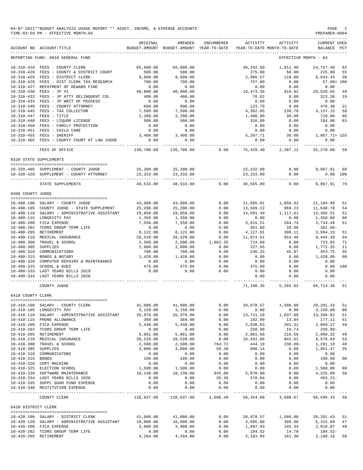|                                      | ACCOUNT NO ACCOUNT-TITLE                                                                                                                                          | ORIGINAL                                    | AMENDED<br>BUDGET-AMOUNT BUDGET-AMOUNT YEAR-TO-DATE                                                                                                                                                                                                                                 | ENCUMBERED                                                                     | ACTIVITY                                    | ACTIVITY<br>YEAR-TO-DATE MONTH-TO-DATE                                                                    | <b>CURRENT USED</b><br>BALANCE PCT |                |
|--------------------------------------|-------------------------------------------------------------------------------------------------------------------------------------------------------------------|---------------------------------------------|-------------------------------------------------------------------------------------------------------------------------------------------------------------------------------------------------------------------------------------------------------------------------------------|--------------------------------------------------------------------------------|---------------------------------------------|-----------------------------------------------------------------------------------------------------------|------------------------------------|----------------|
|                                      | REPORTING FUND: 0010 GENERAL FUND                                                                                                                                 |                                             |                                                                                                                                                                                                                                                                                     |                                                                                |                                             | EFFECTIVE MONTH - 04                                                                                      |                                    |                |
|                                      | 10-310-410 FEES - COUNTY CLERK                                                                                                                                    | 65,000.00                                   | 65,000.00                                                                                                                                                                                                                                                                           |                                                                                |                                             | 40,242.60 1,011.40                                                                                        | 24,757.40 62                       |                |
| $10 - 310 - 420$                     | FEES - COUNTY & DISTRICT COURT                                                                                                                                    | 500.00                                      | 500.00                                                                                                                                                                                                                                                                              |                                                                                | 275.00                                      | $50.00$<br>$110.00$                                                                                       |                                    | - 55           |
|                                      | 10-310-425 FEES - DISTRICT CLERK                                                                                                                                  | 9,800.00                                    | 9,800.00                                                                                                                                                                                                                                                                            |                                                                                | 2,966.57                                    |                                                                                                           | 225.00<br>6,833.43                 | 30             |
|                                      | 10-310-426 FEES - DIST CLERK TAX RESEARCH                                                                                                                         |                                             | 700.00                                                                                                                                                                                                                                                                              |                                                                                | 757.00                                      | 0.00                                                                                                      | 57.00+ 108                         |                |
| 10-310-427                           | REPAYMENT OF REWARD FINE                                                                                                                                          | $700.00$<br>$0.00$                          | 0.00                                                                                                                                                                                                                                                                                |                                                                                | 0.00                                        | $0.00$<br>916.02 $0.526.65$                                                                               |                                    |                |
|                                      | 10-310-430 FEES - JP #1                                                                                                                                           | $0.00$<br>40,000.00                         | 40,000.00                                                                                                                                                                                                                                                                           |                                                                                | $0.00$<br>19,473.35                         |                                                                                                           |                                    | 49             |
|                                      |                                                                                                                                                                   |                                             |                                                                                                                                                                                                                                                                                     |                                                                                |                                             |                                                                                                           | 323.38                             | 19             |
|                                      | $10-310-432 \quad \text{FEES} - \text{JP ATTY DELINQUENT COL} \qquad \qquad 400.00 \\ 10-310-433 \quad \text{FEES} - \text{JP WRTT OF POSSES} \qquad \qquad 0.00$ |                                             | $400.00$<br>0.00                                                                                                                                                                                                                                                                    |                                                                                | $76.62$<br>$0.00$                           | $0.00$<br>$0.00$                                                                                          | 0.00                               |                |
| $10 - 310 - 440$                     | FEES - COUNTY ATTORNEY                                                                                                                                            | 600.00                                      | 600.00                                                                                                                                                                                                                                                                              |                                                                                |                                             | 0.00<br>$123.70$<br>$4,362.85$<br>$239.70$<br>$1,490.00$<br>$0.00$<br>$0.00$                              | 476.30                             | 21             |
|                                      | $10-310-445$ FEES - TAX COLLECTOR<br>$10-310-447$ FEES - TITLE<br>$10-310-412$                                                                                    |                                             |                                                                                                                                                                                                                                                                                     |                                                                                |                                             |                                                                                                           |                                    | 58             |
|                                      |                                                                                                                                                                   | 7,500.00<br>2,200.00                        | 7,500.00<br>2,200.00                                                                                                                                                                                                                                                                |                                                                                |                                             |                                                                                                           | 3, 137. 15<br>710.00               |                |
|                                      |                                                                                                                                                                   | 500.00                                      | 500.00                                                                                                                                                                                                                                                                              |                                                                                |                                             | 0.00                                                                                                      | 184.00                             | 68<br>63       |
|                                      | 10-310-448 FEES - LIQUOR LICENSE<br>10-310-450 FEES - FAMILY PROTECTION                                                                                           |                                             |                                                                                                                                                                                                                                                                                     |                                                                                | 316.00                                      |                                                                                                           |                                    |                |
|                                      |                                                                                                                                                                   | $\begin{array}{c} 0.00 \\ 0.00 \end{array}$ | 0.00                                                                                                                                                                                                                                                                                |                                                                                | $\begin{array}{c} 0.00 \\ 0.00 \end{array}$ | $0.00$<br>$0.00$                                                                                          | $0.00$<br>$0.00$                   |                |
|                                      |                                                                                                                                                                   |                                             |                                                                                                                                                                                                                                                                                     |                                                                                |                                             |                                                                                                           |                                    |                |
|                                      | 10-310-455 FEES - SHERIFF                                                                                                                                         |                                             |                                                                                                                                                                                                                                                                                     |                                                                                |                                             |                                                                                                           |                                    |                |
|                                      | 10-310-465 FEES - COUNTY COURT AT LAW JUDGE                                                                                                                       |                                             | $\begin{array}{cccccccc} 0\, .\, 00 & 0\, .\, 00 & 0\, .\, 00 & 0\, .\, 00 & 0\, .\, 00 & 0\, .\, 00 & 0\, .\, 00 & 0\, .\, 00 & 0\, .\, 00 & 0\, .\, 00 & 0\, .\, 00 & 0\, .\, 00 & 0\, .\, 00 & 0\, .\, 00 & 0\, .\, 00 & 0\, .\, 00 & 0\, .\, 00 & 0\, .\, 00 & 0\, .\, 00 & 0\$ |                                                                                | .                                           | .                                                                                                         | ------------                       |                |
|                                      | FEES OF OFFICE                                                                                                                                                    |                                             | $130,700.00$ $130,700.00$ 0.00 $75,429.40$ 2,387.12                                                                                                                                                                                                                                 |                                                                                |                                             |                                                                                                           | 55,270.60 58                       |                |
|                                      | 0320 STATE SUPPLEMENTS                                                                                                                                            |                                             |                                                                                                                                                                                                                                                                                     |                                                                                |                                             |                                                                                                           |                                    |                |
|                                      |                                                                                                                                                                   |                                             |                                                                                                                                                                                                                                                                                     |                                                                                |                                             |                                                                                                           |                                    |                |
|                                      | 10-320-405 SUPPLEMENT - COUNTY JUDGE<br>10-320-420 SUPPLEMENT - COUNTY ATTORNEY                                                                                   |                                             | 25,200.00 25,200.00<br>23, 333.00 23, 333.00                                                                                                                                                                                                                                        |                                                                                |                                             | 15,232.09 0.00<br>23, 333.00 0.00                                                                         | 9,967.91<br>0.00 100               | 60             |
|                                      | STATE SUPPLEMENTS                                                                                                                                                 | 48,533,00                                   | ------------ -<br>48,533.00                                                                                                                                                                                                                                                         | 0.00                                                                           |                                             | 38,565.09 0.00                                                                                            | 9,967.91 79                        |                |
| 0400 COUNTY JUDGE                    |                                                                                                                                                                   |                                             |                                                                                                                                                                                                                                                                                     |                                                                                |                                             |                                                                                                           |                                    |                |
|                                      | --------------------------------------                                                                                                                            |                                             |                                                                                                                                                                                                                                                                                     |                                                                                |                                             |                                                                                                           |                                    |                |
|                                      | 10-400-100 SALARY - COUNTY JUDGE                                                                                                                                  | 43,080.00                                   | 43,080.00                                                                                                                                                                                                                                                                           |                                                                                |                                             |                                                                                                           | 21,184.99                          | 51             |
|                                      | $10-400-105$ COUNTY JUDGE - STATE SUPPLEMENT $25,200.00$                                                                                                          |                                             | 25,200.00                                                                                                                                                                                                                                                                           | $\begin{array}{c} 0.00 \\ 0.00 \\ 0.00 \\ 0.00 \\ 0.00 \\ 0.00 \\ \end{array}$ | 13,569.22                                   | $\begin{array}{llll} 21, 895.01 & 1, 656.92 \\ 13, 569.22 & 969.23 \\ 14, 691.49 & 1, 117.61 \end{array}$ | 11,630.78                          | 54             |
|                                      | 10-400-110 SALARY - ADMINISTRATIVE ASSISTANT                                                                                                                      | 29,058.00                                   | 29,058.00                                                                                                                                                                                                                                                                           |                                                                                |                                             |                                                                                                           | 14,366.51                          | 51             |
|                                      | 10-400-115 LONGEVITY PAY                                                                                                                                          | 1,350.00                                    | 1,350.00                                                                                                                                                                                                                                                                            |                                                                                | $0.00$<br>3,815.51                          | 0.00                                                                                                      | 1,350.00                           | 00             |
|                                      | 10-400-200 FICA EXPENSE                                                                                                                                           | 7,550.00                                    | 7,550.00                                                                                                                                                                                                                                                                            |                                                                                |                                             | 284.74                                                                                                    | 3,734.49                           | 51             |
|                                      |                                                                                                                                                                   |                                             | 0.00                                                                                                                                                                                                                                                                                | 0.00                                                                           | 361.80                                      | 28.08                                                                                                     | 361.80-                            |                |
|                                      |                                                                                                                                                                   |                                             | 8,122.00                                                                                                                                                                                                                                                                            |                                                                                | 4, 127.81                                   |                                                                                                           |                                    | 51             |
|                                      |                                                                                                                                                                   |                                             | 20,520.00                                                                                                                                                                                                                                                                           | $0.00$<br>$0.00$                                                               | 11,074.61                                   | $308.11$<br>854.46 9,445.39                                                                               |                                    | 54             |
|                                      |                                                                                                                                                                   |                                             | 2,500.00                                                                                                                                                                                                                                                                            | 1,062.35                                                                       | 714.00                                      |                                                                                                           | 723.65                             | 71             |
|                                      |                                                                                                                                                                   |                                             | 2,000.00                                                                                                                                                                                                                                                                            | 0.00                                                                           | 227.65                                      | $\begin{array}{cc} 0.32 \\ 0.00 \\ 45.87 \\ 0.00 \end{array}$                                             | 1,772.35                           | 11             |
|                                      |                                                                                                                                                                   |                                             | 700.00                                                                                                                                                                                                                                                                              | 0.00                                                                           | 246.25                                      |                                                                                                           | 453.75                             | 35             |
|                                      | $10-400-310$ COMMUNICATIONS<br>$10-400-315$ BONDS & NOTARY<br>$1,420.00$<br>$10-400-320$ COMPUTER REPAIRS & MAINTENANCE<br>0.00                                   |                                             | 1,420.00                                                                                                                                                                                                                                                                            | 0.00                                                                           | 0.00                                        |                                                                                                           | 1,420.00                           | 0 <sup>0</sup> |
|                                      |                                                                                                                                                                   |                                             | $1,420.00$<br>0.00                                                                                                                                                                                                                                                                  | $0.00$<br>$0.00$                                                               | 0.00                                        | 0.00                                                                                                      | 0.00                               |                |
|                                      | 10-400-325 SCHOOL & DUES                                                                                                                                          |                                             | 475.00                                                                                                                                                                                                                                                                              |                                                                                | 475.00                                      | 0.00                                                                                                      | 0.00                               | 100            |
|                                      | 10-400-333 LAST YEARS BILLS 2019                                                                                                                                  | $475.00$<br>0.00                            | 0.00                                                                                                                                                                                                                                                                                | $0.00$<br>$0.00$                                                               | 0.00                                        |                                                                                                           | 0.00                               |                |
|                                      | 10-400-334 LAST YEARD BILLS 2020                                                                                                                                  |                                             |                                                                                                                                                                                                                                                                                     |                                                                                |                                             | $0.00$ 0.00<br>0.00 0.00                                                                                  | 0.00                               |                |
|                                      | COUNTY JUDGE                                                                                                                                                      |                                             |                                                                                                                                                                                                                                                                                     |                                                                                | ---------- -                                | . <u>.</u><br>71, 198.35 5, 265.02 69, 714.30 51                                                          | -----------                        |                |
| 0410 COUNTY CLERK                    |                                                                                                                                                                   |                                             |                                                                                                                                                                                                                                                                                     |                                                                                |                                             |                                                                                                           |                                    |                |
|                                      |                                                                                                                                                                   |                                             |                                                                                                                                                                                                                                                                                     |                                                                                |                                             |                                                                                                           |                                    |                |
| $10 - 410 - 100$                     | SALARY - COUNTY CLERK                                                                                                                                             | 41,080.00                                   | 41,080.00                                                                                                                                                                                                                                                                           | 0.00                                                                           | 20,878.57                                   | 1,580.00                                                                                                  | 20, 201.43                         | 51             |
| $10 - 410 - 105$                     | LONGEVITY PAY                                                                                                                                                     | 3,150.00                                    | 3,150.00                                                                                                                                                                                                                                                                            | 0.00                                                                           | 0.00                                        | 0.00                                                                                                      | 3,150.00                           | 00             |
| $10 - 410 - 110$                     | SALARY - ADMINISTRATIVE ASSISTANT                                                                                                                                 | 26,978.00                                   | 26,978.00                                                                                                                                                                                                                                                                           | 0.00                                                                           | 13,711.18                                   | 1,037.60                                                                                                  | 13,266.82                          | 51             |
| $10 - 410 - 115$                     | PHONE ALLOWANCE                                                                                                                                                   | 360.00                                      | 360.00                                                                                                                                                                                                                                                                              |                                                                                | 182.89                                      | 13.84                                                                                                     | 177.11                             |                |
|                                      |                                                                                                                                                                   |                                             |                                                                                                                                                                                                                                                                                     | 0.00                                                                           |                                             |                                                                                                           |                                    | 51             |
| $10 - 410 - 200$                     | FICA EXPENSE                                                                                                                                                      | 5,448.00                                    | 5,448.00                                                                                                                                                                                                                                                                            | 0.00                                                                           | 2,638.63                                    | 201.31                                                                                                    | 2,809.37                           | 48             |
| $10 - 410 - 202$                     | TCDRS GROUP TERM LIFE                                                                                                                                             | 0.00                                        | 0.00                                                                                                                                                                                                                                                                                | 0.00                                                                           | 250.99                                      | 19.74                                                                                                     | $250.99 -$                         |                |
| $10 - 410 - 205$                     | RETIREMENT                                                                                                                                                        | 5,861.00                                    | 5,861.00                                                                                                                                                                                                                                                                            | 0.00                                                                           | 2,861.68                                    | 216.56                                                                                                    | 2,999.32                           | 49             |
| $10 - 410 - 210$                     | MEDICAL INSURANCE                                                                                                                                                 | 20,520.00                                   | 20,520.00                                                                                                                                                                                                                                                                           | 0.00                                                                           | 10,941.06                                   | 841.62                                                                                                    | 9,578.94                           | 53             |
| $10 - 410 - 300$<br>$10 - 410 - 305$ | TRAVEL & SCHOOL<br>SIIDDI.TRS                                                                                                                                     | 2,500.00<br>3 000 00                        | 2,500.00<br>3 000 00                                                                                                                                                                                                                                                                | 764.72<br>50 39                                                                | 444.10<br>QQR 14                            | $230.00 -$<br>0.00                                                                                        | 1,291.18<br>1 951 47               | 48<br>35       |
|                                      |                                                                                                                                                                   |                                             |                                                                                                                                                                                                                                                                                     |                                                                                |                                             |                                                                                                           |                                    |                |

| $10 - 410 - 305$    | SUPPLIES                          | 3,000.00   | 3,000.00   | 50.39    | 998.14    | 0.00     | 1,951.47   | 35             |
|---------------------|-----------------------------------|------------|------------|----------|-----------|----------|------------|----------------|
| $10 - 410 - 310$    | COMMUNICATONS                     | 0.00       | 0.00       | 0.00     | 0.00      | 0.00     | 0.00       |                |
| $10 - 410 - 315$    | BONDS                             | 100.00     | 100.00     | 0.00     | 0.00      | 0.00     | 100.00     | 0 <sub>0</sub> |
| $10 - 410 - 320$    | COPY MACHINE                      | 0.00       | 0.00       | 0.00     | 0.00      | 0.00     | 0.00       |                |
| $10 - 410 - 325$    | ELECTION SCHOOL                   | 1,500.00   | 1,500.00   | 0.00     | 0.00      | 0.00     | 1,500.00   | 0 <sub>0</sub> |
| $10 - 410 - 330$    | SOFTWARE MAINTENANCE              | 10,140.00  | 10,140.00  | 845.00   | 5,070.00  | 0.00     | 4,225.00   | 58             |
| $10 - 410 - 334$    | LAST YEARS BILLS 2020             | 0.00       | 0.00       | 26.38    | 376.84    | 0.00     | $403.22 -$ |                |
| $10 - 410 - 335$    | SUPPL GUAR FUND EXPENSE           | 0.00       | 0.00       | 0.00     | 0.00      | 0.00     | 0.00       |                |
| $10 - 410 - 340$    | RESTITUTION EXPENSE               | 0.00       | 0.00       | 0.00     | 0.00      | 0.00     | 0.00       |                |
|                     | COUNTY CLERK                      | 120,637.00 | 120,637.00 | 1,686.49 | 58,354.08 | 3,680.67 | 60,596.43  | 50             |
| 0420 DISTRICT CLERK |                                   |            |            |          |           |          |            |                |
|                     |                                   |            |            |          |           |          |            |                |
| $10 - 420 - 100$    | SALARY - DISTRICT CLERK           | 41,080.00  | 41,080.00  | 0.00     | 20,878.57 | 1,580.00 | 20,201.43  | 51             |
| $10 - 420 - 120$    | SALARY - ADMINISTRATIVE ASSISTANT | 10,000.00  | 10,000.00  | 0.00     | 4,685.00  | 380.00   | 5,315.00   | 47             |
| $10 - 420 - 200$    | FICA EXPENSE                      | 3,908,00   | 3.908.00   | 0.00     | 1,897.93  | 145.34   | 2,010.07   | 49             |
| $10 - 420 - 202$    | TCDRS GROUP TERM LIFE             | 0.00       | 0.00       | 0.00     | 184.52    | 14.70    | $184.52-$  |                |
| $10 - 420 - 205$    | RETIREMENT                        | 4,204.00   | 4,204.00   | 0.00     | 2,103.84  | 161.30   | 2,100.16   | 50             |
|                     |                                   |            |            |          |           |          |            |                |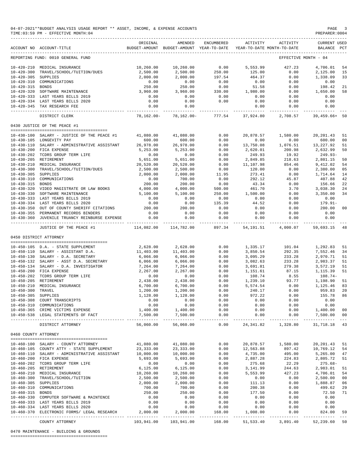|                      | 04-07-2021**BUDGET ANALYSIS USAGE REPORT ** ASSET, INCOME, & EXPENSE ACCOUNTS<br>TIME: 03:59 PM - EFFECTIVE MONTH: 04 |                                                                                 |                       |                                            |                      |                           | PAGE<br>PREPARER: 0004             | -3                |
|----------------------|-----------------------------------------------------------------------------------------------------------------------|---------------------------------------------------------------------------------|-----------------------|--------------------------------------------|----------------------|---------------------------|------------------------------------|-------------------|
|                      | ACCOUNT NO ACCOUNT-TITLE                                                                                              | ORIGINAL<br>BUDGET-AMOUNT BUDGET-AMOUNT YEAR-TO-DATE YEAR-TO-DATE MONTH-TO-DATE | AMENDED               | ENCUMBERED                                 | ACTIVITY             | ACTIVITY                  | <b>CURRENT USED</b><br>BALANCE PCT |                   |
|                      | REPORTING FUND: 0010 GENERAL FUND                                                                                     |                                                                                 |                       |                                            |                      | EFFECTIVE MONTH - 04      |                                    |                   |
|                      | 10-420-210 MEDICAL INSURANCE                                                                                          | 10,260.00                                                                       | 10,260.00             | $\begin{array}{c} 0.00 \\ 250 \end{array}$ | 5,553.99             | 427.23                    | 4,706.01                           | 54                |
| $10 - 420 - 300$     | TRAVEL/SCHOOL/TUITION/DUES                                                                                            | 2,500.00                                                                        | 2,500.00              |                                            | 125.00               | 0.00                      | 2,125.00                           | 15                |
| 10-420-305 SUPPLIES  | 10-420-310 COMMUNICATIONS                                                                                             | 2,000.00<br>0.00                                                                | 2,000.00<br>0.00      | 197.54<br>0.00                             | 464.37<br>0.00       | 0.00<br>0.00              | 1,338.09<br>0.00                   | 33                |
| 10-420-315 BONDS     |                                                                                                                       | 250.00                                                                          | 250.00                | 0.00                                       | 51.58                | 0.00                      | 198.42                             | 21                |
|                      | 10-420-320 SOFTWARE MAINTENANCE                                                                                       | 3,960.00                                                                        | 3,960.00              | 330.00                                     | 1,980.00             | 0.00                      | 1,650.00                           | 58                |
|                      | 10-420-333 LAST YEARS BILLS 2019                                                                                      | 0.00                                                                            | 0.00                  | 0.00                                       | 0.00                 | 0.00                      | 0.00                               |                   |
|                      | 10-420-334 LAST YEARS BILLS 2020                                                                                      | 0.00                                                                            | 0.00                  | 0.00                                       | 0.00                 | 0.00                      | 0.00                               |                   |
|                      | 10-420-345 TAX RESEARCH FEE                                                                                           | 0.00                                                                            | 0.00                  |                                            | 0.00                 | 0.00                      | 0.00<br>------------               |                   |
|                      | DISTRICT CLERK                                                                                                        | 78,162.00-                                                                      | 78,162.00-            | 777.54                                     | 37,924.80            | 2,708.57                  | 39,459.66+ 50                      |                   |
|                      | 0430 JUSTICE OF THE PEACE #1                                                                                          |                                                                                 |                       |                                            |                      |                           |                                    |                   |
|                      | 10-430-100 SALARY - JUSTICE OF THE PEACE #1                                                                           | 41,080.00                                                                       | 41,080.00             | 0.00                                       | 20,878.57            | 1,580.00                  | 20, 201.43                         | 51                |
|                      | 10-430-105 LONGEVITY PAY                                                                                              | 600.00                                                                          | 600.00                | 0.00                                       | 0.00                 | 0.00                      | 600.00                             | 00                |
|                      | 10-430-110 SALARY - ADMINISTRATIVE ASSISTANT                                                                          | 26,978.00                                                                       | 26,978.00             | 0.00                                       | 13,750.08            | 1,076.51                  | 13,227.92                          | 51                |
|                      | 10-430-200 FICA EXPENSE                                                                                               | 5,253.00                                                                        | 5,253.00              | 0.00                                       | 2,620.01             | 200.98                    | 2,632.99                           | 50                |
|                      | 10-430-202 TCDRS GROUP TERM LIFE                                                                                      | 0.00                                                                            | 0.00                  | 0.00                                       | 249.93               | 19.92                     | 249.93-                            |                   |
|                      | 10-430-205 RETIREMENT                                                                                                 | 5,651.00<br>20,520.00                                                           | 5,651.00              | 0.00                                       | 2,849.85             | 218.63                    | 2,801.15                           | 50<br>54          |
|                      | 10-430-210 MEDICAL INSURANCE<br>10-430-210 MEDICAL INSURANCE<br>10-430-300 TRAVEL/SCHOOL/TUITION/DUES                 | 2,500.00                                                                        | 20,520.00<br>2,500.00 | 0.00<br>0.00                               | 11,107.98<br>120.00  | 854.46<br>0.00            | 9,412.02<br>2,380.00               | 05                |
|                      |                                                                                                                       | 2,000.00                                                                        | 2,000.00              | 11.95                                      | 273.41               | 0.00                      | 1,714.64                           | 14                |
|                      | 10-430-310 COMMUNICATIONS                                                                                             | 0.00                                                                            | 700.00                | 0.00                                       | 292.12               | 45.87                     | 407.88                             | 42                |
| 10-430-315 BONDS     |                                                                                                                       | 200.00                                                                          | 200.00                | 0.00                                       | 43.34                | 0.00                      | 156.66                             | 22                |
|                      | 10-430-320 VIDEO MAGISTRATE OR LAW BOOKS                                                                              | 4,000.00                                                                        | 4,000.00              | 500.00                                     | 461.70               | 3.70                      | 3,038.30                           | 24                |
|                      | 10-430-330 SOFTWARE MAINTENANCE                                                                                       | 5,100.00                                                                        | 5,100.00              | 250.00                                     | 1,500.00             | 0.00                      | 3,350.00                           | 34                |
|                      | 10-430-333 LAST YEARS BILLS 2019                                                                                      | 0.00                                                                            | 0.00                  | 0.00                                       | 0.00                 | 0.00                      | 0.00                               |                   |
|                      | 10-430-334 LAST YEARS BILLS 2020<br>10-430-350 OUT OF COUNTY SHERIFF CITATIONS                                        | 0.00<br>200.00                                                                  | 0.00<br>200.00        | 135.39<br>0.00                             | 44.52<br>0.00        | 0.00<br>0.00              | $179.91 -$<br>200.00               | 00                |
|                      | 10-430-355 PERMANENT RECORDS BINDERS                                                                                  | 0.00                                                                            | 0.00                  | 0.00                                       | 0.00                 | 0.00                      | 0.00                               |                   |
|                      | 10-430-360 JUVENILE TRUANCY REINBURSE EXPENSE                                                                         | 0.00                                                                            | 0.00                  | 0.00                                       | 0.00                 | 0.00                      | 0.00                               |                   |
|                      | JUSTICE OF THE PEACE #1                                                                                               | 114,082.00                                                                      | 114,782.00            |                                            |                      | 897.34 54,191.51 4,000.07 | -------------<br>59,693.15         | 48                |
|                      | 0450 DISTRICT ATTORNEY                                                                                                |                                                                                 |                       |                                            |                      |                           |                                    |                   |
|                      | 10-450-105 D.A. - STATE SUPPLEMENT                                                                                    |                                                                                 |                       |                                            |                      |                           |                                    | 51                |
|                      | 10-450-110 SALARY - ASSISTANT D.A.                                                                                    | 2,628.00<br>11,403.00                                                           | 2,628.00<br>11,403.00 | 0.00<br>0.00                               | 1,335.17<br>3,850.54 | 101.04<br>292.35          | 1,292.83<br>7,552.46               | 34                |
|                      | 10-450-130 SALARY - D.A. SECRETARY                                                                                    | 6,066.00                                                                        | 6,066.00              | 0.00                                       | 3,095.29             | 233.28                    | 2,970.71                           | 51                |
|                      | 10-450-132 SALARY - ASST D.A. SECRETARY                                                                               | 6,066.00                                                                        | 6,066.00              | 0.00                                       | 3,082.63             | 233.28                    | 2,983.37                           | 51                |
|                      | 10-450-134 SALARY - D.A. INVESTIGATOR                                                                                 | 7,264.00                                                                        | 7,264.00              | 0.00                                       | 3,691.81             | 279.38                    | 3,572.19                           | 51                |
|                      | 10-450-200 FICA EXPENSE                                                                                               | 2,267.00                                                                        | 2,267.00              | 0.00                                       | 1,151.61             | 87.15                     | 1,115.39                           | 51                |
|                      | 10-450-202 TCDRS GROUP TERM LIFE                                                                                      | 0.00                                                                            | 0.00                  | 0.00                                       | 108.74               | 8.55                      | 108.74-                            |                   |
|                      | 10-450-205 RETIREMENT                                                                                                 | 2,438.00                                                                        | 2,438.00              | 0.00                                       | 1,239.10             | $93.77$<br>$0.00$         | 1,198.90                           | 51                |
| 10-450-300 TRAVEL    | 10-450-210 MEDICAL INSURANCE                                                                                          | 6,700.00<br>1,200.00                                                            | 6,700.00<br>1,200.00  | 0.00<br>0.00                               | 5,574.54<br>240.17   | 0.00                      | 1,125.46<br>959.83 20              | 83                |
| 10-450-305 SUPPLIES  |                                                                                                                       | 1,128.00                                                                        | 1,128.00              | 0.00                                       | 972.22               | 0.00                      | 155.78                             | 86                |
|                      | 10-450-308 COURT TRANSCRIPTS                                                                                          | 0.00                                                                            | 0.00                  | 0.00                                       | 0.00                 | 0.00                      | 0.00                               |                   |
|                      | 10-450-310 COMMUNICATIONS                                                                                             | 0.00                                                                            | 0.00                  | 0.00                                       | 0.00                 | 0.00                      | 0.00                               |                   |
|                      | 10-450-365 CRIME VICTIMS EXPENSE                                                                                      | 1,400.00                                                                        | 1,400.00              | 0.00                                       | 0.00                 | 0.00                      | 1,400.00                           | 00                |
|                      | 10-450-538 LEGAL STATEMENTS OF FACT                                                                                   | 7,500.00                                                                        | 7,500.00              | 0.00                                       | 0.00                 | 0.00                      | 7,500.00<br>-------------          | 00                |
|                      | DISTRICT ATTORNEY                                                                                                     | 56,060.00                                                                       | 56,060.00             | 0.00                                       |                      | 24, 341.82 1, 328.80      | 31,718.18                          | 43                |
| 0460 COUNTY ATTORNEY |                                                                                                                       |                                                                                 |                       |                                            |                      |                           |                                    |                   |
|                      | --------------------------------------<br>10-460-100 SALARY - COUNTY ATTORNEY                                         | 41,080.00                                                                       | 41,080.00             | 0.00                                       |                      | 20,878.57 1,580.00        | 20,201.43                          | 51                |
|                      | 10-460-105 COUNTY ATTY - STATE SUPPLEMENT                                                                             | 23, 333.00                                                                      | 23, 333.00            | 0.00                                       | 12,563.88            | 897.42                    | 10,769.12                          | 54                |
|                      | 10-460-110 SALARY - ADMINISTRATIVE ASSISTANT                                                                          | 10,000.00                                                                       | 10,000.00             | 0.00                                       | 4,735.00             | 495.00                    | 5,265.00                           | 47                |
|                      | 10-460-200 FICA EXPENSE                                                                                               | 5,693.00                                                                        | 5,693.00              | 0.00                                       | 2,887.28             | 224.83                    | 2,805.72                           | 51                |
|                      | 10-460-202 TCDRS GROUP TERM LIFE                                                                                      | 0.00                                                                            | 0.00                  | 0.00                                       | 275.68               | 22.29                     | $275.68 -$                         |                   |
|                      | 10-460-205 RETIREMENT                                                                                                 | 6, 125.00                                                                       | 6,125.00              | 0.00                                       | 3,141.99             | 244.63                    | 2,983.01                           | 51                |
|                      | 10-460-210 MEDICAL INSURANCE<br>10-460-300 TRAVEL/SCHOOL/TUITION                                                      | 10,260.00<br>2,500.00                                                           | 10,260.00<br>2,500.00 | 0.00<br>0.00                               | 5,553.99             | 427.23<br>0.00            | 4,706.01                           | 54<br>00          |
| 10-460-305 SUPPLIES  |                                                                                                                       | 2,000.00                                                                        | 2,000.00              | 0.00                                       | 0.00<br>111.13       | 0.00                      | 2,500.00<br>1,888.87               | 06                |
|                      | 10-460-310 COMMUNICATIONS                                                                                             | 700.00                                                                          | 700.00                | 0.00                                       | 200.38               | 0.00                      | 499.62                             | 29                |
| 10-460-315 BONDS     |                                                                                                                       | 250.00                                                                          | 250.00                | 0.00                                       | 177.50               | 0.00                      | 72.50                              | 71                |
|                      | 10-460-330 COMPUTER SOFTWARE & MAINTENCE                                                                              | 0.00                                                                            | 0.00                  | 0.00                                       | 0.00                 | 0.00                      | 0.00                               |                   |
|                      | 10-460-333 LAST YEARS BILLS 2019                                                                                      | 0.00                                                                            | 0.00                  | 0.00                                       | 0.00                 | 0.00                      | 0.00                               |                   |
|                      | 10-460-334 LAST YEARS BILLS 2020                                                                                      | 0.00                                                                            | 0.00                  | 0.00                                       | 0.00                 | 0.00                      | 0.00                               |                   |
|                      | 10-460-370 ELECTRONIC FORMS/ LEGAL RESEARCH                                                                           | 2,000.00                                                                        | 2,000.00              | 168.00                                     | 1,008.00             | 0.00                      | 824.00                             | 59<br>$\sim$ $ -$ |
|                      | COUNTY ATTORNEY                                                                                                       | 103,941.00                                                                      | 103,941.00            | 168.00                                     | 51,533.40            | 3,891.40                  | 52,239.60 50                       |                   |

0470 MAINTENANCE - BUILDING & GROUNDS

========================================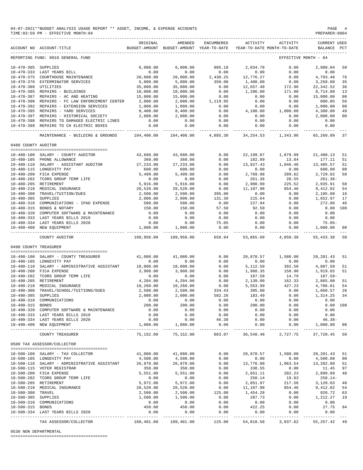|                                         | 04-07-2021**BUDGET ANALYSIS USAGE REPORT ** ASSET, INCOME, & EXPENSE ACCOUNTS<br>TIME: 03:59 PM - EFFECTIVE MONTH: 04 |                        |                                                     |                          |                                        |                                                                 | PAGE<br>PREPARER: 0004                 | $\overline{4}$ |
|-----------------------------------------|-----------------------------------------------------------------------------------------------------------------------|------------------------|-----------------------------------------------------|--------------------------|----------------------------------------|-----------------------------------------------------------------|----------------------------------------|----------------|
|                                         | ACCOUNT NO ACCOUNT-TITLE                                                                                              | ORIGINAL               | AMENDED<br>BUDGET-AMOUNT BUDGET-AMOUNT YEAR-TO-DATE | ENCUMBERED               | ACTIVITY<br>YEAR-TO-DATE MONTH-TO-DATE | ACTIVITY                                                        | <b>CURRENT USED</b><br>BALANCE PCT     |                |
|                                         | REPORTING FUND: 0010 GENERAL FUND                                                                                     |                        |                                                     |                          |                                        |                                                                 | EFFECTIVE MONTH - 04                   |                |
| 10-470-305 SUPPLIES                     |                                                                                                                       | 6,000.00               | 6,000.00                                            | 985.18                   | 2,034.78                               | 0.00                                                            | 2,980.04                               | 50             |
|                                         | 10-470-333 LAST YEARS BILL                                                                                            | 0.00                   | 0.00                                                | 0.00                     | 0.00                                   | 0.00                                                            | 0.00                                   |                |
|                                         | 10-470-375 COURTHOUSE MAINTENANCE                                                                                     | 20,000.00              | 20,000.00                                           | 2,430.25                 | 12,776.27                              | 0.00                                                            | 4,793.48                               | 76             |
|                                         | 10-470-376 EXTERMINATOR SERVICES                                                                                      | 5,000.00               | 5,000.00                                            | 350.00                   | 1,400.00                               | 0.00<br>172.96                                                  | 3,250.00                               | 35             |
| 10-470-380 UTILITIES                    | 10-470-385 REPAIRS - BUILDINGS                                                                                        | 35,000.00<br>10,000.00 | 35,000.00<br>10,000.00                              | 0.00<br>0.00             | 12,657.48<br>1,286.00                  | 171.00                                                          | 22, 342.52<br>8,714.00                 | 36<br>13       |
|                                         | 10-470-387 REPAIRS - AC AND HEATING                                                                                   | 15,000.00              | 15,000.00                                           | 0.00                     | 0.00                                   | 0.00                                                            | 15,000.00                              | 00             |
|                                         | 10-470-390 REPAIRS - FC LAW ENFORCEMENT CENTER                                                                        | 2,000.00               | 2,000.00                                            | 1,119.95                 | 0.00                                   | 0.00                                                            | 880.05                                 | 56             |
|                                         | 10-470-392 REPAIRS - EXTENSION SERVICES                                                                               | 1,000.00               | 1,000.00                                            | 0.00                     | 0.00                                   | 0.00                                                            | 1,000.00                               | 00             |
|                                         | 10-470-395 REPAIRS - YARD SERVICES                                                                                    | 8,400.00               | 8,400.00                                            | 0.00                     | 4,100.00                               | 1,000.00                                                        | 4,300.00                               | 49             |
|                                         | 10-470-397 REPAIRS - HISTORICAL SOCIETY                                                                               | 2,000.00               | 2,000.00                                            | 0.00                     | 0.00                                   | 0.00                                                            | 2,000.00                               | 00             |
|                                         | 10-470-398 REPAIRS TO DAMAGED ELECTRIC LINES<br>10-470-399 REPAIRS TO CH ELECTRIC BOXES                               | 0.00<br>0.00           | 0.00<br>0.00                                        | 0.00<br>0.00             | 0.00<br>0.00                           | 0.00<br>0.00                                                    | 0.00<br>0.00                           |                |
|                                         |                                                                                                                       | .                      | -----------                                         | ------------             | -----------                            | -----------                                                     | ----------                             |                |
|                                         | MAINTENANCE - BUILDING & GROUNDS                                                                                      | 104,400.00             | 104,400.00                                          | 4,885.38                 | 34,254.53                              | 1,343.96                                                        | 65,260.09                              | 37             |
| 0480 COUNTY AUDITOR                     |                                                                                                                       |                        |                                                     |                          |                                        |                                                                 |                                        |                |
|                                         | 10-480-100 SALARY - COUNTY AUDITOR                                                                                    | 43,680.00              | 43,680.00                                           | 0.00                     | 22, 199.87                             | 1,679.99                                                        | 21,480.13                              | 51             |
|                                         | 10-480-105 PHONE ALLOWANCE                                                                                            | 360.00                 | 360.00                                              | 0.00                     | 182.89                                 | 13.84                                                           | 177.11                                 | -51            |
|                                         | 10-480-110 SALARY - ASSISTANT AUDITOR                                                                                 | 27, 233.00             | 27, 233.00                                          | 0.00                     | 13,827.43                              | 1,046.40                                                        | 13,405.57                              | 51             |
|                                         | 10-480-115 LONGEVITY PAY                                                                                              | 600.00                 | 600.00                                              | 0.00                     | 0.00                                   | 0.00                                                            | 600.00                                 | 00             |
|                                         | 10-480-200 FICA EXPENSE                                                                                               | 5,499.00               | 5,499.00                                            | 0.00                     | 2,769.98                               | 209.62                                                          | 2,729.02                               | 50             |
|                                         | 10-480-202 TCDRS GROUP TERM LIFE<br>10-480-205 RETIREMENT                                                             | 0.00<br>5,916.00       | 0.00<br>5,916.00                                    | 0.00<br>0.00             | 261.36<br>2,980.09                     | 20.55<br>225.52                                                 | $261.36-$<br>2,935.91                  | 50             |
|                                         | 10-480-210 MEDICAL INSURANCE                                                                                          | 20,520.00              | 20,520.00                                           | 0.00                     | 11,107.98                              | 854.46                                                          | 9,412.02                               | 54             |
| $10 - 480 - 300$                        | TRAVEL/TUITION/DUES                                                                                                   | 2,500.00               | 2,500.00                                            | 395.00                   | 0.00                                   | 0.00                                                            | 2,105.00                               | 16             |
| 10-480-305 SUPPLIES                     |                                                                                                                       | 2,000.00               | 2,000.00                                            | 131.39                   | 215.64                                 | 0.00                                                            | 1,652.97                               | 17             |
| 10-480-310                              | COMMUNICATIONS - IPAD EXPENSE                                                                                         | 500.00                 | 500.00                                              | 0.00                     | 227.94                                 | 0.00                                                            | 272.06                                 | 46             |
|                                         | 10-480-315 BONDS & NOTARY                                                                                             | 150.00                 | 150.00                                              | 57.50                    | 92.50                                  | 0.00                                                            |                                        | 0.00 100       |
|                                         | 10-480-320 COMPUTER SOFTWARE & MAINTENANCE                                                                            | 0.00                   | 0.00                                                | 0.00                     | 0.00                                   | 0.00                                                            | 0.00                                   |                |
|                                         | 10-480-333 LAST YEARS BILLS 2019<br>10-480-334 LAST YEARS BILLS 2020                                                  | 0.00<br>0.00           | 0.00<br>0.00                                        | 0.00<br>75.05            | 0.00<br>0.00                           | 0.00<br>0.00                                                    | 0.00<br>$75.05 -$                      |                |
|                                         | 10-480-400 NEW EQUIPMENT                                                                                              | 1,000.00               | 1,000.00                                            | 0.00                     | 0.00                                   | 0.00                                                            | 1,000.00                               | 00             |
|                                         | COUNTY AUDITOR                                                                                                        | 109,958.00             | 109,958.00                                          | -------------<br>658.94  | 53,865.68                              | 4,050.38                                                        | 55, 433.38                             | $- - -$<br>50  |
| 0490 COUNTY TREASURER                   |                                                                                                                       |                        |                                                     |                          |                                        |                                                                 |                                        |                |
|                                         | --------------------------------------<br>10-490-100 SALARY - COUNTY TREASURER                                        | 41,080.00              | 41,080.00                                           | 0.00                     | 20,878.57                              | 1,580.00                                                        | 20, 201.43                             | 51             |
|                                         | 10-490-105 LONGEVITY PAY                                                                                              | 0.00                   | 0.00                                                | 0.00                     | 0.00                                   | 0.00                                                            | 0.00                                   |                |
|                                         | 10-490-110 SALARY - ADMINISTRATIVE ASSISTANT                                                                          | 10,000.00              | 10,000.00                                           | 0.00                     | 5,112.50                               | 392.50                                                          | 4,887.50                               | 51             |
|                                         | 10-490-200 FICA EXPENSE                                                                                               | 3,908.00               | 3,908.00                                            | 0.00                     | 1,988.35                               | 150.90                                                          | 1,919.65                               | 51             |
|                                         | 10-490-202 TCDRS GROUP TERM LIFE                                                                                      | 0.00                   | 0.00                                                | 0.00                     | 187.58                                 | 14.79                                                           | 187.58-                                |                |
|                                         | 10-490-205 RETIREMENT                                                                                                 | 4,204.00               | 4,204.00                                            | 0.00                     | 2,139.00                               | 162.33                                                          | 2,065.00                               | 51             |
| $10 - 490 - 210$                        | MEDICAL INSURANCE                                                                                                     | 10,260.00              | 10,260.00                                           | 0.00                     | 5,553.99                               | 427.23                                                          | 4,706.01                               | 54             |
| $10 - 490 - 300$<br>10-490-305 SUPPLIES | TRAVEL/SCHOOL/TUITIONS/DUES                                                                                           | 2,500.00<br>2,000.00   | 2,500.00<br>2,000.00                                | 334.43<br>502.26         | 305.00<br>183.49                       | 0.00<br>0.00                                                    | 1,860.57<br>1,314.25 34                | 26             |
|                                         | 10-490-310 COMMUNICATIONS                                                                                             | 0.00                   | 0.00                                                | 0.00                     | 0.00                                   | 0.00                                                            | 0.00                                   |                |
| 10-490-315 BONDS                        |                                                                                                                       | 200.00                 | 200.00                                              | 0.00                     | 200.00                                 | 0.00                                                            |                                        | 0.00 100       |
|                                         | 10-490-320 COMPUTER SOFTWARE & MAINTENANCE                                                                            | 0.00                   | 0.00                                                | 0.00                     | 0.00                                   | 0.00                                                            | 0.00                                   |                |
|                                         | 10-490-333 LAST YEARS BILLS 2019                                                                                      | 0.00                   | $0.00$<br>$0.00$                                    | $0.00$<br>46.38          | 0.00                                   | 0.00                                                            | 0.00<br>$46.38-$                       |                |
|                                         | 10-490-334 LAST YEARS BILLS 2020                                                                                      | 0.00                   |                                                     |                          | 0.00                                   | 0.00                                                            |                                        |                |
|                                         | 10-490-400 NEW EQUIPMENT                                                                                              | 1,000.00               | 1,000.00                                            | 0.00                     | 0.00                                   | 0.00                                                            | 1,000.00 00                            |                |
|                                         | COUNTY TREASURER                                                                                                      | 75,152.00              | 75,152.00                                           |                          | 883.07 36,548.48                       | 2,727.75                                                        | 37,720.45 50                           |                |
|                                         | 0500 TAX ASSESSOR/COLLECTOR                                                                                           |                        |                                                     |                          |                                        |                                                                 |                                        |                |
|                                         | 10-500-100 SALARY - TAX COLLECTOR                                                                                     |                        | 41,080.00 41,080.00                                 | 0.00                     |                                        | 20,878.57 1,580.00                                              | 20,201.43 51                           |                |
|                                         | 10-500-105 LONGEVITY PAY                                                                                              | 4,500.00               | 4,500.00                                            | 0.00                     | 0.00                                   |                                                                 | 4,500.00 00                            |                |
|                                         | 10-500-110 SALARY - ADMINISTRATIVE ASSISTANT                                                                          | 26,978.00              | 26,978.00                                           | 0.00                     | 13,776.00                              | $0.00$<br>1,063.54                                              | 13,202.00                              | 51             |
|                                         | 10-500-115 VOTER REGISTRAR                                                                                            | 350.00                 | 350.00                                              | $0.00$<br>$0.00$         | 338.55                                 | $0.00$<br>$202.23$<br>$19.83$<br>$217.56$<br>$854.46$<br>$0.00$ | 11.45 97                               |                |
|                                         | 10-500-200 FICA EXPENSE                                                                                               | 5,551.00               | 5,551.00                                            |                          | 2,651.11                               |                                                                 | 2,899.89                               | 48             |
|                                         | 10-500-202 TCDRS GROUP TERM LIFE<br>10-500-205 RETIREMENT                                                             | 0.00<br>5,972.00       | 0.00<br>5,972.00                                    | 0.00<br>0.00             | 250.14<br>2,851.97                     |                                                                 | $250.14-$<br>3,120.03                  | 48             |
|                                         | 10-500-210 MEDICAL INSURANCE                                                                                          | 20,520.00              | 20,520.00                                           | 0.00                     | 11,107.98                              |                                                                 | 9,412.02                               | 54             |
| 10-500-300 TRAVEL                       |                                                                                                                       | 2,500.00               | 2,500.00                                            | 125.00                   | 1,454.28                               |                                                                 | 920.72                                 | 63             |
| 10-500-305 SUPPLIES                     |                                                                                                                       | 1,500.00               | 1,500.00                                            | 0.00                     | 287.73                                 | 0.00                                                            | 1,212.27 19                            |                |
|                                         | 10-500-310 COMMUNICATIONS                                                                                             | 0.00                   | 0.00                                                | 0.00                     | 0.00                                   | 0.00                                                            | 0.00                                   |                |
| 10-500-315 BONDS                        |                                                                                                                       | 450.00                 | 450.00                                              | 0.00                     | 422.25                                 | 0.00                                                            | 27.75                                  | 94             |
|                                         | 10-500-334 LAST YEARS BILLS 2020                                                                                      | 0.00                   | 0.00<br>------------- --------------                | 0.00<br>________________ | 0.00                                   | 0.00<br>----------- ------------                                | 0.00<br>--------------                 |                |
|                                         | TAX ASSESSOR/COLLECTOR                                                                                                |                        | 109,401.00 109,401.00                               |                          |                                        |                                                                 | 125.00 54,018.58 3,937.62 55,257.42 49 |                |

### 0530 NON DEPARTMENTAL

========================================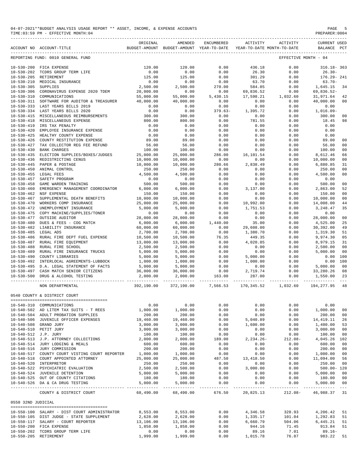|                       | TIME: 03:59 PM - EFFECTIVE MONTH: 04                                                  |                       |                                                                                                            |                      |                                                    |                                        | PREPARER: 0004                     |                |
|-----------------------|---------------------------------------------------------------------------------------|-----------------------|------------------------------------------------------------------------------------------------------------|----------------------|----------------------------------------------------|----------------------------------------|------------------------------------|----------------|
|                       | ACCOUNT NO ACCOUNT-TITLE                                                              | ORIGINAL              | AMENDED<br>BUDGET-AMOUNT BUDGET-AMOUNT YEAR-TO-DATE YEAR-TO-DATE MONTH-TO-DATE                             | ENCUMBERED           | ACTIVITY                                           | ACTIVITY                               | <b>CURRENT USED</b><br>BALANCE PCT |                |
|                       | REPORTING FUND: 0010 GENERAL FUND                                                     |                       |                                                                                                            |                      |                                                    | EFFECTIVE MONTH - 04                   |                                    |                |
|                       | 10-530-200 FICA EXPENSE                                                               | 120.00                | 120.00                                                                                                     | 0.00                 | 436.18                                             | 0.00                                   | $316.18 - 363$                     |                |
|                       | 10-530-202 TCDRS GROUP TERM LIFE                                                      | 0.00                  | 0.00                                                                                                       | 0.00                 | 26.30                                              | 0.00                                   | $26.30 -$                          |                |
|                       | 10-530-205 RETIREMENT                                                                 | 125.00                | 125.00                                                                                                     | 0.00                 | 301.29                                             | 0.00                                   | 176.29- 241                        |                |
|                       | 10-530-210 MEDICAL INSURANCE                                                          | 0.00                  | 0.00                                                                                                       | 0.00                 | 63.70                                              | 0.00                                   | $63.70 -$                          |                |
| $10 - 530 - 305$      | SUPPLIES                                                                              | 2,500.00              | 2,500.00                                                                                                   | 270.00               | 584.85                                             | 0.00                                   | 1,645.15                           | 34             |
|                       | 10-530-306 CORONAVIRUS EXPENSE 2020 TDEM                                              | 20,000.00             | 0.00                                                                                                       | 0.00                 | 69,836.52                                          | 0.00<br>$0.00$<br>$1,032.60$<br>$0.00$ | 69,836.52-                         |                |
| $10 - 530 - 310$      | COMMUNICATIONS<br>10-530-311 SOFTWARE FOR AUDITOR & TREASURER 40,000.00               | 55,000.00             | 55,000.00<br>40,000.00                                                                                     | 5,430.15<br>0.00     | 17,598.21<br>0.00                                  |                                        | 31,971.64<br>40,000.00             | 42<br>00       |
|                       | 10-530-333 LAST YEARS BILLS 2019                                                      | 0.00                  | 0.00                                                                                                       | 0.00                 | 0.00                                               | 0.00                                   | 0.00                               |                |
|                       | 10-530-334 LAST YEARS BILLS 2020                                                      | 0.00                  | 0.00                                                                                                       | $379.63-$            | 1,395.72                                           | 0.00                                   | 1,016.09-                          |                |
| $10 - 530 - 415$      | MISCELLANEOUS REIMBURSEMENTS                                                          | 300.00                | 300.00                                                                                                     | 0.00                 | 0.00                                               | 0.00                                   | 300.00                             | 00             |
| $10 - 530 - 418$      | MISCELLANEOUS EXPENSE                                                                 | 800.00                | 800.00                                                                                                     | 0.00                 | 781.55                                             | 0.00                                   | 18.45                              | 98             |
| $10 - 530 - 419$      | IRS TAX PENALTY                                                                       | 0.00                  | 0.00                                                                                                       | 0.00                 | 0.00                                               | 0.00                                   | 0.00                               |                |
| $10 - 530 - 425$      | 10-530-420 EMPLOYEE INSURANCE EXPENSE<br>HEALTHY COUNTY EXPENSE                       | 0.00<br>0.00          | 0.00<br>0.00                                                                                               | 0.00<br>0.00         | 0.00<br>0.00                                       | 0.00<br>0.00                           | 0.00<br>0.00                       |                |
| $10 - 530 - 426$      | COUNTY RESTITUTION EXPENSE                                                            | 89.00                 | 89.00                                                                                                      | 0.00                 | 0.00                                               | 0.00                                   | 89.00                              | 00             |
| $10 - 530 - 427$      | TAX COLLECTOR REG FEE REFUND                                                          | 56.00                 | 56.00                                                                                                      | 0.00                 | 0.00                                               | 0.00                                   | 56.00                              | 00             |
| $10 - 530 - 430$      | <b>BANK CHARGES</b>                                                                   | 100.00                | 100.00                                                                                                     | 0.00                 | 0.00                                               | 0.00                                   | 100.00                             | 00             |
| $10 - 530 - 435$      | ELECTION SUPPLIES/BOXES/JUDGES                                                        | 25,000.00             | 25,000.00                                                                                                  | 286.00               | 16,101.54                                          | 0.00                                   | 8,612.46                           | 66             |
| $10 - 530 - 436$      | REDISTRICTING CENUS                                                                   | 10,000.00             | 10,000.00                                                                                                  | 0.00                 | 0.00                                               | 0.00                                   | 10,000.00                          | 00             |
| $10 - 530 - 445$      | PAPER & POSTAGE                                                                       | 10,000.00             | 10,000.00                                                                                                  | 280.66               | 2,838.49                                           | 0.00                                   | 6,880.85                           | 31             |
| $10 - 530 - 450$      | ANIMAL CONTROL                                                                        | 250.00                | 250.00                                                                                                     | 0.00                 | 0.00                                               | 0.00                                   | 250.00                             | 00             |
| $10 - 530 - 457$      | 10-530-455 LEGAL FEES<br>SAFETY PROGRAM                                               | 4,500.00<br>0.00      | 4,500.00<br>0.00                                                                                           | 0.00<br>0.00         | 0.00<br>0.00                                       | 0.00<br>0.00                           | 4,500.00<br>0.00                   | 00             |
| $10 - 530 - 458$      | GAME WARDEN TRAINING                                                                  | 500.00                | 500.00                                                                                                     | 0.00                 | 0.00                                               | 0.00                                   | 500.00                             | 00             |
| $10 - 530 - 460$      | EMERGENCY MANAGEMENT COORDINATOR                                                      | 6,000.00              | 6,000.00                                                                                                   | 0.00                 | 3,137.00                                           | 0.00                                   | 2,863.00                           | 52             |
| $10 - 530 - 462$      | NSF EXPENSE                                                                           | 150.00                | 150.00                                                                                                     | 0.00                 | 0.00                                               | 0.00                                   | 150.00                             | 00             |
| $10 - 530 - 467$      | SUPPLEMENTAL DEATH BENEFITS                                                           | 10,000.00             | 10,000.00                                                                                                  | 0.00                 | 0.00                                               | 0.00                                   | 10,000.00                          | 00             |
| $10 - 530 - 470$      | WORKERS COMP INSURANCE                                                                | 25,000.00             | 25,000.00                                                                                                  | 0.00                 | 10,992.00                                          | 0.00                                   | 14,008.00                          | 44             |
| 10-530-472            | UNEMPLOYMENT INSURANCE                                                                | 5,000.00              | 5,000.00                                                                                                   | 0.00                 | 1,751.53                                           | 0.00                                   | 3,248.47                           | 35             |
| $10 - 530 - 475$      | COPY MACHINE/SUPPLIES/TONER                                                           | 0.00                  | 0.00                                                                                                       | 0.00                 | 0.00                                               | 0.00                                   | 0.00                               |                |
| $10 - 530 - 477$      | OUTSIDE AUDITOR                                                                       | 28,000.00             | 28,000.00                                                                                                  | 0.00<br>1,440.00     | 0.00                                               | 0.00                                   | 28,000.00                          | 00             |
| $10 - 530 - 480$      | DUES & FEES - COG MATCH<br>10-530-482 LIABILITY INSURANCE                             | 6,000.00<br>60,000.00 | 6,000.00<br>60,000.00                                                                                      | 0.00                 | 35.00<br>29,608.00                                 | 0.00<br>0.00                           | 4,525.00<br>30,392.00              | 25<br>49       |
| 10-530-485 LEGAL ADS  |                                                                                       | 2,700.00              | 2,700.00                                                                                                   | 0.00                 | 1,380.70                                           | 0.00                                   | 1,319.30                           | 51             |
|                       | 10-530-486 RURAL FIRE DEPT FUEL EXPENSE                                               | 10,500.00             | 10,500.00                                                                                                  | 76.35                | 449.35                                             | 0.00                                   | 9,974.30                           | 05             |
| $10 - 530 - 487$      | RURAL FIRE EQUIPMENT                                                                  | 13,000.00             | 13,000.00                                                                                                  | 0.00                 | 4,020.85                                           | 0.00                                   | 8,979.15                           | 31             |
| $10 - 530 - 488$      | RURAL FIRE SCHOOL                                                                     | 2,500.00              | 2,500.00                                                                                                   | 0.00                 | 0.00                                               | 0.00                                   | 2,500.00                           | 00             |
| $10 - 530 - 489$      | RURAL FIRE INSURANCE TRUCKS                                                           | 5,000.00              | 5,000.00                                                                                                   | 0.00                 | 0.00                                               | 0.00                                   | 5,000.00                           | 00             |
| $10 - 530 - 490$      | COUNTY LIBRARIES                                                                      | 5,000.00              | 5,000.00                                                                                                   | 0.00                 | 5,000.00                                           | 0.00                                   | 0.00                               | 100            |
| 10-530-492            | INTERLOCAL AGREEMENTS-LUBBOCK<br>10-530-495 D.A. LEGAL STATEMENT OF FACTS             | 1,000.00              | 1,000.00                                                                                                   | 0.00                 | 1,000.00<br>0.00                                   | 0.00<br>0.00                           | 0.00<br>5,000.00                   | 100            |
|                       | 10-530-497 CASH MATCH SENIOR CITIZENS                                                 | 5,000.00<br>36,000.00 |                                                                                                            |                      | 2,719.74                                           | 0.00                                   | 33,280.26                          | 00<br>08       |
| $10 - 530 - 500$      | DRUG & ALCOHOL TESTING                                                                | 2,000.00              | $\begin{array}{ccc} 5\,,000\,.00 & 0\ 0.00 \\ 36\,,000\,.00 & 0.00 \\ 2\,,000\,.00 & 163\,.00 \end{array}$ |                      | 287.00                                             | 0.00                                   | 1,550.00                           | 23             |
|                       | NON DEPARTMENTAL                                                                      | 392,190.00            | 372,190.00                                                                                                 | 7,566.53             | -------------- ------------<br>170,345.52 1,032.60 |                                        | -------------<br>194,277.95        | $- - -$<br>48  |
|                       |                                                                                       |                       |                                                                                                            |                      |                                                    |                                        |                                    |                |
|                       | 0540 COUNTY & DISTRICT COURT                                                          |                       |                                                                                                            |                      |                                                    |                                        |                                    |                |
|                       | 10-540-310 COMMUNICATIONS                                                             | 0.00                  | 0.00                                                                                                       | 0.00                 | 0.00                                               | 0.00                                   | 0.00                               |                |
|                       | 10-540-502 AD LITEM TAX SUITS - T REES                                                | 1,000.00              | 1,000.00                                                                                                   | 0.00                 | 0.00                                               | 0.00                                   | 1,000.00                           | 00             |
|                       | 10-540-504 ADULT PROBATION SUPPLIES<br>10-540-506 JUVENILE OFFICER EXPENSES           | 200.00<br>19,460.00   | 200.00<br>19,460.00                                                                                        | 0.00<br>0.00         | 0.00<br>5,040.89                                   | 0.00<br>0.00                           | 200.00<br>14,419.11                | 00<br>26       |
|                       | 10-540-508 GRAND JURY                                                                 | 3,000.00              | 3,000.00                                                                                                   | 0.00                 | 1,600.00                                           | 0.00                                   | 1,400.00                           | 53             |
|                       | 10-540-510 PETIT JURY                                                                 | 3,000.00              | 3,000.00                                                                                                   | 0.00                 | 0.00                                               | 0.00                                   | 3,000.00                           | 00             |
| 10-540-512 J.P. JURY  |                                                                                       | 100.00                | 100.00                                                                                                     | 0.00                 | 0.00                                               | 0.00                                   | 100.00                             | 00             |
|                       | 10-540-513 J.P. ATTORNEY COLLECTIONS                                                  | 2,000.00              | 2,000.00                                                                                                   | 189.00               | $2, 234.26 -$                                      | $212.08 -$                             | 4,045.26 102                       |                |
|                       | 10-540-514 JURY LODGING & MEALS                                                       | 600.00                | 600.00                                                                                                     | 0.00                 | 0.00                                               | 0.00                                   | 600.00                             | 00             |
|                       | 10-540-516 JURY COMMISSION                                                            | 200.00                | 200.00                                                                                                     | 0.00                 | 0.00                                               | 0.00                                   | 200.00                             | 0 <sup>0</sup> |
|                       | 10-540-517 COUNTY COURT VISTING COURT REPORTER<br>10-540-518 COURT APPOINTED ATTORNEY | 1,000.00<br>25,000.00 | 1,000.00<br>25,000.00                                                                                      | 0.00<br>487.50       | 0.00<br>13,418.50                                  | 0.00<br>0.00                           | 1,000.00<br>11,094.00              | 00<br>56       |
|                       | 10-540-520 INTERPRETOR                                                                | 250.00                | 250.00                                                                                                     | 0.00                 | 0.00                                               | 0.00                                   | 250.00                             | 00             |
|                       | 10-540-522 PSYCHIATRIC EVALUATION                                                     | 2,500.00              | 2,500.00                                                                                                   | 0.00                 | 3,000.00                                           | 0.00                                   | $500.00 - 120$                     |                |
|                       | 10-540-524 JUVENILE DETENTION                                                         | 5,000.00              | 5,000.00                                                                                                   | 0.00                 | 0.00                                               | 0.00                                   | 5,000.00                           | 00             |
|                       | 10-540-525 OUT OF COUNTY CITATIONS                                                    | 180.00                | 180.00                                                                                                     | 0.00                 | 0.00                                               | 0.00                                   | 180.00                             | 00             |
|                       | 10-540-526 DA & CA DRUG TESTING                                                       | 5,000.00              | 5,000.00<br>-------------                                                                                  | 0.00<br>------------ | 0.00<br>------------                               | 0.00<br>------------                   | 5,000.00                           | 00             |
|                       | COUNTY & DISTRICT COURT                                                               | 68,490.00             | 68,490.00                                                                                                  | 676.50               | 20,825.13                                          | $212.08-$                              | 46,988.37                          | 31             |
| 0550 32ND JUDICIAL    |                                                                                       |                       |                                                                                                            |                      |                                                    |                                        |                                    |                |
|                       | 10-550-100 SALARY - DIST COURT ADMINISTRATOR                                          | 8,553.00              | 8,553.00                                                                                                   | 0.00                 | 4,346.58                                           | 328.93                                 | 4,206.42                           | 51             |
|                       | 10-550-105 DIST JUDGE - STATE SUPPLEMENT                                              | 2,628.00              | 2,628.00                                                                                                   | 0.00                 | 1,335.17                                           | 101.04                                 | 1,292.83                           | 51             |
|                       | 10-550-117 SALARY - COURT REPORTER                                                    | 13,106.00             | 13,106.00                                                                                                  | 0.00                 | 6,660.79                                           | 504.06                                 | 6,445.21                           | 51             |
|                       | 10-550-200 FICA EXPENSE                                                               | 1,858.00              | 1,858.00                                                                                                   | 0.00                 | 944.16                                             | 71.45                                  | 913.84                             | 51             |
|                       | 10-550-202 TCDRS GROUP TERM LIFE                                                      | 0.00                  | 0.00                                                                                                       | 0.00                 | 89.16                                              | 7.01                                   | $89.16 -$                          |                |
| 10-550-205 RETIREMENT |                                                                                       | 1,999.00              | 1,999.00                                                                                                   | 0.00                 | 1,015.78                                           | 76.87                                  | 983.22                             | 51             |

04-07-2021\*\*BUDGET ANALYSIS USAGE REPORT \*\* ASSET, INCOME, & EXPENSE ACCOUNTS PAGE 5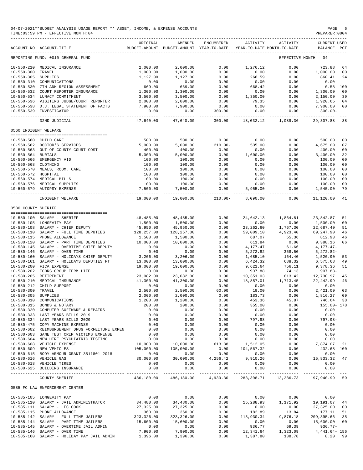|                       | 04-07-2021**BUDGET ANALYSIS USAGE REPORT ** ASSET, INCOME, & EXPENSE ACCOUNTS<br>TIME: 03:59 PM - EFFECTIVE MONTH: 04 |                             |                                                                                |                        |                                             |                  | $\mathop{\mathtt{PAGE}}$<br>PREPARER: 0004 |               |
|-----------------------|-----------------------------------------------------------------------------------------------------------------------|-----------------------------|--------------------------------------------------------------------------------|------------------------|---------------------------------------------|------------------|--------------------------------------------|---------------|
|                       | ACCOUNT NO ACCOUNT-TITLE                                                                                              | ORIGINAL                    | AMENDED<br>BUDGET-AMOUNT BUDGET-AMOUNT YEAR-TO-DATE YEAR-TO-DATE MONTH-TO-DATE | ENCUMBERED             | ACTIVITY                                    | ACTIVITY         | <b>CURRENT USED</b><br>BALANCE             | $_{\rm PCT}$  |
|                       | REPORTING FUND: 0010 GENERAL FUND                                                                                     |                             |                                                                                |                        |                                             |                  | EFFECTIVE MONTH - 04                       |               |
|                       | 10-550-210 MEDICAL INSURANCE                                                                                          | 2,000.00                    | 2,000.00                                                                       | 0.00                   | 1,276.12                                    | 0.00             | 723.88                                     | 64            |
| $10 - 550 - 300$      | TRAVEL                                                                                                                | 1,000.00                    | 1,000.00                                                                       | 0.00                   | 0.00                                        | 0.00             | 1,000.00                                   | 00            |
| 10-550-305 SUPPLIES   |                                                                                                                       | 1,127.00                    | 1,127.00                                                                       | 0.00                   | 266.59                                      | 0.00             | 860.41                                     | 24            |
|                       | 10-550-310 COMMUNICATIONS                                                                                             | 0.00                        | 0.00                                                                           | 0.00                   | 0.00                                        | 0.00             | 0.00                                       |               |
|                       | 10-550-530 7TH ADM REGION ASSESSMENT                                                                                  | 669.00                      | 669.00                                                                         | 0.00                   | 668.42                                      | 0.00             | $0.58$ 100                                 |               |
|                       | 10-550-532 COURT REPORTER INSURANCE                                                                                   | 1,300.00                    | 1,300.00                                                                       | 0.00                   | 0.00                                        | 0.00             | 1,300.00                                   | 00            |
|                       | 10-550-534 LUNACY COMMITMENT<br>10-550-536 VISITING JUDGE/COURT REPORTER                                              | 3,500.00                    | 3,500.00                                                                       | 0.00                   | 1,350.00<br>79.35                           | 0.00             | 2,150.00                                   | 39            |
|                       | 10-550-538 D.J. LEGAL STATEMENT OF FACTS                                                                              | 2,000.00<br>7,900.00        | 2,000.00<br>7,900.00                                                           | 0.00<br>0.00           | 0.00                                        | 0.00<br>0.00     | 1,920.65<br>7,900.00                       | 04<br>00      |
|                       | 10-550-539 INVESTIGATOR                                                                                               | 0.00                        | 0.00                                                                           | 300.00                 | 0.00                                        | 0.00             | $300.00 -$                                 |               |
|                       | 32ND JUDICIAL                                                                                                         | --------------<br>47,640.00 | ____________<br>47,640.00                                                      | ------------<br>300.00 | 18,032.12                                   | 1,089.36         | 29,307.88                                  | 38            |
| 0560 INDIGENT WELFARE |                                                                                                                       |                             |                                                                                |                        |                                             |                  |                                            |               |
|                       | 10-560-560 CHILD CARE                                                                                                 | 500.00                      | 500.00                                                                         | 0.00                   | 0.00                                        | 0.00             | 500.00                                     | 00            |
|                       | 10-560-562 DOCTOR'S SERVICES                                                                                          | 5,000.00                    | 5,000.00                                                                       | $210.00 -$             | 535.00                                      | 0.00             | 4,675.00                                   | 07            |
|                       | 10-560-563 OUT OF COUNTY COURT COST                                                                                   | 400.00                      | 400.00                                                                         | 0.00                   | 0.00                                        | 0.00             | 400.00                                     | 00            |
| 10-560-564 BURIALS    |                                                                                                                       | 5,000.00                    | 5,000.00                                                                       | 0.00                   | 1,600.00                                    | 0.00             | 3,400.00                                   | 32            |
|                       | 10-560-566 EMERGENCY AID                                                                                              | 100.00                      | 100.00                                                                         | 0.00                   | 0.00                                        | 0.00             | 100.00                                     | 00            |
| 10-560-568 CLOTHING   |                                                                                                                       | 100.00                      | 100.00                                                                         | 0.00                   | 0.00                                        | 0.00             | 100.00                                     | 00            |
|                       | 10-560-570 MEALS, ROOM, CARE                                                                                          | 100.00                      | 100.00                                                                         | 0.00                   | 0.00                                        | 0.00             | 100.00                                     | 00            |
| 10-560-572 HOSPITAL   |                                                                                                                       | 100.00                      | 100.00                                                                         | 0.00                   | 0.00                                        | 0.00             | 100.00                                     | 00            |
|                       | 10-560-574 MEDICAL BILLS                                                                                              | 100.00                      | 100.00                                                                         | 0.00                   | 0.00                                        | 0.00             | 100.00                                     | 00            |
|                       | 10-560-576 MEDICAL SUPPLIES                                                                                           | 100.00                      | 100.00                                                                         | 0.00                   | 0.00                                        | 0.00             | 100.00                                     | 00            |
|                       | 10-560-579 AUTOPSY EXPENSE                                                                                            | 7,500.00<br>-----------     | 7,500.00<br>-------------                                                      | 0.00<br>_____________  | 5,955.00<br>________________                | 0.00<br>.        | 1,545.00                                   | 79<br>$- - -$ |
|                       | INDIGENT WELFARE                                                                                                      | 19,000.00                   | 19,000.00                                                                      | $210.00 -$             | 8,090.00                                    | 0.00             | 11,120.00                                  | 41            |
| 0580 COUNTY SHERIFF   |                                                                                                                       |                             |                                                                                |                        |                                             |                  |                                            |               |
|                       | 10-580-100 SALARY - SHERIFF                                                                                           | 48,485.00                   |                                                                                | 0.00                   |                                             |                  |                                            |               |
|                       | 10-580-105 LONGEVITY PAY                                                                                              | 1,500.00                    | 48,485.00<br>1,500.00                                                          | 0.00                   | 24,642.13<br>0.00                           | 1,864.81<br>0.00 | 23,842.87<br>1,500.00                      | 51<br>00      |
|                       | 10-580-108 SALARY - CHIEF DEPUTY                                                                                      | 45,950.00                   | 45,950.00                                                                      | 0.00                   | 23,262.60                                   | 1,767.30         | 22,687.40                                  | 51            |
|                       | 10-580-110 SALARY - FULL TIME DEPUTIES                                                                                | 128,257.00                  | 128,257.00                                                                     | 0.00                   | 59,009.10                                   | 4,923.40         | 69,247.90                                  | 46            |
|                       | 10-580-115 PHONE ALLOWANCE                                                                                            | 1,500.00                    | 1,500.00                                                                       | 0.00                   | 687.07                                      | 55.36            | 812.93                                     | 46            |
| 10-580-120            | SALARY - PART TIME DEPUTIES                                                                                           | 10,000.00                   | 10,000.00                                                                      | 0.00                   | 611.84                                      | 0.00             | 9,388.16                                   | 06            |
|                       | 10-580-145 SALARY - OVERTIME CHIEF DEPUTY                                                                             | 0.00                        | 0.00                                                                           | 0.00                   | 4,177.47                                    | 61.66            | $4,177.47-$                                |               |
|                       | 10-580-146 SALARY - OVER TIME                                                                                         | 0.00                        | 0.00                                                                           | 0.00                   | 5,272.82                                    | 358.50           | $5,272.82-$                                |               |
| $10 - 580 - 160$      | SALARY - HOLIDAYS CHIEF DEPUTY                                                                                        | 3,206.00                    | 3,206.00                                                                       | 0.00                   | 1,685.10                                    | 164.40           | 1,520.90                                   | 53            |
|                       | 10-580-161 SALARY - HOLIDAYS DEPUTIES FT                                                                              | 13,000.00                   | 13,000.00                                                                      | 0.00                   | 6,424.32                                    | 688.32           | 6,575.68                                   | 49            |
| $10 - 580 - 200$      | FICA EXPENSE                                                                                                          | 19,000.00                   | 19,000.00                                                                      | 0.00                   | 9,621.64                                    | 756.11           | 9,378.36                                   | 51            |
|                       | 10-580-202 TCDRS GROUP TERM LIFE                                                                                      | 0.00                        | 0.00                                                                           | 0.00                   | 907.88                                      | 74.13            | $907.88 -$                                 |               |
|                       | 10-580-205 RETIREMENT                                                                                                 | 23,082.00                   | 23,082.00                                                                      | 0.00                   | 10,351.03                                   | 813.42           | 12,730.97                                  | 45            |
|                       | 10-580-210 MEDICAL INSURANCE                                                                                          | 41,300.00                   | 41,300.00                                                                      | 0.00                   | 18,857.01                                   | 1,713.45         | 22,442.99                                  | 46            |
|                       | 10-580-212 CHILD SUPPORT                                                                                              | 0.00                        | 0.00                                                                           | 0.00                   | 0.00                                        | 0.00             | 0.00                                       |               |
| 10-580-300 TRAVEL     |                                                                                                                       | 2,500.00                    | 2,500.00                                                                       | 60.00                  | 19.00                                       | 0.00             | 2,421.00 03                                |               |
| 10-580-305 SUPPLIES   |                                                                                                                       | 2,000.00                    | 2,000.00                                                                       | 0.00                   | 183.73                                      | 0.00             | 1,816.27 09                                |               |
|                       | 10-580-310 COMMUNICATIONS                                                                                             | 1,200.00                    | 1,200.00                                                                       | 0.00                   | 453.36                                      | 45.87            | 746.64 38                                  |               |
|                       | 10-580-315 BONDS & NOTARY                                                                                             | 200.00                      | 200.00                                                                         | 0.00                   | 355.00                                      | 0.00             | 155.00- 178                                |               |
|                       | 10-580-320 COMPUTER SOFTWARE & REPAIRS                                                                                | 0.00                        | 0.00                                                                           | 0.00                   | 0.00                                        | 0.00             | 0.00                                       |               |
|                       | 10-580-333 LAST YEARS BILLS 2019<br>10-580-334 LAST YEARS BILLS 2020                                                  | 0.00                        | 0.00                                                                           | 0.00                   | 0.00                                        | 0.00             | 0.00                                       |               |
|                       | 10-580-475 COPY MACHINE EXPENSE                                                                                       | 0.00<br>0.00                | 0.00<br>0.00                                                                   | 0.00<br>0.00           | 797.98<br>0.00                              | 0.00<br>0.00     | 797.98-<br>0.00                            |               |
|                       | 10-580-602 REIMBURSEMENT DRUG FORFEITURE EXPEN                                                                        | 0.00                        | 0.00                                                                           | 0.00                   | 0.00                                        | 0.00             | 0.00                                       |               |
|                       | 10-580-603 SANE TEST CRIM VICTIMS EXPENSE                                                                             | 0.00                        | 0.00                                                                           | 0.00                   | 0.00                                        | 0.00             | 0.00                                       |               |
|                       | 10-580-604 NEW HIRE PSYCHIATRIC TESTING                                                                               | 0.00                        | 0.00                                                                           | 0.00                   | 0.00                                        | 0.00             | 0.00                                       |               |
|                       | 10-580-608 VEHICLE EXPENSE                                                                                            | 10,000.00                   | 10,000.00                                                                      | 613.88                 | 1,512.05                                    | 0.00             | 7,874.07 21                                |               |
|                       | 10-580-609 NEW VEHICLES                                                                                               | 105,000.00                  | 105,000.00                                                                     | 0.00                   | 104,567.32                                  | 0.00             | 432.68 100                                 |               |
|                       | 10-580-615 BODY ARMOUR GRANT 3511801 2018                                                                             | 0.00                        | 0.00                                                                           | 0.00                   | 0.00                                        | 0.00             | 0.00                                       |               |
|                       | 10-580-616 VEHICLE GAS                                                                                                | 30,000.00                   | 30,000.00                                                                      | 4,256.42               | 9,910.26                                    | 0.00             | 15,833.32 47                               |               |
|                       | 10-580-618 VEHICLE TIRES                                                                                              | 0.00                        | 0.00                                                                           | 0.00                   | 0.00                                        | 0.00             | 0.00                                       |               |
|                       | 10-580-625 BUILDING INSURANCE                                                                                         | 0.00                        | 0.00                                                                           | 0.00                   | 0.00                                        | 0.00             | 0.00                                       |               |
|                       | COUNTY SHERIFF                                                                                                        |                             | 486,180.00 486,180.00                                                          |                        | 4,930.30 283,308.71 13,286.73 197,940.99 59 |                  |                                            |               |
|                       | 0585 FC LAW ENFORCEMENT CENTER                                                                                        |                             |                                                                                |                        |                                             |                  |                                            |               |
|                       | 10-585-105 LONGEVITY PAY                                                                                              | 0.00                        | 0.00                                                                           | 0.00                   | 0.00                                        | 0.00             | 0.00                                       |               |
|                       | 10-585-110 SALARY - JAIL ADMINISTRATOR                                                                                | 34,480.00                   | 34,480.00                                                                      | 0.00                   | 15,288.93                                   | 1,171.92         | 19, 191.07 44                              |               |
|                       | 10-585-111 SALARY - LEC COOK                                                                                          | 27,325.00                   | 27,325.00                                                                      | 0.00                   | 0.00                                        | 0.00             | 27,325.00 00                               |               |
|                       | 10-585-115 PHONE ALLOWANCE                                                                                            | 360.00                      | 360.00                                                                         | 0.00                   | 182.89                                      | 13.84            | 177.11 51                                  |               |
|                       | 10-585-142 SALARY - FULL TIME JAILERS                                                                                 | 323,326.00                  | 323, 326.00                                                                    | 0.00                   | 113,930.34                                  | 9,876.18         | 209, 395.66 35                             |               |
|                       | 10-585-144 SALARY - PART TIME JAILERS                                                                                 | 15,600.00                   | 15,600.00                                                                      | 0.00                   | 0.00                                        | 0.00             | 15,600.00 00                               |               |
|                       | 10-585-145 SALARY - OVERTIME JAIL ADMIN                                                                               | 0.00                        | 0.00                                                                           | 0.00                   | 936.77                                      | 69.39            | $936.77 -$                                 |               |
|                       | 10-585-146 SALARY - OVER TIME                                                                                         | 7,900.00                    | 7,900.00                                                                       | 0.00                   | 12,341.64                                   | 1,323.09         | 4,441.64- 156                              |               |
|                       | 10-585-160 SALARY - HOLIDAY PAY JAIL ADMIN                                                                            | 1,396.00                    | 1,396.00                                                                       | 0.00                   | 1,387.80                                    | 138.78           | 8.20                                       | 99            |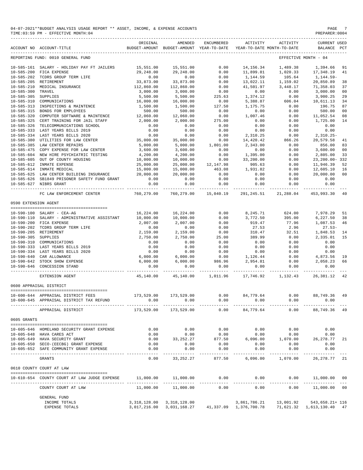| 04-07-2021**BUDGET ANALYSIS USAGE REPORT ** ASSET, INCOME, & EXPENSE ACCOUNTS | PAGE          |
|-------------------------------------------------------------------------------|---------------|
| TIME: 03:59 PM - EFFECTIVE MONTH: 04                                          | PREPARER:0004 |

|                      | ACCOUNT NO ACCOUNT-TITLE                                  | ORIGINAL               | AMENDED<br>BUDGET-AMOUNT BUDGET-AMOUNT YEAR-TO-DATE | ENCUMBERED              | ACTIVITY                  | ACTIVITY<br>YEAR-TO-DATE MONTH-TO-DATE                          | <b>CURRENT USED</b><br>BALANCE PCT  |                      |
|----------------------|-----------------------------------------------------------|------------------------|-----------------------------------------------------|-------------------------|---------------------------|-----------------------------------------------------------------|-------------------------------------|----------------------|
|                      | REPORTING FUND: 0010 GENERAL FUND                         |                        |                                                     |                         |                           |                                                                 | EFFECTIVE MONTH - 04                |                      |
| 10-585-161           | SALARY - HOLIDAY PAY FT JAILERS                           | 15,551.00              | 15,551.00                                           | 0.00                    | 14,156.34                 | 1,489.38                                                        | 1,394.66                            | 91                   |
| $10 - 585 - 200$     | FICA EXPENSE                                              | 29,248.00              | 29,248.00                                           | 0.00                    | 11,899.81                 | 1,020.33                                                        | 17,348.19                           | 41                   |
|                      | 10-585-202 TCDRS GROUP TERM LIFE                          | 0.00                   | 0.00                                                | 0.00                    | 1,144.59                  | 105.64                                                          | 1,144.59-                           |                      |
| $10 - 585 - 205$     | RETIREMENT                                                | 33,873.00              | 33,873.00                                           | 0.00                    | 13,022.11                 | 1,159.02                                                        | 20,850.89                           | 38                   |
| $10 - 585 - 210$     | MEDICAL INSURANCE                                         | 112,860.00             | 112,860.00                                          | 0.00                    | 41,501.97                 | 3,448.17                                                        | 71,358.03                           | 37                   |
|                      |                                                           |                        |                                                     |                         |                           |                                                                 |                                     |                      |
| $10 - 585 - 300$     | TRAVEL                                                    | 3,000.00               | 3,000.00                                            | 0.00                    | 0.00                      | 0.00                                                            | 3,000.00                            | 0 <sub>0</sub>       |
| $10 - 585 - 305$     | SUPPLIES                                                  | 5,500.00               | 5,500.00                                            | 225.63                  | 1,374.12                  | 0.00                                                            | 3,900.25                            | 29                   |
| $10 - 585 - 310$     | COMMUNICATIONS                                            | 16,000.00              | 16,000.00                                           | 0.00                    | 5,388.87                  | 606.04                                                          | 10,611.13                           | 34                   |
| $10 - 585 - 315$     | 10-585-313 INSPECTIONS & MAINTENCE<br>BONDS FOR EMPLOYEES | 1,500.00<br>500.00     | 1,500.00<br>500.00                                  | 127.50<br>0.00          | 1,175.75<br>0.00          | 0.00<br>0.00                                                    | 196.75<br>500.00                    | 87<br>0 <sub>0</sub> |
| $10 - 585 - 320$     | COMPUTER SOFTWARE & MAINTENCE                             | 12,060.00              | 12,060.00                                           | 0.00                    | 1,007.46                  | 0.00                                                            | 11,052.54                           | 08                   |
| $10 - 585 - 325$     | CERT TRAINING FOR JAIL STAFF                              | 2,000.00               | 2,000.00                                            | 275.00                  | 0.00                      | 0.00                                                            | 1,725.00                            | 14                   |
| $10 - 585 - 326$     | TELECOMMUNICATIONS SCHOOL                                 | 0.00                   | 0.00                                                | 0.00                    | 0.00                      | 0.00                                                            | 0.00                                |                      |
| $10 - 585 - 333$     | LAST YEARS BILLS 2019                                     | 0.00                   | 0.00                                                | 0.00                    | 0.00                      | 0.00                                                            | 0.00                                |                      |
|                      | LAST YEARS BILLS 2020                                     |                        |                                                     | 0.00                    |                           |                                                                 |                                     |                      |
| $10 - 585 - 334$     |                                                           | 0.00                   | 0.00                                                |                         | 2,310.25                  | 0.00                                                            | $2,310.25-$                         |                      |
| $10 - 585 - 380$     | UTILITIES FOR LAW CENTER                                  | 35,000.00              | 35,000.00                                           | 0.00                    | 14,420.42                 | 866.26                                                          | 20,579.58                           | 41                   |
| $10 - 585 - 385$     | LAW CENTER REPAIRS                                        | 5,000.00               | 5,000.00                                            | 1,801.00                | 2,343.00                  | 0.00                                                            | 856.00                              | 83                   |
| $10 - 585 - 475$     | COPY EXPENSE FOR LAW CENTER                               | 3,600.00               | 3,600.00                                            | 0.00                    | 0.00                      | 0.00                                                            | 3,600.00                            | 0 <sup>0</sup>       |
| $10 - 585 - 604$     | NEW HIRE PSYCHIATRIC TESTING                              | 4,200.00               | 4,200.00                                            | 0.00                    | 1,395.00                  | 0.00                                                            | 2,805.00                            | 33                   |
| $10 - 585 - 605$     | OUT OF COUNTY HOUSING                                     | 10,000.00              | 10,000.00                                           | 0.00                    | 33,200.00                 | 0.00                                                            | 23, 200.00-332                      |                      |
| $10 - 585 - 612$     | INMATE EXPENSE                                            | 25,000.00              | 25,000.00                                           | 12,147.98               | 905.63                    | 0.00                                                            | 11,946.39                           | 52                   |
|                      | 10-585-614 INMATE MEDICAL                                 | 15,000.00              | 15,000.00                                           | 463.08                  | 1,931.82                  | 0.00                                                            | 12,605.10                           | 16                   |
|                      | 10-585-625 LAW CENTER BUILDING INSURANCE                  | 20,000.00              | 20,000.00                                           | 0.00                    | 0.00                      | 0.00                                                            | 20,000.00                           | 00                   |
|                      | 10-585-626 SB1849 PRISONER SAFETY FUND GRANT              | 0.00                   | 0.00                                                | 0.00                    | 0.00                      | 0.00                                                            | 0.00                                |                      |
|                      | 10-585-627 NIBRS GRANT                                    | 0.00                   | 0.00                                                | 0.00                    | 0.00                      | 0.00                                                            | 0.00                                |                      |
|                      | FC LAW ENFORCEMENT CENTER                                 | 760,279.00             | --------<br>760,279.00                              | __________<br>15,040.19 | -------<br>291,245.51     | 21,288.04                                                       | 453,993.30                          | 40                   |
| 0590 EXTENSION AGENT |                                                           |                        |                                                     |                         |                           |                                                                 |                                     |                      |
|                      |                                                           |                        |                                                     |                         |                           |                                                                 |                                     |                      |
|                      | 10-590-100 SALARY - CEA-AG                                | 16,224.00              | 16,224.00                                           | 0.00                    | 8,245.71                  | 624.00                                                          | 7,978.29                            | 51                   |
| $10 - 590 - 110$     | SALARY - ADMINISTRATIVE ASSISTANT                         | 10,000.00              | 10,000.00                                           | 0.00                    | 3,772.50                  | 395.00                                                          | 6,227.50                            | 38                   |
|                      | 10-590-200 FICA EXPENSE                                   | 2,007.00               | 2,007.00                                            | 0.00                    | 919.47                    | 77.96                                                           | 1,087.53                            | 46                   |
|                      | 10-590-202 TCDRS GROUP TERM LIFE                          | 0.00                   | 0.00                                                | 0.00                    | 27.53                     | 2.96                                                            | $27.53-$                            |                      |
|                      | 10-590-205 RETIREMENT                                     | 2,159.00               | 2,159.00                                            | 0.00                    | 310.47                    | 32.51                                                           | 1,848.53                            | 14                   |
| $10 - 590 - 305$     | SUPPLIES                                                  | 2,750.00               | 2,750.00                                            | 25.00                   | 389.99                    | 0.00                                                            | 2,335.01                            | 15                   |
|                      |                                                           |                        |                                                     |                         |                           |                                                                 |                                     |                      |
| 10-590-310           | COMMUNICATIONS                                            | 0.00                   | 0.00                                                | 0.00                    | 0.00                      | 0.00                                                            | 0.00                                |                      |
|                      | 10-590-333 LAST YEARS BILLS 2019                          | 0.00                   | 0.00                                                | 0.00                    | 0.00                      | 0.00                                                            | 0.00                                |                      |
|                      | 10-590-334 LAST YEARS BILLS 2020                          | 0.00                   | 0.00                                                | 0.00                    | 0.00                      | 0.00                                                            | 0.00                                |                      |
| 10-590-640           | CAR ALLOWANCE                                             | 6,000.00               | 6,000.00                                            | 0.00                    | 1,126.44                  | 0.00                                                            | 4,873.56                            | 19                   |
| 10-590-642           | STOCK SHOW EXPENSE                                        | 6,000.00               | 6,000.00                                            | 986.96                  | 2,954.81                  | 0.00                                                            | 2,058.23                            | 66                   |
|                      | 10-590-646 CONCESSION STAND                               | 0.00                   | 0.00                                                | 0.00                    | 0.00                      | 0.00                                                            | 0.00                                |                      |
|                      | EXTENSION AGENT                                           | ---------<br>45,140.00 | 45,140.00                                           | .<br>1,011.96           | ---------- -<br>17,746.92 | 1,132.43                                                        | _____________________<br>26, 381.12 | 42                   |
|                      | 0600 APPRAISAL DISTRICT                                   |                        |                                                     |                         |                           |                                                                 |                                     |                      |
|                      |                                                           |                        |                                                     |                         |                           |                                                                 |                                     |                      |
|                      | 10-600-644 APPRAISAL DISTRICT FEES                        | 173,529.00             | 173,529.00                                          | 0.00                    | 84,779.64                 | 0.00                                                            | 88,749.36                           | 49                   |
|                      | 10-600-645 APPRAISAL DISTRICT TAX REFUND                  | 0.00                   | 0.00                                                | 0.00                    | 0.00                      | 0.00                                                            | 0.00                                |                      |
|                      | APPRAISAL DISTRICT                                        | 173,529.00             | 173,529.00                                          | 0.00                    | 84,779.64                 | 0.00                                                            | 88,749.36 49                        |                      |
| 0605 GRANTS          |                                                           |                        |                                                     |                         |                           |                                                                 |                                     |                      |
|                      |                                                           |                        |                                                     |                         |                           |                                                                 |                                     |                      |
|                      | 10-605-646 HOMELAND SECURITY GRANT EXPENSE                | 0.00                   | 0.00                                                | 0.00                    | 0.00                      |                                                                 | $0.00$ 0.00                         |                      |
|                      | 10-605-648 HAVA CARES ACT                                 | 0.00                   | 0.00                                                | 0.00                    | 0.00                      | 0.00                                                            | 0.00                                |                      |
|                      | 10-605-649 HAVA SECURITY GRANT                            |                        |                                                     |                         |                           | $0.00$ 33, 252. 27 877. 50 6, 096. 00 1, 070. 00 26, 278. 77 21 |                                     |                      |
|                      | 10-605-650 SECO-(EECBG) GRANT EXPENSE                     | 0.00                   | 0.00                                                | 0.00                    | 0.00                      | 0.00                                                            | 0.00                                |                      |
|                      | 10-605-652 SAFE COMMUNITY GRANT EXPENSE                   | 0.00                   | 0.00                                                | 0.00                    | 0.00                      | 0.00                                                            | 0.00                                |                      |
|                      | GRANTS                                                    | 0.00                   | -----------<br>33,252.27                            | -----------<br>877.50   | . <u>.</u><br>6,096.00    | -------------<br>1,070.00                                       | ------------<br>26, 278. 77 21      |                      |
|                      | 0610 COUNTY COURT AT LAW                                  |                        |                                                     |                         |                           |                                                                 |                                     |                      |
|                      |                                                           |                        |                                                     |                         |                           |                                                                 |                                     |                      |
|                      | 10-610-654 COUNTY COURT AT LAW JUDGE EXPENSE              |                        |                                                     | . <u>.</u>              | -----------               | $11,000.00$ $11,000.00$ $0.00$ $0.00$ $0.00$ $11,000.00$ $00$   |                                     |                      |
|                      | COUNTY COURT AT LAW                                       | 11,000.00              | 11,000.00                                           | 0.00                    | 0.00                      | 0.00                                                            | 11,000.00 00                        |                      |
|                      | <b>GENERAL FUND</b>                                       |                        |                                                     |                         |                           |                                                                 |                                     |                      |
|                      | INCOME TOTALS                                             |                        | 3,318,128.00 3,318,128.00                           |                         |                           | $3,861,786.21$ $13,001.92$ $543,658.21$ $116$                   |                                     |                      |

EXPENSE TOTALS 3,017,216.00 3,031,168.27 41,337.09 1,376,700.78 71,621.32 1,613,130.40 47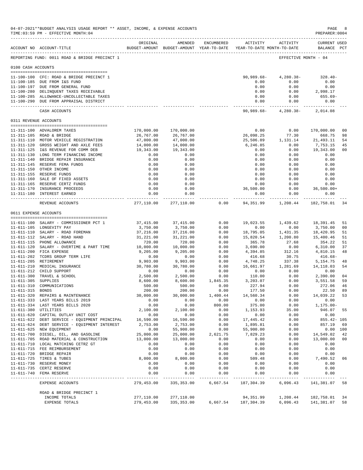|                       | 04-07-2021**BUDGET ANALYSIS USAGE REPORT ** ASSET, INCOME, & EXPENSE ACCOUNTS<br>TIME: 03:59 PM - EFFECTIVE MONTH: 04 |                       |                                                                                |                    |                       |                              | PAGE<br>PREPARER: 0004                        | 8              |
|-----------------------|-----------------------------------------------------------------------------------------------------------------------|-----------------------|--------------------------------------------------------------------------------|--------------------|-----------------------|------------------------------|-----------------------------------------------|----------------|
|                       | ACCOUNT NO ACCOUNT-TITLE                                                                                              | ORIGINAL              | AMENDED<br>BUDGET-AMOUNT BUDGET-AMOUNT YEAR-TO-DATE YEAR-TO-DATE MONTH-TO-DATE | ENCUMBERED         | ACTIVITY              | ACTIVITY                     | <b>CURRENT USED</b><br>BALANCE PCT            |                |
|                       | REPORTING FUND: 0011 ROAD & BRIDGE PRECINCT 1                                                                         |                       |                                                                                |                    |                       |                              | EFFECTIVE MONTH - 04                          |                |
| 0100 CASH ACCOUNTS    |                                                                                                                       |                       |                                                                                |                    |                       |                              |                                               |                |
|                       | 11-100-100 CFC: ROAD & BRIDGE PRECINCT 1                                                                              |                       |                                                                                |                    | 90,989.68-            | $4,280.38-$                  | $328.40-$                                     |                |
|                       | 11-100-185 DUE FROM I&S FUND                                                                                          |                       |                                                                                |                    | 0.00                  | 0.00                         | 0.00                                          |                |
|                       | 11-100-197 DUE FROM GENERAL FUND                                                                                      |                       |                                                                                |                    | 0.00                  | 0.00                         | 0.00                                          |                |
|                       | 11-100-280 DELINQUENT TAXES RECEIVABLE                                                                                |                       |                                                                                |                    | 0.00                  | 0.00                         | 2,998.17                                      |                |
|                       | 11-100-285 ALLOWANCE-UNCOLLECTABLE TAXES<br>11-100-290 DUE FROM APPRAISAL DISTRICT                                    |                       |                                                                                |                    | 0.00<br>0.00          | 0.00<br>0.00                 | 655.69-<br>0.00                               |                |
|                       |                                                                                                                       |                       |                                                                                |                    | --------------        | ----------                   |                                               |                |
|                       | CASH ACCOUNTS                                                                                                         |                       |                                                                                |                    |                       |                              | $90,989.68 - 4,280.38 - 2,014.08$             |                |
| 0311 REVENUE ACCOUNTS |                                                                                                                       |                       |                                                                                |                    |                       |                              |                                               |                |
|                       | 11-311-100 ADVALOREM TAXES                                                                                            | 170,000.00            | 170,000.00                                                                     |                    | 0.00                  | 0.00                         | 170,000.00                                    | 0 <sup>0</sup> |
|                       | 11-311-105 ROAD & BRIDGE                                                                                              | 26,767.00             | 26,767.00                                                                      |                    | 26,098.25             | 77.30                        | 668.75                                        | 98             |
|                       | 11-311-110 MOTOR VEHICLE REGISTRATION                                                                                 | 47,000.00             | 47,000.00                                                                      |                    | 25,506.89             | 1,131.14                     | 21, 493.11                                    | 54             |
|                       | 11-311-120 GROSS WEIGHT AND AXLE FEES                                                                                 | 14,000.00             | 14,000.00                                                                      |                    | 6,246.85              | 0.00                         | 7,753.15                                      | 45             |
|                       | 11-311-125 I&S REVENUE FOR COMM DEB                                                                                   | 19,343.00             | 19,343.00                                                                      |                    | 0.00                  | 0.00                         | 19,343.00                                     | 00             |
|                       | 11-311-130 LONG TERM FINANCING INCOME                                                                                 | 0.00                  | 0.00                                                                           |                    | 0.00                  | 0.00                         | 0.00                                          |                |
|                       | 11-311-140 BRIDGE REPAIR INSURANCE                                                                                    | 0.00                  | 0.00                                                                           |                    | 0.00                  | 0.00                         | 0.00                                          |                |
|                       | 11-311-145 RESERVE FEMA FUNDS                                                                                         | 0.00                  | 0.00                                                                           |                    | 0.00<br>0.00          | 0.00                         | 0.00                                          |                |
|                       | 11-311-150 OTHER INCOME<br>11-311-155 RESERVE FUNDS                                                                   | 0.00<br>0.00          | 0.00<br>0.00                                                                   |                    | 0.00                  | 0.00<br>0.00                 | 0.00<br>0.00                                  |                |
|                       | 11-311-160 SALE OF FIXED ASSETS                                                                                       | 0.00                  | 0.00                                                                           |                    | 0.00                  | 0.00                         | 0.00                                          |                |
|                       | 11-311-165 RESERVE CERTZ FUNDS                                                                                        | 0.00                  | 0.00                                                                           |                    | 0.00                  | 0.00                         | 0.00                                          |                |
|                       | 11-311-170 INSURANCE PROCEEDS                                                                                         | 0.00                  | 0.00                                                                           |                    | 36,500.00             |                              | $0.00$ $36,500.00+$                           |                |
|                       | 11-311-180 INTEREST EARNED                                                                                            | 0.00                  | 0.00<br>-------------                                                          |                    | 0.00                  | 0.00                         | 0.00                                          |                |
|                       | REVENUE ACCOUNTS                                                                                                      |                       | 277,110.00 277,110.00                                                          |                    |                       |                              | $0.00$ $94,351.99$ $1,208.44$ $182,758.01$ 34 |                |
| 0611 EXPENSE ACCOUNTS |                                                                                                                       |                       |                                                                                |                    |                       |                              |                                               |                |
|                       |                                                                                                                       |                       |                                                                                |                    |                       |                              |                                               |                |
|                       | 11-611-100 SALARY - COMMISSIONER PCT 1                                                                                | 37,415.00             | 37,415.00                                                                      | 0.00               | 19,023.55             | 1,439.62                     | 18,391.45                                     | 51             |
|                       | 11-611-105 LONGEVITY PAY<br>11-611-110 SALARY - ROAD FOREMAN                                                          | 3,750.00<br>37,216.00 | 3,750.00<br>37,216.00                                                          | 0.00<br>0.00       | 0.00<br>18,795.05     | 0.00<br>1,431.35             | 3,750.00<br>18,420.95                         | 00<br>51       |
|                       | 11-611-112 SALARY - ROAD HAND                                                                                         | 31,221.00             | 31,221.00                                                                      | 0.00               | 15,820.54             | 1,200.80                     | 15,400.46                                     | 51             |
|                       | 11-611-115 PHONE ALLOWANCE                                                                                            | 720.00                | 720.00                                                                         | 0.00               | 365.78                | 27.68                        | 354.22                                        | 51             |
|                       | 11-611-120 SALARY - OVERTIME & PART TIME                                                                              | 10,000.00             | 10,000.00                                                                      | 0.00               | 3,690.00              | 0.00                         | 6,310.00                                      | 37             |
|                       | 11-611-200 FICA EXPENSE                                                                                               | 9,205.00              | 9,205.00                                                                       | 0.00               | 4,394.85              | 312.16                       | 4,810.15                                      | 48             |
|                       | 11-611-202 TCDRS GROUP TERM LIFE                                                                                      | 0.00                  | 0.00                                                                           | 0.00               | 416.68                | 30.75                        | 416.68-                                       |                |
|                       | 11-611-205 RETIREMENT                                                                                                 | 9,903.00              | 9,903.00                                                                       | 0.00               | 4,748.25              | 337.38<br>337.38<br>1,281.69 | 5,154.75                                      | 48             |
|                       | 11-611-210 MEDICAL INSURANCE                                                                                          | 30,780.00             | 30,780.00                                                                      | 0.00               | 16,661.97             |                              | 14,118.03                                     | 54             |
|                       | 11-611-212 CHILD SUPPORT                                                                                              | 0.00                  | 0.00                                                                           | 0.00               | 0.00                  | 0.00                         | 0.00                                          |                |
| 11-611-305 SUPPLIES   | 11-611-300 TRAVEL & SCHOOL                                                                                            | 2,500.00<br>8,600.00  | 2,500.00<br>8,600.00                                                           | $0.00$<br>1,845.35 | 110.00<br>3,203.07    | 0.00<br>0.00                 | 2,390.00<br>3,551.58                          | 04<br>59       |
|                       | 11-611-310 COMMUNICATIONS                                                                                             | 500.00                | 500.00                                                                         | 0.00               | 227.94                | 0.00                         | 272.06                                        | 46             |
| 11-611-315 BONDS      |                                                                                                                       | 200.00                | 200.00                                                                         | 0.00               | 177.50                | 0.00                         | 22.50                                         | 89             |
|                       | 11-611-320 REPAIRS & MAINTENANCE                                                                                      | 30,000.00             | 30,000.00                                                                      | 1,400.44           | 14,560.34             | 0.00                         | 14,039.22                                     | 53             |
|                       | 11-611-333 LAST YEARS BILLS 2019                                                                                      | 0.00                  | 0.00                                                                           | 0.00               | 0.00                  | 0.00                         | 0.00                                          |                |
|                       | 11-611-334 LAST YEARS BILLS 2020                                                                                      | 0.00                  | 0.00                                                                           | 800.00             | 375.00                | 0.00                         | $1, 175.00 -$                                 |                |
| 11-611-380 UTILITIES  |                                                                                                                       | 2,100.00              | 2,100.00                                                                       | 0.00               | 1,153.93              | 35.00                        | 946.07                                        | 55             |
|                       | 11-611-620 CAPITAL OUTLAY UNIT COST                                                                                   | 0.00                  | 0.00                                                                           | 0.00               | 0.00                  | 0.00                         | 0.00                                          |                |
|                       | 11-611-622 DEBT SERVICE - EQUIPMENT PRINCIPAL<br>11-611-624 DEBT SERVICE - EQUIPMENT INTEREST                         | 16,590.00             | 16,590.00                                                                      | 0.00               | 17,445.42             | 0.00                         | 855.42- 105                                   |                |
|                       | 11-611-625 NEW EQUIPMENT                                                                                              | 2,753.00<br>0.00      | 2,753.00<br>55,900.00                                                          | 0.00<br>0.00       | 1,895.81<br>55,900.00 | 0.00<br>0.00                 | 857.19                                        | 69<br>0.00 100 |
|                       | 11-611-700 DIESEL, OIL, AND GASOLINE                                                                                  | 25,000.00             | 25,000.00                                                                      | 2,621.75           | 7,829.23              | 0.00                         | 14,549.02                                     | 42             |
|                       | 11-611-705 ROAD MATERIAL & CONSTRUCTION                                                                               | 13,000.00             | 13,000.00                                                                      | 0.00               | 0.00                  | 0.00                         | 13,000.00                                     | 00             |
|                       | 11-611-710 LOCAL MATCHING CETRZ GT                                                                                    | 0.00                  | 0.00                                                                           | 0.00               | 0.00                  | 0.00                         | 0.00                                          |                |
|                       | 11-611-715 FEE REIMBURSEMENT                                                                                          | 0.00                  | 0.00                                                                           | 0.00               | 0.00                  | 0.00                         | 0.00                                          |                |
|                       | 11-611-720 BRIDGE REPAIR                                                                                              | 0.00                  | 0.00                                                                           | 0.00               | 0.00                  | 0.00                         | 0.00                                          |                |
|                       | 11-611-725 TIRES & TUBES                                                                                              | 8,000.00              | 8,000.00                                                                       | 0.00               | 509.48                | 0.00                         | 7,490.52                                      | 06             |
|                       | 11-611-730 RESERVE MONEY                                                                                              | 0.00                  | 0.00                                                                           | 0.00               | 0.00                  | 0.00                         | 0.00                                          |                |
|                       | 11-611-735 CERTZ RESERVE<br>11-611-740 FEMA RESERVE                                                                   | 0.00<br>0.00          | 0.00<br>0.00                                                                   | 0.00<br>0.00       | 0.00<br>0.00          | 0.00<br>0.00                 | 0.00<br>0.00                                  |                |
| <u>___________</u>    | -------------------                                                                                                   | ----------            | ---------                                                                      | $- - - - -$        | ------                | $- - - - -$                  | ----------                                    |                |
|                       | EXPENSE ACCOUNTS                                                                                                      | 279,453.00            | 335, 353.00                                                                    | 6,667.54           | 187,304.39            | 6,096.43                     | 141,381.07                                    | 58             |
|                       | ROAD & BRIDGE PRECINCT 1                                                                                              |                       |                                                                                |                    |                       |                              |                                               |                |
|                       | INCOME TOTALS                                                                                                         | 277,110.00            | 277,110.00                                                                     |                    | 94,351.99             | 1,208.44                     | 182,758.01                                    | 34             |
|                       | EXPENSE TOTALS                                                                                                        | 279,453.00            | 335, 353.00                                                                    | 6,667.54           | 187,304.39            | 6,096.43                     | 141,381.07                                    | 58             |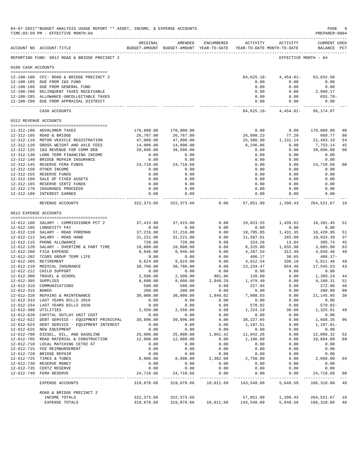|                       | 04-07-2021**BUDGET ANALYSIS USAGE REPORT ** ASSET, INCOME, & EXPENSE ACCOUNTS<br>TIME: 03:59 PM - EFFECTIVE MONTH: 04 |                       |                                                                                |                    |                               |                                  | $\mathop{\mathtt{PAGE}}$<br>PREPARER: 0004                                                                          | 9              |
|-----------------------|-----------------------------------------------------------------------------------------------------------------------|-----------------------|--------------------------------------------------------------------------------|--------------------|-------------------------------|----------------------------------|---------------------------------------------------------------------------------------------------------------------|----------------|
|                       | ACCOUNT NO ACCOUNT-TITLE                                                                                              | ORIGINAL              | AMENDED<br>BUDGET-AMOUNT BUDGET-AMOUNT YEAR-TO-DATE YEAR-TO-DATE MONTH-TO-DATE | ENCUMBERED         |                               | ACTIVITY ACTIVITY                | <b>CURRENT USED</b><br>BALANCE PCT                                                                                  |                |
|                       | REPORTING FUND: 0012 ROAD & BRIDGE PRECINCT 2                                                                         |                       |                                                                                |                    |                               |                                  | EFFECTIVE MONTH - 04                                                                                                |                |
| 0100 CASH ACCOUNTS    |                                                                                                                       |                       |                                                                                |                    |                               |                                  |                                                                                                                     |                |
|                       | 12-100-100 CFC: ROAD & BRIDGE PRECINCT 2                                                                              |                       |                                                                                |                    |                               | $84,625.18 - 4,454.01 -$         | 63,832.50                                                                                                           |                |
|                       | 12-100-185 DUE FROM I&S FUND                                                                                          |                       |                                                                                |                    | 0.00                          | 0.00                             | 0.00                                                                                                                |                |
|                       | 12-100-186 DUE FROM GENERAL FUND<br>12-100-280 DELINQUENT TAXES RECEIVABLE                                            |                       |                                                                                |                    | 0.00<br>0.00                  | 0.00<br>0.00                     | 0.00<br>2,998.17                                                                                                    |                |
|                       | 12-100-285 ALLOWANCE-UNCOLLECTABLE TAXES                                                                              |                       |                                                                                |                    | 0.00                          | 0.00                             | 655.70-                                                                                                             |                |
|                       | 12-100-290 DUE FROM APPRAISAL DISTRICT                                                                                |                       |                                                                                |                    |                               | 0.00<br>0.00<br>-----------      | 0.00                                                                                                                |                |
|                       | CASH ACCOUNTS                                                                                                         |                       |                                                                                |                    | ------------- ------------- - | 84,625.18- 4,454.01- 66,174.97   |                                                                                                                     |                |
| 0312 REVENUE ACCOUNTS |                                                                                                                       |                       |                                                                                |                    |                               |                                  |                                                                                                                     |                |
|                       | 12-312-100 ADVALOREM TAXES                                                                                            | 170,000.00            | 170,000.00                                                                     |                    | 0.00                          | 0.00                             | 170,000.00                                                                                                          | 00             |
|                       | 12-312-105 ROAD & BRIDGE                                                                                              | 26,767.00             | 26,767.00                                                                      |                    | 26,098.23                     | 77.29                            | 668.77                                                                                                              | 98             |
|                       | 12-312-110 MOTOR VEHICLE REGISTRATION                                                                                 | 47,000.00             | 47,000.00                                                                      |                    |                               | 25,506.90   1,131.14   21,493.10 |                                                                                                                     | 54             |
|                       | 12-312-120 GROSS WEIGHT AND AXLE FEES                                                                                 | 14,000.00             | 14,000.00                                                                      |                    | 6,246.86                      | 0.00                             | 7,753.14                                                                                                            | 45             |
|                       | 12-312-125 I&S REVENUE FOR COMM DEB                                                                                   | 39,896.00             | 39,896.00                                                                      |                    | 0.00                          | 0.00                             | 39,896.00                                                                                                           | 00             |
|                       | 12-312-130 LONG TERM FINANCING INCOME                                                                                 | 0.00                  | 0.00                                                                           |                    | 0.00                          | 0.00                             | 0.00                                                                                                                |                |
|                       | 12-312-140 BRIDGE REPAIR INSURANCE<br>12-312-145 RESERVE FEMA FUNDS                                                   | 0.00<br>24,710.66     | 0.00<br>24,710.66                                                              |                    | 0.00<br>0.00                  |                                  | $\begin{array}{ccc} 0\, .\, 0\, 0 & 0\, .\, 0\, 0 \\ 0\, .\, 0\, 0 & 2\, 4\, ,\, 7\, 1\, 0\, .\, 6\, 6 \end{array}$ | 00             |
|                       | 12-312-150 OTHER INCOME                                                                                               | 0.00                  | 0.00                                                                           |                    | 0.00                          | 0.00                             | 0.00                                                                                                                |                |
|                       | 12-312-155 RESERVE FUNDS                                                                                              | 0.00                  | 0.00                                                                           |                    | 0.00                          | 0.00                             | 0.00                                                                                                                |                |
|                       | 12-312-160 SALE OF FIXED ASSETS                                                                                       | 0.00                  | 0.00                                                                           |                    | 0.00                          | 0.00                             | 0.00                                                                                                                |                |
|                       | 12-312-165 RESERVE CERTZ FUNDS                                                                                        | 0.00                  | 0.00                                                                           |                    | 0.00                          | 0.00                             | 0.00                                                                                                                |                |
|                       | 12-312-170 INSURANCE PROCEEDS<br>12-312-180 INTEREST EARNED                                                           | 0.00<br>0.00          | 0.00<br>0.00                                                                   |                    | 0.00<br>0.00                  | 0.00<br>0.00                     | 0.00<br>0.00                                                                                                        |                |
|                       | REVENUE ACCOUNTS                                                                                                      |                       | ------------<br>322,373.66 322,373.66                                          | 0.00               | .<br>57,851.99                |                                  | ----------- -------------<br>1,208.43 264,521.67 18                                                                 |                |
| 0612 EXPENSE ACCOUNTS |                                                                                                                       |                       |                                                                                |                    |                               |                                  |                                                                                                                     |                |
|                       |                                                                                                                       |                       |                                                                                |                    |                               |                                  |                                                                                                                     |                |
|                       | 12-612-100 SALARY - COMMISSIONER PCT 2                                                                                | 37,415.00             | 37,415.00                                                                      | 0.00               | 19,023.55                     | 1,439.62                         | 18,391.45                                                                                                           | 51             |
|                       | 12-612-105 LONGEVITY PAY                                                                                              | 0.00                  | 0.00                                                                           | 0.00               | 0.00                          | 0.00                             | 0.00                                                                                                                |                |
|                       | 12-612-110 SALARY - ROAD FOREMAN                                                                                      | 37,216.00             | 37,216.00                                                                      | 0.00               | 18,795.05                     | 1,431.35                         | 18,420.95                                                                                                           | 51             |
|                       | 12-612-112 SALARY - ROAD HAND                                                                                         | 31,221.00             | 31,221.00                                                                      | 0.00               | 11,587.61                     |                                  | 165.00 19,633.39                                                                                                    | 37             |
|                       | 12-612-115 PHONE ALLOWANCE                                                                                            | 720.00                | 720.00                                                                         | 0.00               | 324.26                        | 13.84                            | 395.74                                                                                                              | 45             |
|                       | 12-612-120 SALARY - OVERTIME & PART TIME<br>12-612-200 FICA EXPENSE                                                   | 10,000.00<br>8,946.00 | 10,000.00<br>8,946.00                                                          | 0.00<br>0.00       | 6,315.00<br>4,287.54          | 1,035.00<br>312.49               | 3,685.00<br>4,658.46                                                                                                | 63<br>48       |
|                       | 12-612-202 TCDRS GROUP TERM LIFE                                                                                      | 0.00                  | 0.00                                                                           | 0.00               | 406.17                        | 30.65                            | $406.17-$                                                                                                           |                |
|                       | 12-612-205 RETIREMENT                                                                                                 | 9,624.00              | 9,624.00                                                                       | 0.00               | 4,612.54                      | 336.18                           | 5,011.46 48                                                                                                         |                |
|                       | 12-612-210 MEDICAL INSURANCE                                                                                          | 30,780.00             | 30,780.00                                                                      | 0.00               | 13,234.47                     | 854.46                           | 17,545.53                                                                                                           | 43             |
|                       | 12-612-212 CHILD SUPPORT                                                                                              | 0.00                  | 0.00                                                                           | 0.00               | 0.00                          | 0.00                             | 0.00                                                                                                                |                |
|                       | 12-612-300 TRAVEL & SCHOOL                                                                                            | 2,500.00              | 2,500.00                                                                       | 981.96<br>2,940.29 | 128.80<br>1,479.40            | 0.00                             | 1,389.24 44<br>4,180.31                                                                                             | 51             |
| 12-612-305 SUPPLIES   | 12-612-310 COMMUNICATIONS                                                                                             | 8,600.00<br>500.00    | 8,600.00<br>500.00                                                             | 0.00               | 227.94                        | 0.00<br>0.00                     | 272.06                                                                                                              | 46             |
| 12-612-315 BONDS      |                                                                                                                       | 200.00                | 200.00                                                                         | 0.00               | 0.00                          | 0.00                             | 200.00                                                                                                              | 0 <sup>0</sup> |
|                       | 12-612-320 REPAIRS & MAINTENANCE                                                                                      | 30,000.00             | 30,000.00                                                                      | 1,846.02           | 7,008.03                      | 0.00                             | 21,145.95                                                                                                           | 30             |
|                       | 12-612-333 LAST YEARS BILLS 2019                                                                                      | 0.00                  | 0.00                                                                           | 0.00               | 0.00                          | 0.00                             | 0.00                                                                                                                |                |
|                       | 12-612-334 LAST YEARS BILLS 2020                                                                                      | 0.00                  | 0.00                                                                           | 0.00               | 570.02                        | 0.00                             | $570.02 -$                                                                                                          |                |
| 12-612-380 UTILITIES  |                                                                                                                       | 2,550.00              | 2,550.00                                                                       | 0.00               | 1,224.19                      | 30.00                            | 1,325.81 48                                                                                                         |                |
|                       | 12-612-620 CAPITAL OUTLAY UNIT COST<br>12-612-622 DEBT SERVICE - EQUIPMENT PRINICPAL                                  | 0.00<br>39,896.00     | 0.00<br>39,896.00                                                              | 0.00<br>0.00       | 0.00<br>38, 227.65            | 0.00<br>0.00                     | 0.00<br>1,668.35                                                                                                    | 96             |
|                       | 12-612-624 DEBT SERVICE - EQUIPMENT INTEREST                                                                          | 0.00                  | 0.00                                                                           | 0.00               | 1,197.61                      | 0.00                             | $1, 197.61 -$                                                                                                       |                |
|                       | 12-612-625 NEW EQUIPMENT                                                                                              | 0.00                  | 0.00                                                                           | 0.00               | 0.00                          | 0.00                             | 0.00                                                                                                                |                |
|                       | 12-612-700 DIESEL, OIL, AND GASOLINE                                                                                  | 25,000.00             | 25,000.00                                                                      | 1,861.42           | 11,042.26                     | 0.00                             | 12,096.32                                                                                                           | 52             |
|                       | 12-612-705 ROAD MATERIAL & CONSTRUCTION                                                                               | 12,000.00             | 12,000.00                                                                      | 0.00               | 1,106.00                      | 0.00                             | 10,894.00                                                                                                           | 09             |
|                       | 12-612-710 LOCAL MATCHING CETRZ GT                                                                                    | 0.00                  | 0.00                                                                           | 0.00               | 0.00                          | 0.00                             | 0.00                                                                                                                |                |
|                       | 12-612-715 FEE REIMBURSEMENT<br>12-612-720 BRIDGE REPAIR                                                              | 0.00<br>0.00          | 0.00<br>0.00                                                                   | 0.00<br>0.00       | 0.00<br>0.00                  | 0.00<br>0.00                     | 0.00<br>0.00                                                                                                        |                |
|                       | 12-612-725 TIRES & TUBES                                                                                              | 8,000.00              | 8,000.00                                                                       | 2,382.00           | 2,750.00                      | 0.00                             | 2,868.00                                                                                                            | 64             |
|                       | 12-612-730 RESERVE MONEY                                                                                              | 0.00                  | 0.00                                                                           | 0.00               | 0.00                          | 0.00                             | 0.00                                                                                                                |                |
|                       | 12-612-735 CERTZ RESERVE                                                                                              | 0.00                  | 0.00                                                                           | 0.00               | 0.00                          | 0.00                             | 0.00                                                                                                                |                |
|                       | 12-612-740 FEMA RESERVE                                                                                               | 24,710.66             | 24,710.66                                                                      | 0.00               | 0.00<br>-------------         | 0.00<br>------------             | 24,710.66                                                                                                           | 00             |
|                       | EXPENSE ACCOUNTS                                                                                                      | 319,878.66            | 319,878.66                                                                     | 10,011.69          | 143,548.09                    | 5,648.59                         | 166,318.88                                                                                                          | 48             |
|                       | ROAD & BRIDGE PRECINCT 2                                                                                              |                       |                                                                                |                    |                               |                                  |                                                                                                                     |                |
|                       | INCOME TOTALS                                                                                                         | 322,373.66            | 322,373.66                                                                     |                    | 57,851.99                     | 1,208.43                         | 264, 521. 67 18                                                                                                     |                |
|                       | EXPENSE TOTALS                                                                                                        | 319,878.66            | 319,878.66                                                                     | 10,011.69          | 143,548.09                    | 5,648.59                         | 166,318.88                                                                                                          | 48             |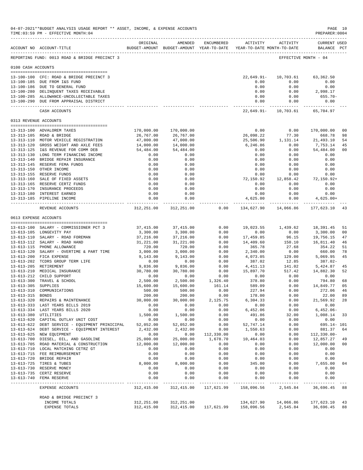|                     | 04-07-2021**BUDGET ANALYSIS USAGE REPORT ** ASSET, INCOME, & EXPENSE ACCOUNTS<br>TIME: 03:59 PM - EFFECTIVE MONTH: 04 |                        |                                                                                |                    |                        |                                | PAGE 10<br>PREPARER: 0004          |                |
|---------------------|-----------------------------------------------------------------------------------------------------------------------|------------------------|--------------------------------------------------------------------------------|--------------------|------------------------|--------------------------------|------------------------------------|----------------|
|                     | ACCOUNT NO ACCOUNT-TITLE                                                                                              | ORIGINAL               | AMENDED<br>BUDGET-AMOUNT BUDGET-AMOUNT YEAR-TO-DATE YEAR-TO-DATE MONTH-TO-DATE | ENCUMBERED         |                        | ACTIVITY ACTIVITY              | <b>CURRENT USED</b><br>BALANCE PCT |                |
|                     | REPORTING FUND: 0013 ROAD & BRIDGE PRECINCT 3                                                                         |                        |                                                                                |                    |                        |                                | EFFECTIVE MONTH - 04               |                |
| 0100 CASH ACCOUNTS  |                                                                                                                       |                        |                                                                                |                    |                        |                                |                                    |                |
|                     | 13-100-100 CFC: ROAD & BRIDGE PRECINCT 3                                                                              |                        |                                                                                |                    | $22,649.91 -$          | 10,703.61                      | 63,362.50                          |                |
|                     | 13-100-185 DUE FROM I&S FUND                                                                                          |                        |                                                                                |                    | 0.00                   | 0.00                           | 0.00                               |                |
|                     | 13-100-186 DUE TO GENERAL FUND<br>13-100-280 DELINQUENT TAXES RECEIVABLE                                              |                        |                                                                                |                    | 0.00<br>0.00           | 0.00<br>0.00                   | 0.00<br>2,998.17                   |                |
|                     | 13-100-285 ALLOWANCE-UNCOLLECTABLE TAXES                                                                              |                        |                                                                                |                    | 0.00                   | 0.00                           | $655.70 -$                         |                |
|                     | 13-100-290 DUE FROM APPRAISAL DISTRICT                                                                                |                        |                                                                                |                    | 0.00                   | 0.00                           | 0.00                               |                |
|                     | CASH ACCOUNTS                                                                                                         |                        |                                                                                |                    |                        | 22,649.91- 10,703.61 65,704.97 |                                    |                |
|                     | 0313 REVENUE ACCOUNTS                                                                                                 |                        |                                                                                |                    |                        |                                |                                    |                |
|                     | 13-313-100 ADVALOREM TAXES                                                                                            | 170,000.00             | 170,000.00                                                                     |                    | 0.00                   | 0.00                           | 170,000.00                         | 0 <sub>0</sub> |
|                     | 13-313-105 ROAD & BRIDGE                                                                                              | 26,767.00              | 26,767.00                                                                      |                    | 26,098.22              | 77.30                          | 668.78                             | 98             |
|                     | 13-313-110 MOTOR VEHICLE REGISTRATION                                                                                 | 47,000.00              | 47,000.00                                                                      |                    | 25,506.90              | 1,131.14                       | 21,493.10                          | 54             |
|                     | 13-313-120 GROSS WEIGHT AND AXLE FEES                                                                                 | 14,000.00              | 14,000.00                                                                      |                    | 6,246.86               | 0.00                           | 7,753.14                           | 45             |
|                     | 13-313-125 I&S REVENUE FOR COMM DEB                                                                                   | 54,484.00              | 54,484.00                                                                      |                    | 0.00                   | 0.00                           | 54,484.00                          | 00             |
|                     | 13-313-130 LONG TERM FINANCING INCOME<br>13-313-140 BRIDGE REPAIR INSURANCE                                           | 0.00<br>0.00           | 0.00<br>0.00                                                                   |                    | 0.00<br>0.00           | 0.00<br>0.00                   | 0.00<br>0.00                       |                |
|                     | 13-313-145 RESERVE FEMA FUNDS                                                                                         | 0.00                   | 0.00                                                                           |                    | 0.00                   | 0.00                           | 0.00                               |                |
|                     | 13-313-150 OTHER INCOME                                                                                               | 0.00                   | 0.00                                                                           |                    | 0.00                   | 0.00                           | 0.00                               |                |
|                     | 13-313-155 RESERVE FUNDS                                                                                              | 0.00                   | 0.00                                                                           |                    | 0.00                   | 0.00                           | 0.00                               |                |
|                     | 13-313-160 SALE OF FIXED ASSETS                                                                                       | 0.00                   | 0.00                                                                           |                    | 72,150.92              | 12,858.42                      | 72,150.92+                         |                |
|                     | 13-313-165 RESERVE CERTZ FUNDS                                                                                        | 0.00                   | 0.00                                                                           |                    | 0.00                   | 0.00                           | 0.00                               |                |
|                     | 13-313-170 INSURANCE PROCEEDS<br>13-313-180 INTEREST EARNED                                                           | 0.00<br>0.00           | 0.00<br>0.00                                                                   |                    | 0.00<br>0.00           | 0.00<br>0.00                   | 0.00<br>0.00                       |                |
|                     | 13-313-185 PIPELINE INCOME                                                                                            | 0.00                   | 0.00                                                                           |                    | 4,625.00               | 0.00                           | $4,625.00+$                        |                |
|                     | REVENUE ACCOUNTS                                                                                                      |                        | 312, 251.00 312, 251.00                                                        | 0.00               | 134,627.90             |                                | 14,066.86 177,623.10 43            |                |
|                     | 0613 EXPENSE ACCOUNTS                                                                                                 |                        |                                                                                |                    |                        |                                |                                    |                |
|                     |                                                                                                                       |                        |                                                                                |                    |                        |                                |                                    |                |
|                     | 13-613-100 SALARY - COMMISSIONER PCT 3                                                                                | 37,415.00              | 37,415.00                                                                      | 0.00               |                        |                                | 19,023.55 1,439.62 18,391.45       | 51             |
|                     | 13-613-105 LONGEVITY PAY                                                                                              | 3,300.00               | 3,300.00                                                                       | 0.00<br>0.00       | 0.00                   | 0.00<br>96.15                  | 3,300.00                           | 00<br>47       |
|                     | 13-613-110 SALARY - ROAD FOREMAN<br>13-613-112 SALARY - ROAD HAND                                                     | 37,216.00<br>31,221.00 | 37,216.00<br>31,221.00                                                         | 0.00               | 17,459.85<br>14,409.60 | 150.10                         | 19,756.15<br>16,811.40             | 46             |
|                     | 13-613-115 PHONE ALLOWANCE                                                                                            | 720.00                 | 720.00                                                                         | 0.00               | 365.78                 | 27.68                          | 354.22                             | 51             |
|                     | 13-613-120 SALARY - OVERTIME & PART TIME                                                                              | 3,000.00               | 3,000.00                                                                       | 0.00               | 2,340.00               | 0.00                           | 660.00                             | 78             |
|                     | 13-613-200 FICA EXPENSE                                                                                               | 9,143.00               | 9,143.00                                                                       | 0.00               | 4,073.05               | 129.00                         | 5,069.95                           | 45             |
|                     | 13-613-202 TCDRS GROUP TERM LIFE                                                                                      | 0.00                   | 0.00                                                                           | 0.00               | 387.02                 | 12.85                          | 387.02-                            |                |
|                     | 13-613-205 RETIREMENT<br>13-613-210 MEDICAL INSURANCE                                                                 | 9,836.00<br>30,780.00  | 9,836.00<br>30,780.00                                                          | 0.00<br>0.00       | 4,411.13<br>15,897.70  | 141.02<br>517.42               | 5,424.87<br>14,882.30              | 45<br>52       |
|                     | 13-613-212 CHILD SUPPORT                                                                                              | 0.00                   | 0.00                                                                           | 0.00               |                        | 0.00                           | 0.00                               |                |
|                     | 13-613-300 TRAVEL & SCHOOL                                                                                            | 2,500.00               | 2,500.00                                                                       | 1,326.40           | $0.00$ $378.80$        | 0.00                           | 794.80                             | 68             |
| 13-613-305 SUPPLIES |                                                                                                                       | 15,600.00              | 15,600.00                                                                      | 161.14             | 589.09                 | 0.00                           | 14,849.77                          | 05             |
|                     | 13-613-310 COMMUNICATIONS                                                                                             | 500.00                 | 500.00                                                                         | 0.00               | 227.94                 | 0.00                           | 272.06                             | 46             |
| 13-613-315 BONDS    |                                                                                                                       | 200.00                 | 200.00                                                                         | 0.00               | 178.00                 | 0.00                           | 22.00                              | 89             |
|                     | 13-613-320 REPAIRS & MAINTENANCE<br>13-613-333 LAST YEARS BILLS 2019                                                  | 30,000.00<br>0.00      | 30,000.00<br>0.00                                                              | 2,125.75<br>0.00   | 6,304.33<br>0.00       | 0.00<br>0.00                   | 21,569.92<br>0.00                  | 28             |
|                     | 13-613-334 LAST YEARS BILLS 2020                                                                                      | 0.00                   | 0.00                                                                           | 0.00               | 6,452.06               | 0.00                           | $6,452.06-$                        |                |
|                     | 13-613-380 UTILITIES                                                                                                  | 1,500.00               | 1,500.00                                                                       | 0.00               | 491.86                 | 32.00                          | 1,008.14                           | 33             |
|                     | 13-613-620 CAPITAL OUTLAY UNIT COST                                                                                   | 0.00                   | 0.00                                                                           | 0.00               | 0.00                   | 0.00                           | 0.00                               |                |
|                     | 13-613-622 DEBT SERVICE - EQUIPMENT PRINICIPAL                                                                        | 52,052.00              | 52,052.00                                                                      | 0.00               | 52,747.14              | 0.00                           | 695.14- 101                        |                |
|                     | 13-613-624 DEBT SERVICE - EQUIPMENT INTEREST<br>13-613-625 NEW EQUIPMENT                                              | 2,432.00<br>0.00       | 2,432.00<br>0.00                                                               | 0.00<br>112,330.00 | 1,550.63<br>0.00       | 0.00<br>0.00                   | 881.37<br>112,330.00-              | 64             |
|                     | 13-613-700 DIESEL, OIL, AND GASOLINE                                                                                  | 25,000.00              | 25,000.00                                                                      | 1,678.70           | 10,464.03              | 0.00                           | 12,857.27                          | 49             |
|                     | 13-613-705 ROAD MATERIAL & CONSTRUCTION                                                                               | 12,000.00              | 12,000.00                                                                      | 0.00               | 0.00                   | 0.00                           | 12,000.00                          | 00             |
|                     | 13-613-710 LOCAL MATCHING CETRZ GT                                                                                    | 0.00                   | 0.00                                                                           | 0.00               | 0.00                   | 0.00                           | 0.00                               |                |
|                     | 13-613-715 FEE REIMBURSEMENT                                                                                          | 0.00                   | 0.00                                                                           | 0.00               | 0.00                   | 0.00                           | 0.00                               |                |
|                     | 13-613-720 BRIDGE REPAIR                                                                                              | 0.00                   | 0.00                                                                           | 0.00               | 0.00                   | 0.00                           | 0.00                               |                |
|                     | 13-613-725 TIRES & TUBES<br>13-613-730 RESERVE MONEY                                                                  | 8,000.00<br>0.00       | 8,000.00<br>0.00                                                               | 0.00<br>0.00       | 345.00<br>0.00         | 0.00<br>0.00                   | 7,655.00<br>0.00                   | 04             |
|                     | 13-613-735 CERTZ RESERVE                                                                                              | 0.00                   | 0.00                                                                           | 0.00               | 0.00                   | 0.00                           | 0.00                               |                |
|                     | 13-613-740 FEMA RESERVE                                                                                               | 0.00                   | 0.00                                                                           | 0.00               | 0.00                   | 0.00                           | 0.00                               |                |
|                     | EXPENSE ACCOUNTS                                                                                                      | 312,415.00             | 312,415.00                                                                     | 117,621.99         | 158,096.56             | 2,545.84                       | 36,696.45                          | 88             |
|                     | ROAD & BRIDGE PRECINCT 3                                                                                              |                        |                                                                                |                    |                        |                                |                                    |                |
|                     | INCOME TOTALS                                                                                                         | 312,251.00             | 312, 251.00                                                                    |                    | 134,627.90             | 14,066.86                      | 177,623.10                         | 43             |
|                     | EXPENSE TOTALS                                                                                                        | 312,415.00             | 312, 415.00                                                                    | 117,621.99         | 158,096.56             | 2,545.84                       | 36,696.45                          | 88             |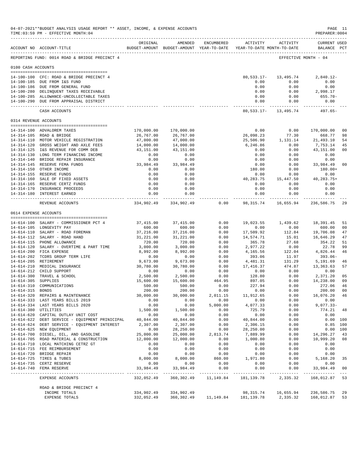|                      | 04-07-2021**BUDGET ANALYSIS USAGE REPORT ** ASSET, INCOME, & EXPENSE ACCOUNTS<br>TIME: 03:59 PM - EFFECTIVE MONTH: 04<br>___________________________________ |                   |                                                                                |                |                                                             |                                           | PAGE 11<br>PREPARER: 0004                                                                                           |                      |
|----------------------|--------------------------------------------------------------------------------------------------------------------------------------------------------------|-------------------|--------------------------------------------------------------------------------|----------------|-------------------------------------------------------------|-------------------------------------------|---------------------------------------------------------------------------------------------------------------------|----------------------|
|                      | ACCOUNT NO ACCOUNT-TITLE                                                                                                                                     | ORIGINAL          | AMENDED<br>BUDGET-AMOUNT BUDGET-AMOUNT YEAR-TO-DATE YEAR-TO-DATE MONTH-TO-DATE | ENCUMBERED     |                                                             | ACTIVITY ACTIVITY                         | <b>CURRENT USED</b><br>BALANCE PCT                                                                                  |                      |
|                      | REPORTING FUND: 0014 ROAD & BRIDGE PRECINCT 4                                                                                                                |                   |                                                                                |                |                                                             |                                           | EFFECTIVE MONTH - 04                                                                                                |                      |
| 0100 CASH ACCOUNTS   |                                                                                                                                                              |                   |                                                                                |                |                                                             |                                           |                                                                                                                     |                      |
|                      | 14-100-100 CFC: ROAD & BRIDGE PRECINCT 4                                                                                                                     |                   |                                                                                |                |                                                             | 80, 533. 17 - 13, 495. 74                 | $2,840.12-$                                                                                                         |                      |
|                      | 14-100-185 DUE FROM I&S FUND                                                                                                                                 |                   |                                                                                |                | 0.00                                                        | 0.00                                      | 0.00                                                                                                                |                      |
|                      | 14-100-186 DUE FROM GENERAL FUND                                                                                                                             |                   |                                                                                |                | 0.00                                                        | 0.00                                      | 0.00                                                                                                                |                      |
|                      | 14-100-280 DELINQUENT TAXES RECEIVABLE                                                                                                                       |                   |                                                                                |                | 0.00                                                        | 0.00                                      | 2,998.17                                                                                                            |                      |
|                      | 14-100-285 ALLOWANCE-UNCOLLECTABLE TAXES<br>14-100-290 DUE FROM APPRAISAL DISTRICT                                                                           |                   |                                                                                |                | 0.00<br>0.00                                                | 0.00<br>0.00                              | $655.70 -$<br>0.00                                                                                                  |                      |
|                      | CASH ACCOUNTS                                                                                                                                                |                   |                                                                                |                |                                                             | 80,533.17- 13,495.74                      | 497.65-                                                                                                             |                      |
|                      | 0314 REVENUE ACCOUNTS                                                                                                                                        |                   |                                                                                |                |                                                             |                                           |                                                                                                                     |                      |
|                      | 14-314-100 ADVALOREM TAXES                                                                                                                                   | 170,000.00        | 170,000.00                                                                     |                | 0.00                                                        | 0.00                                      | 170,000.00                                                                                                          | 0 <sub>0</sub>       |
|                      | 14-314-105 ROAD & BRIDGE                                                                                                                                     | 26,767.00         | 26,767.00                                                                      |                | 26,098.23                                                   | 77.30                                     | 668.77                                                                                                              | 98                   |
|                      | 14-314-110 MOTOR VEHICLE REGISTRATION                                                                                                                        | 47,000.00         | 47,000.00                                                                      |                | 25,506.90                                                   | 1,131.14                                  | 21,493.10                                                                                                           | 54                   |
|                      | 14-314-120 GROSS WEIGHT AND AXLE FEES                                                                                                                        | 14,000.00         | 14,000.00                                                                      |                | 6,246.86                                                    | 0.00                                      | 7,753.14                                                                                                            | 45                   |
|                      | 14-314-125 I&S REVENUE FOR COMM DEB                                                                                                                          | 43,151.00         | 43,151.00                                                                      |                | 0.00                                                        | 0.00                                      | 43,151.00                                                                                                           | 0 <sub>0</sub>       |
|                      | 14-314-130 LONG TERM FINANCING INCOME                                                                                                                        | 0.00              | 0.00                                                                           |                | 0.00                                                        | 0.00                                      | 0.00                                                                                                                |                      |
|                      | 14-314-140 BRIDGE REPAIR INSURANCE<br>14-314-145 RESERVE FEMA FUNDS                                                                                          | 0.00<br>33,984.49 | 0.00<br>33,984.49                                                              |                | 0.00<br>0.00                                                |                                           | $\begin{array}{ccc} 0\, .\, 0\, 0 & 0\, .\, 0\, 0 \\ 0\, .\, 0\, 0 & 3\, 3\, ,\, 9\, 8\, 4\, .\, 4\, 9 \end{array}$ | 0 <sub>0</sub>       |
|                      | 14-314-150 OTHER INCOME                                                                                                                                      | 0.00              | 0.00                                                                           |                | 180.00                                                      | 0.00                                      | 180.00+                                                                                                             |                      |
|                      | 14-314-155 RESERVE FUNDS                                                                                                                                     | 0.00              | 0.00                                                                           |                | 0.00                                                        | 0.00                                      | 0.00                                                                                                                |                      |
|                      | 14-314-160 SALE OF FIXED ASSETS                                                                                                                              | 0.00              | 0.00                                                                           |                | 40,283.75                                                   | 15,447.50                                 | 40, 283. 75+                                                                                                        |                      |
|                      | 14-314-165 RESERVE CERTZ FUNDS                                                                                                                               | 0.00              | 0.00                                                                           |                | 0.00                                                        | 0.00                                      | 0.00                                                                                                                |                      |
|                      | 14-314-170 INSURANCE PROCEEDS<br>14-314-180 INTEREST EARNED                                                                                                  | 0.00<br>0.00      | 0.00<br>0.00                                                                   |                | 0.00<br>0.00                                                | 0.00<br>0.00                              | 0.00<br>0.00                                                                                                        |                      |
|                      | REVENUE ACCOUNTS                                                                                                                                             | .                 | ------------<br>334,902.49 334,902.49                                          | 0.00           |                                                             | .<br>98, 315. 74 16, 655. 94 236, 586. 75 | ------------                                                                                                        | -29                  |
|                      | 0614 EXPENSE ACCOUNTS                                                                                                                                        |                   |                                                                                |                |                                                             |                                           |                                                                                                                     |                      |
|                      | 14-614-100 SALARY - COMMISSIONER PCT 4                                                                                                                       | 37,415.00         | 37,415.00                                                                      | 0.00           |                                                             | 19,023.55 1,439.62                        | 18,391.45                                                                                                           | 51                   |
|                      | 14-614-105 LONGEVITY PAY                                                                                                                                     | 600.00            | 600.00                                                                         | 0.00           | 0.00                                                        | 0.00                                      | 600.00                                                                                                              | 0 <sub>0</sub>       |
|                      | 14-614-110 SALARY - ROAD FOREMAN                                                                                                                             | 37,216.00         | 37,216.00                                                                      | 0.00           | 17,509.92                                                   | 112.84                                    | 19,706.08                                                                                                           | 47                   |
|                      | 14-614-112 SALARY - ROAD HAND                                                                                                                                | 31,221.00         | 31,221.00                                                                      | 0.00           | 14,574.71                                                   | 15.01                                     | 16,646.29                                                                                                           | 47                   |
|                      | 14-614-115 PHONE ALLOWANCE                                                                                                                                   | 720.00            | 720.00                                                                         | 0.00           | 365.78                                                      | 27.68                                     | 354.22                                                                                                              | 51                   |
|                      | 14-614-120 SALARY - OVERTIME & PART TIME                                                                                                                     | 3,000.00          | 3,000.00                                                                       | 0.00           | 2,977.22                                                    | 0.00                                      | 22.78                                                                                                               | 99                   |
|                      | 14-614-200 FICA EXPENSE<br>14-614-202 TCDRS GROUP TERM LIFE                                                                                                  | 8,992.00<br>0.00  | 8,992.00<br>0.00                                                               | 0.00<br>0.00   | 4,165.56<br>393.06                                          | 122.04<br>11.97                           | 4,826.44<br>$393.06 -$                                                                                              | 46                   |
|                      | 14-614-205 RETIREMENT                                                                                                                                        | 9,673.00          | 9,673.00                                                                       | 0.00           | 4,481.31                                                    | 131.29                                    | 5,191.69                                                                                                            | 46                   |
|                      | 14-614-210 MEDICAL INSURANCE                                                                                                                                 | 30,780.00         | 30,780.00                                                                      | 0.00           | 17,416.37                                                   | 474.87                                    | 13, 363, 63                                                                                                         | 57                   |
|                      | 14-614-212 CHILD SUPPORT                                                                                                                                     | 0.00              | 0.00                                                                           | 0.00           | 0.00                                                        | 0.00                                      | 0.00                                                                                                                |                      |
|                      | 14-614-300 TRAVEL & SCHOOL                                                                                                                                   | 2,500.00          | 2,500.00                                                                       | 0.00           | 128.80                                                      | 0.00                                      | 2,371.20                                                                                                            | 05                   |
| 14-614-305 SUPPLIES  |                                                                                                                                                              | 15,600.00         | 15,600.00                                                                      | 464.95         | 897.05                                                      | 0.00                                      | 14,238.00                                                                                                           | 09                   |
| 14-614-315 BONDS     | 14-614-310 COMMUNICATIONS                                                                                                                                    | 500.00<br>200.00  | 500.00<br>200.00                                                               | 0.00<br>0.00   | 227.94<br>0.00                                              | 0.00<br>0.00                              | 272.06<br>200.00                                                                                                    | 46<br>0 <sub>0</sub> |
|                      | 14-614-320 REPAIRS & MAINTENANCE                                                                                                                             | 30,000.00         | 30,000.00                                                                      | 2,011.15       | 11,912.65                                                   | 0.00                                      | 16,076.20 46                                                                                                        |                      |
|                      | 14-614-333 LAST YEARS BILLS 2019                                                                                                                             | 0.00              | 0.00                                                                           | 0.00           | 0.00                                                        | 0.00                                      | 0.00                                                                                                                |                      |
|                      | 14-614-334 LAST YEARS BILLS 2020                                                                                                                             | 0.00              | 0.00                                                                           | 5,000.00       | 4.077.33                                                    | 0.00                                      | $9,077.33-$                                                                                                         |                      |
| 14-614-380 UTILITIES |                                                                                                                                                              | 1,500.00          | 1,500.00                                                                       | 0.00           | 725.79                                                      | 0.00                                      | 774.21 48                                                                                                           |                      |
|                      | 14-614-620 CAPITAL OUTLAY UNIT COST                                                                                                                          | 0.00              | 0.00                                                                           | 0.00           | 0.00                                                        | 0.00                                      | 0.00                                                                                                                |                      |
|                      | 14-614-622 DEBT SERVICE - EQUIPMENT PRINICIPAL                                                                                                               | 40,844.00         | 40,844.00                                                                      | 0.00           | 40,844.00                                                   | 0.00                                      | 0.00 100                                                                                                            |                      |
|                      | 14-614-624 DEBT SERVICE - EQUIPMENT INTEREST<br>14-614-625 NEW EQUIPMENT                                                                                     | 2,307.00<br>0.00  | 2,307.00<br>28,250.00                                                          | 0.00<br>0.00   | 2,306.15<br>28,250.00                                       | 0.00<br>0.00                              | $0.85$ 100                                                                                                          | 0.00 100             |
|                      | 14-614-700 DIESEL, OIL, AND GASOLINE                                                                                                                         | 25,000.00         | 25,000.00                                                                      | 2,813.74       | 7,889.99                                                    | 0.00                                      | 14,296.27                                                                                                           | 43                   |
|                      | 14-614-705 ROAD MATERIAL & CONSTRUCTION                                                                                                                      | 12,000.00         | 12,000.00                                                                      | 0.00           | 1,000.80                                                    | 0.00                                      | 10,999.20                                                                                                           | 08                   |
|                      | 14-614-710 LOCAL MATCHING CETRZ GT                                                                                                                           | 0.00              | 0.00                                                                           | 0.00           | 0.00                                                        | 0.00                                      | 0.00                                                                                                                |                      |
|                      | 14-614-715 FEE REIMBURSEMENT                                                                                                                                 | 0.00              | 0.00                                                                           | 0.00           | 0.00                                                        | 0.00                                      | 0.00                                                                                                                |                      |
|                      | 14-614-720 BRIDGE REPAIR                                                                                                                                     | 0.00              | 0.00                                                                           | 0.00           | 0.00                                                        | 0.00                                      | 0.00                                                                                                                |                      |
|                      | 14-614-725 TIRES & TUBES                                                                                                                                     | 8,000.00<br>0.00  | 8,000.00<br>0.00                                                               | 860.00<br>0.00 | 1,971.80<br>0.00                                            | 0.00                                      | 5,168.20                                                                                                            | 35                   |
|                      | 14-614-735 CERTZ RESERVE<br>14-614-740 FEMA RESERVE                                                                                                          | 33,984.49         | 33,984.49                                                                      | 0.00           | 0.00                                                        | 0.00<br>0.00                              | 0.00<br>33,984.49                                                                                                   | 0 <sub>0</sub>       |
|                      | EXPENSE ACCOUNTS                                                                                                                                             | 332,052.49        |                                                                                |                | ------------ -<br>360, 302. 49   11, 149. 84   181, 139. 78 | 2,335.32                                  | 168,012.87                                                                                                          | 53                   |
|                      | ROAD & BRIDGE PRECINCT 4                                                                                                                                     |                   |                                                                                |                |                                                             |                                           |                                                                                                                     |                      |
|                      | INCOME TOTALS                                                                                                                                                | 334,902.49        | 334,902.49                                                                     |                |                                                             | 98,315.74 16,655.94                       | 236,586.75                                                                                                          | 29                   |
|                      | EXPENSE TOTALS                                                                                                                                               |                   | 332,052.49 360,302.49 11,149.84 181,139.78 2,335.32 168,012.87                 |                |                                                             |                                           |                                                                                                                     | 53                   |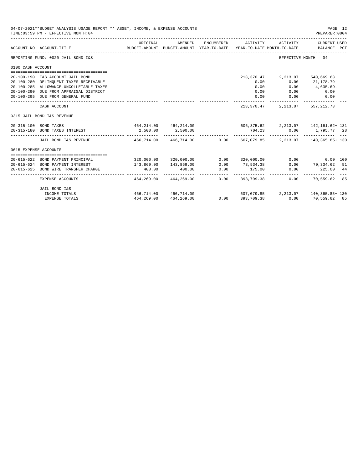|                       | 04-07-2021**BUDGET ANALYSIS USAGE REPORT ** ASSET, INCOME, & EXPENSE ACCOUNTS<br>TIME: 03:59 PM - EFFECTIVE MONTH: 04 |                                                                           |                         |            |                                                                                 |                      | PAGE 12<br>PREPARER: 0004   |  |
|-----------------------|-----------------------------------------------------------------------------------------------------------------------|---------------------------------------------------------------------------|-------------------------|------------|---------------------------------------------------------------------------------|----------------------|-----------------------------|--|
|                       | ACCOUNT NO ACCOUNT-TITLE                                                                                              | ORIGINAL                                                                  | AMENDED                 | ENCUMBERED | BUDGET-AMOUNT BUDGET-AMOUNT YEAR-TO-DATE YEAR-TO-DATE MONTH-TO-DATE BALANCE PCT | ACTIVITY ACTIVITY    | CURRENT USED                |  |
|                       | REPORTING FUND: 0020 JAIL BOND I&S                                                                                    |                                                                           |                         |            |                                                                                 | EFFECTIVE MONTH - 04 |                             |  |
| 0100 CASH ACCOUNT     |                                                                                                                       |                                                                           |                         |            |                                                                                 |                      |                             |  |
|                       |                                                                                                                       |                                                                           |                         |            |                                                                                 |                      |                             |  |
|                       | 20-100-190 I&S ACCOUNT JAIL BOND                                                                                      |                                                                           |                         |            | 213,370.47                                                                      | 2,213.07             | 540,669.63                  |  |
|                       | 20-100-280 DELINQUENT TAXES RECEIVABLE                                                                                |                                                                           |                         |            | 0.00                                                                            | 0.00                 | 21,178.79                   |  |
|                       | 20-100-285 ALLOWANCE-UNCOLLETABLE TAXES                                                                               |                                                                           |                         |            | 0.00                                                                            | 0.00                 | $4,635.69-$                 |  |
|                       | 20-100-290 DUE FROM APPRAISAL DISTRICT<br>20-100-295 DUE FROM GENERAL FUND                                            |                                                                           |                         |            | 0.00                                                                            | 0.00                 | 0.00                        |  |
|                       |                                                                                                                       |                                                                           |                         |            | 0.00<br>------------ -                                                          | 0.00                 | 0.00                        |  |
|                       | CASH ACCOUNT                                                                                                          |                                                                           |                         |            | 213,370.47                                                                      |                      | 2, 213.07 557, 212.73       |  |
|                       | 0315 JAIL BOND I&S REVENUE                                                                                            |                                                                           |                         |            |                                                                                 |                      |                             |  |
|                       | 20-315-100 BOND TAXES                                                                                                 | $464, 214.00$ $464, 214.00$ $606, 375.62$ $2, 213.07$ $142, 161.62 + 131$ |                         |            |                                                                                 |                      |                             |  |
|                       | 20-315-180 BOND TAXES INTEREST                                                                                        | 2,500.00                                                                  | 2,500.00                |            | 704.23                                                                          |                      | $0.00$ 1,795.77 28          |  |
|                       | JAIL BOND I&S REVENUE 466.714.00 466.714.00 0.00 607.079.85 2.213.07 140.365.85+130                                   |                                                                           |                         |            |                                                                                 |                      |                             |  |
| 0615 EXPENSE ACCOUNTS |                                                                                                                       |                                                                           |                         |            |                                                                                 |                      |                             |  |
|                       |                                                                                                                       |                                                                           |                         |            |                                                                                 |                      |                             |  |
|                       | 20-615-622 BOND PAYMENT PRINCIPAL                                                                                     |                                                                           | 320,000.00 320,000.00   |            | 0.00 320,000.00                                                                 | 0.00                 | $0.00$ 100                  |  |
|                       | 20-615-624 BOND PAYMENT INTEREST                                                                                      | 143,869.00                                                                | 143,869.00              | 0.00       | 73,534.38                                                                       |                      | $0.00$ $70,334.62$ 51       |  |
| $20 - 615 - 625$      | BOND WIRE TRANSFER CHARGE                                                                                             | 400.00                                                                    | 400.00                  | 0.00       | 175.00                                                                          | 0.00<br>------------ | 225.00 44<br>______________ |  |
|                       | EXPENSE ACCOUNTS                                                                                                      |                                                                           | 464,269,00 464,269,00   |            | $0.00$ 393,709.38                                                               |                      | 0.00 70.559.62 85           |  |
|                       | JAIL BOND I&S                                                                                                         |                                                                           |                         |            |                                                                                 |                      |                             |  |
|                       | INCOME TOTALS                                                                                                         | 466.714.00 466.714.00                                                     |                         |            | $607,079.85$ $2,213.07$ $140,365.85+130$                                        |                      |                             |  |
|                       | <b>EXPENSE TOTALS</b>                                                                                                 |                                                                           | 464, 269.00 464, 269.00 |            | 0.0000393,709.38                                                                |                      | $0.00$ 70,559.62 85         |  |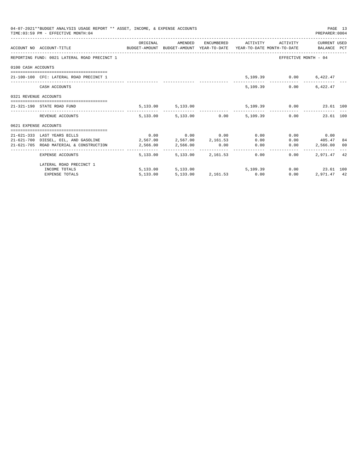|                       | 04-07-2021**BUDGET ANALYSIS USAGE REPORT ** ASSET, INCOME, & EXPENSE ACCOUNTS<br>TIME: 03:59 PM - EFFECTIVE MONTH: 04 |          |                        |                                                           |      | PREPARER:0004           | PAGE 13 |
|-----------------------|-----------------------------------------------------------------------------------------------------------------------|----------|------------------------|-----------------------------------------------------------|------|-------------------------|---------|
|                       | ACCOUNT NO ACCOUNT-TITLE CONTROL BUDGET-AMOUNT BUDGET-AMOUNT YEAR-TO-DATE YEAR-TO-DATE MONTH-TO-DATE BALANCE PCT      |          |                        | ORIGINAL AMENDED ENCUMBERED ACTIVITY ACTIVITY CURRENTUSED |      |                         |         |
|                       | REPORTING FUND: 0021 LATERAL ROAD PRECINCT 1                                                                          |          |                        |                                                           |      | EFFECTIVE MONTH - 04    |         |
| 0100 CASH ACCOUNTS    |                                                                                                                       |          |                        |                                                           |      |                         |         |
|                       | 21-100-100 CFC: LATERAL ROAD PRECINCT 1                                                                               |          |                        |                                                           |      | 5,109.39 0.00 6,422.47  |         |
|                       | CASH ACCOUNTS                                                                                                         |          |                        |                                                           |      | 5,109.39 0.00 6,422.47  |         |
| 0321 REVENUE ACCOUNTS |                                                                                                                       |          |                        |                                                           |      |                         |         |
|                       | 21-321-190 STATE ROAD FUND                                                                                            |          | 5, 133.00 5, 133.00    |                                                           |      | 5,109.39 0.00 23.61 100 |         |
|                       | REVENUE ACCOUNTS                                                                                                      |          |                        | 5,133.00 5,133.00 0.00 5,109.39 0.00 23.61 100            |      |                         |         |
| 0621 EXPENSE ACCOUNTS |                                                                                                                       |          |                        |                                                           |      |                         |         |
|                       |                                                                                                                       |          |                        |                                                           |      |                         |         |
|                       | 21-621-333 LAST YEARS BILLS                                                                                           |          |                        | $0.00$ $0.00$ $0.00$ $0.00$ $0.00$                        |      | $0.00$ 0.00             |         |
|                       | $21-621-700$ DIESEL, OIL, AND GASOLINE $2,567.00$ $2,567.00$ $2,161.53$ $0.00$                                        |          |                        |                                                           |      | $0.00$ $405.47$ 84      |         |
|                       | 21-621-705 ROAD MATERIAL & CONSTRUCTION 2,566.00 2,566.00                                                             |          |                        | $0.00$ 0.00                                               | 0.00 | 2,566.00 00             |         |
|                       | EXPENSE ACCOUNTS                                                                                                      |          |                        | 5,133,00 5,133,00 2,161,53 0.00                           | 0.00 | 2,971.47                | 42      |
|                       | LATERAL ROAD PRECINCT 1                                                                                               |          |                        |                                                           |      |                         |         |
|                       | INCOME TOTALS                                                                                                         |          |                        | 5,133.00 5,133.00 5,109.39                                |      | $0.00$ 23.61 100        |         |
|                       | <b>EXPENSE TOTALS</b>                                                                                                 | 5,133.00 | 5,133.00 2,161.53 0.00 |                                                           | 0.00 | 2,971.47 42             |         |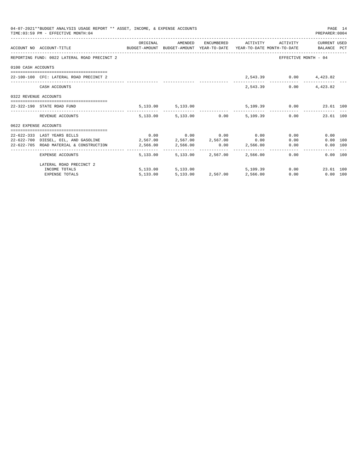|                       | 04-07-2021**BUDGET ANALYSIS USAGE REPORT ** ASSET, INCOME, & EXPENSE ACCOUNTS<br>TIME: 03:59 PM - EFFECTIVE MONTH: 04 |                                                       |                            |                                                           |      | PAGE 14<br>PREPARER:0004 |  |
|-----------------------|-----------------------------------------------------------------------------------------------------------------------|-------------------------------------------------------|----------------------------|-----------------------------------------------------------|------|--------------------------|--|
|                       | ACCOUNT NO ACCOUNT-TITLE CONTROL BUDGET-AMOUNT BUDGET-AMOUNT YEAR-TO-DATE YEAR-TO-DATE MONTH-TO-DATE BALANCE PCT      |                                                       |                            | ORIGINAL AMENDED ENCUMBERED ACTIVITY ACTIVITY CURRENTUSED |      |                          |  |
|                       | REPORTING FUND: 0022 LATERAL ROAD PRECINCT 2                                                                          |                                                       |                            |                                                           |      | EFFECTIVE MONTH - 04     |  |
| 0100 CASH ACCOUNTS    |                                                                                                                       |                                                       |                            |                                                           |      |                          |  |
|                       | 22-100-100 CFC: LATERAL ROAD PRECINCT 2                                                                               |                                                       |                            |                                                           |      | 2,543.39 0.00 4,423.82   |  |
|                       | CASH ACCOUNTS                                                                                                         |                                                       |                            | 2,543.39                                                  | 0.00 | 4,423.82                 |  |
| 0322 REVENUE ACCOUNTS |                                                                                                                       |                                                       |                            |                                                           |      |                          |  |
|                       | 22-322-190 STATE ROAD FUND                                                                                            | $5,133.00$ $5,133.00$ $5,109.39$ $0.00$ $23.61$ $100$ |                            |                                                           |      |                          |  |
|                       | REVENUE ACCOUNTS                                                                                                      |                                                       |                            | 5,133.00 5,133.00 0.00 5,109.39 0.00 23.61 100            |      |                          |  |
| 0622 EXPENSE ACCOUNTS |                                                                                                                       |                                                       |                            |                                                           |      |                          |  |
|                       |                                                                                                                       |                                                       |                            |                                                           |      |                          |  |
|                       | 22-622-333 LAST YEARS BILLS                                                                                           | $0.00$ $0.00$ $0.00$ $0.00$ $0.00$ $0.00$             |                            |                                                           |      | 0.00<br>0.00             |  |
|                       | $22-622-700$ DIESEL, OIL, AND GASOLINE $2,567.00$ $2,567.00$ $2,567.00$ $0.00$                                        |                                                       |                            |                                                           |      | $0.00$ 100<br>0.00       |  |
|                       | 22-622-705 ROAD MATERIAL & CONSTRUCTION 2,566.00 2,566.00                                                             |                                                       |                            | 0.00 2,566.00                                             |      | 0.00<br>0.00 100         |  |
|                       | EXPENSE ACCOUNTS                                                                                                      |                                                       | 5,133.00 5,133.00 2,567.00 | 2,566.00                                                  | 0.00 | 0.00 100                 |  |
|                       | LATERAL ROAD PRECINCT 2                                                                                               |                                                       |                            |                                                           |      |                          |  |
|                       | INCOME TOTALS                                                                                                         |                                                       | 5,133.00 5,133.00          | 5,109.39                                                  |      | 0.00<br>23.61 100        |  |
|                       | <b>EXPENSE TOTALS</b>                                                                                                 | 5,133.00                                              |                            | 5,133.00 2,567.00 2,566.00                                | 0.00 | $0.00$ 100               |  |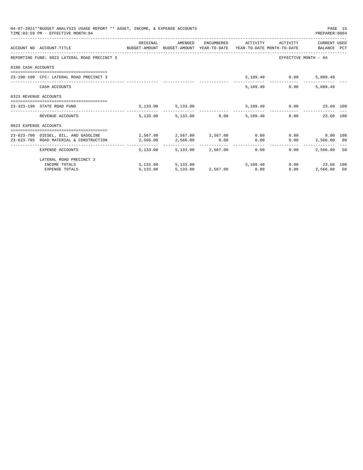|                       | 04-07-2021**BUDGET ANALYSIS USAGE REPORT ** ASSET, INCOME, & EXPENSE ACCOUNTS<br>TIME: 03:59 PM - EFFECTIVE MONTH: 04 |                                     |                                 |          |                               | PREPARER: 0004                               | PAGE 15 |
|-----------------------|-----------------------------------------------------------------------------------------------------------------------|-------------------------------------|---------------------------------|----------|-------------------------------|----------------------------------------------|---------|
|                       | ACCOUNT NO ACCOUNT-TITLE COMPUTE SUDGET-AMOUNT BUDGET-AMOUNT YEAR-TO-DATE YEAR-TO-DATE MONTH-TO-DATE BALANCE PCT      | ORIGINAL                            | AMENDED                         |          | ENCUMBERED ACTIVITY ACTIVITY  | CURRENT USED                                 |         |
|                       | REPORTING FUND: 0023 LATERAL ROAD PRECINCT 3                                                                          |                                     |                                 |          |                               | EFFECTIVE MONTH - 04                         |         |
| 0100 CASH ACCOUNTS    |                                                                                                                       |                                     |                                 |          |                               |                                              |         |
|                       | 23-100-100 CFC: LATERAL ROAD PRECINCT 3                                                                               |                                     |                                 |          | 5,109.40   0.00   5,089.49    |                                              |         |
|                       | CASH ACCOUNTS                                                                                                         |                                     |                                 |          | 5,109.40 0.00                 | 5,089.49                                     |         |
| 0323 REVENUE ACCOUNTS |                                                                                                                       |                                     |                                 |          |                               |                                              |         |
|                       | 23-323-190 STATE ROAD FUND                                                                                            |                                     | 5, 133.00 5, 133.00             |          | 5,109.40   0.00   23.60   100 |                                              |         |
|                       | REVENUE ACCOUNTS                                                                                                      |                                     | 5,133.00 5,133.00 0.00          | 5,109,40 |                               | 0.00<br>23.60 100                            |         |
| 0623 EXPENSE ACCOUNTS |                                                                                                                       |                                     |                                 |          |                               |                                              |         |
|                       | 23-623-700 DIESEL, OIL, AND GASOLINE 2,567.00 2,567.00 2,567.00 0.00                                                  |                                     |                                 |          |                               | $0.00$ 0.00 100                              |         |
|                       | 23-623-705 ROAD MATERIAL & CONSTRUCTION                                                                               | $2,566.00$ $2,566.00$ $0.00$ $0.00$ |                                 |          |                               | $0.00$ 2,566.00 00                           |         |
|                       | EXPENSE ACCOUNTS                                                                                                      |                                     | 5,133.00 5,133.00 2,567.00 0.00 |          | $0.00 -$                      | -----------------------------<br>2,566,00 50 |         |
|                       | LATERAL ROAD PRECINCT 3                                                                                               |                                     |                                 |          |                               |                                              |         |
|                       | INCOME TOTALS                                                                                                         |                                     | 5,133.00 5,133.00               |          | 5,109,40                      | 0.00 23.60 100                               |         |
|                       | <b>EXPENSE TOTALS</b>                                                                                                 | 5,133.00                            | 5,133.00 2,567.00 0.00          |          | 0.00                          | 2,566.00 50                                  |         |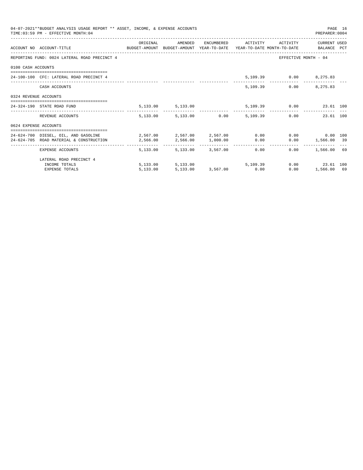|                       | 04-07-2021**BUDGET ANALYSIS USAGE REPORT ** ASSET, INCOME, & EXPENSE ACCOUNTS<br>TIME: 03:59 PM - EFFECTIVE MONTH: 04 |          |                                 |  |                                      | PREPARER: 0004       | PAGE 16 |
|-----------------------|-----------------------------------------------------------------------------------------------------------------------|----------|---------------------------------|--|--------------------------------------|----------------------|---------|
|                       | ACCOUNT NO ACCOUNT-TITLE COMPUTE SUDGET-AMOUNT BUDGET-AMOUNT YEAR-TO-DATE YEAR-TO-DATE MONTH-TO-DATE BALANCE PCT      | ORIGINAL |                                 |  | AMENDED ENCUMBERED ACTIVITY ACTIVITY | CURRENT USED         |         |
|                       | REPORTING FUND: 0024 LATERAL ROAD PRECINCT 4                                                                          |          |                                 |  |                                      | EFFECTIVE MONTH - 04 |         |
| 0100 CASH ACCOUNTS    |                                                                                                                       |          |                                 |  |                                      |                      |         |
|                       | 24-100-100 CFC: LATERAL ROAD PRECINCT 4                                                                               |          |                                 |  | 5,109.39 0.00 8,275.83               |                      |         |
|                       | CASH ACCOUNTS                                                                                                         |          |                                 |  | 5,109.39                             | $0.00$ $8,275.83$    |         |
| 0324 REVENUE ACCOUNTS |                                                                                                                       |          |                                 |  |                                      |                      |         |
|                       | 24-324-190 STATE ROAD FUND                                                                                            |          | 5, 133.00 5, 133.00             |  | 5,109.39 0.00 23.61 100              |                      |         |
|                       | REVENUE ACCOUNTS                                                                                                      |          | 5,133.00 5,133.00 0.00 5,109.39 |  |                                      | 0.00<br>23.61 100    |         |
| 0624 EXPENSE ACCOUNTS |                                                                                                                       |          |                                 |  |                                      |                      |         |
|                       | 24-624-700 DIESEL, OIL, AND GASOLINE 2,567.00 2,567.00 2,567.00 0.00                                                  |          |                                 |  |                                      | $0.00$ 0.00 100      |         |
|                       | 24-624-705 ROAD MATERIAL & CONSTRUCTION                                                                               | 2,566.00 | 2,566.00 1,000.00 0.00          |  |                                      | $0.00$ 1,566.00 39   |         |
|                       | EXPENSE ACCOUNTS                                                                                                      |          | 5,133.00 5,133.00 3,567.00 0.00 |  |                                      | $0.00$ 1,566.00 69   |         |
|                       | LATERAL ROAD PRECINCT 4                                                                                               |          |                                 |  |                                      |                      |         |
|                       | INCOME TOTALS                                                                                                         |          | 5,133.00 5,133.00 5,109.39      |  |                                      | $0.00$ 23.61 100     |         |
|                       | <b>EXPENSE TOTALS</b>                                                                                                 | 5,133.00 | 5,133.00 3,567.00 0.00          |  | 0.00                                 | 1,566.00 69          |         |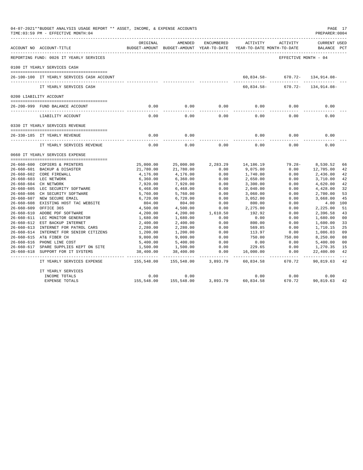| 04-07-2021**BUDGET ANALYSIS USAGE REPORT ** ASSET, INCOME, & EXPENSE ACCOUNTS<br>TIME: 03:59 PM - EFFECTIVE MONTH: 04<br>PREPARER: 0004<br>----------------------- |                                                          |                       |                                                     |              |                                        |                      |                                    |                |
|--------------------------------------------------------------------------------------------------------------------------------------------------------------------|----------------------------------------------------------|-----------------------|-----------------------------------------------------|--------------|----------------------------------------|----------------------|------------------------------------|----------------|
|                                                                                                                                                                    | ACCOUNT NO ACCOUNT-TITLE                                 | ORIGINAL              | AMENDED<br>BUDGET-AMOUNT BUDGET-AMOUNT YEAR-TO-DATE | ENCUMBERED   | ACTIVITY<br>YEAR-TO-DATE MONTH-TO-DATE | ACTIVITY             | <b>CURRENT USED</b><br>BALANCE PCT |                |
|                                                                                                                                                                    | REPORTING FUND: 0026 IT YEARLY SERVICES                  |                       |                                                     |              |                                        | EFFECTIVE MONTH - 04 |                                    |                |
|                                                                                                                                                                    | 0100 IT YEARLY SERVICES CASH                             |                       |                                                     |              |                                        |                      |                                    |                |
|                                                                                                                                                                    | 26-100-100 IT YEARLY SERVICES CASH ACCOUNT               |                       |                                                     |              | 60,834.58-                             |                      | 670.72- 134,914.08-                |                |
|                                                                                                                                                                    | IT YEARLY SERVICES CASH                                  |                       |                                                     |              | 60,834.58-                             |                      | $670.72 - 134.914.08 -$            |                |
|                                                                                                                                                                    | 0200 LIABILITY ACCOUNT                                   |                       |                                                     |              |                                        |                      |                                    |                |
|                                                                                                                                                                    |                                                          |                       |                                                     |              |                                        |                      |                                    |                |
|                                                                                                                                                                    | 26-200-999 FUND BALANCE ACCOUNT                          | 0.00                  | 0.00                                                | 0.00         | 0.00                                   | 0.00                 | 0.00                               |                |
|                                                                                                                                                                    | LIABILITY ACCOUNT                                        | 0.00                  | 0.00                                                | 0.00         | 0.00                                   | 0.00                 | 0.00                               |                |
|                                                                                                                                                                    | 0330 IT YEARLY SERVICES REVENUE                          |                       |                                                     |              |                                        |                      |                                    |                |
|                                                                                                                                                                    |                                                          |                       |                                                     |              |                                        |                      |                                    |                |
|                                                                                                                                                                    | 26-330-185 IT YEARLY REVENUE                             | 0.00                  | 0.00                                                |              | 0.00                                   | 0.00                 | 0.00                               |                |
|                                                                                                                                                                    | IT YEARLY SERVICES REVENUE                               | 0.00                  | 0.00                                                | 0.00         | 0.00                                   | 0.00                 | 0.00                               |                |
|                                                                                                                                                                    | 0660 IT YEARLY SERVICES EXPENSE                          |                       |                                                     |              |                                        |                      |                                    |                |
|                                                                                                                                                                    |                                                          |                       |                                                     |              |                                        |                      |                                    |                |
|                                                                                                                                                                    | 26-660-600 COPIERS & PRINTERS                            | 25,000.00             | 25,000.00                                           | 2,283.29     | 14,186.19                              | $79.28 -$            | 8,530.52                           | 66             |
|                                                                                                                                                                    | 26-660-601 BACKUP & DISASTER<br>26-660-602 CORE FIREWALL | 21,780.00<br>4,176.00 | 21,780.00<br>4,176.00                               | 0.00<br>0.00 | 9,075.00<br>1,740.00                   | 0.00<br>0.00         | 12,705.00<br>2,436.00              | 42<br>42       |
|                                                                                                                                                                    | 26-660-603 LEC NETWORK                                   | 6,360.00              | 6,360.00                                            | 0.00         | 2,650.00                               | 0.00                 | 3,710.00                           | 42             |
|                                                                                                                                                                    | 26-660-604 CH NETWORK                                    | 7,920.00              | 7,920.00                                            | 0.00         | 3,300.00                               | 0.00                 | 4,620.00                           | 42             |
|                                                                                                                                                                    | 26-660-605 LEC SECURITY SOFTWARE                         | 6,468.00              | 6,468.00                                            | 0.00         | 2,040.00                               | 0.00                 | 4,428.00                           | 32             |
|                                                                                                                                                                    | 26-660-606 CH SECURITY SOFTWARE                          | 5,760.00              | 5,760.00                                            | 0.00         | 3,060.00                               | 0.00                 | 2,700.00                           | 53             |
|                                                                                                                                                                    | 26-660-607 NEW SECURE EMAIL                              | 6,720.00              | 6,720.00                                            | 0.00         | 3,052.00                               | 0.00                 | 3,668.00                           | 45             |
|                                                                                                                                                                    | 26-660-608 EXISTING HOST TAC WEBSITE                     | 804.00                | 804.00                                              | 0.00         | 800.00                                 | 0.00                 | 4.00                               | 100            |
| $26 - 660 - 609$                                                                                                                                                   | OFFICE 365                                               | 4,500.00              | 4,500.00                                            | 0.00         | 2,275.00                               | 0.00                 | 2,225.00                           | 51             |
|                                                                                                                                                                    | 26-660-610 ADOBE PDF SOFTWARE                            | 4,200.00              | 4,200.00                                            | 1,610.50     | 192.92                                 | 0.00                 | 2,396.58                           | 43             |
|                                                                                                                                                                    | 26-660-611 LEC MONITOR GENERATOR                         | 1,680.00              | 1,680.00                                            | 0.00         | 0.00                                   | 0.00                 | 1,680.00                           | 0 <sub>0</sub> |
|                                                                                                                                                                    | 26-660-612 EST BACKUP INTERNET                           | 2,400.00              | 2,400.00                                            | 0.00         | 800.00                                 | 0.00                 | 1,600.00                           | 33             |
|                                                                                                                                                                    | 26-660-613 INTERNET FOR PATROL CARS                      | 2,280.00              | 2,280.00                                            | 0.00         | 569.85                                 | 0.00                 | 1,710.15                           | 25             |
|                                                                                                                                                                    | 26-660-614 INTERNET FOR SENIOR CITIZENS                  | 1,200.00              | 1,200.00                                            | 0.00         | 113.97                                 | 0.00                 | 1,086.03                           | 09             |
|                                                                                                                                                                    | 26-660-615 AT& FIBER CH                                  | 9,000.00              | 9,000.00                                            | 0.00         | 750.00                                 | 750.00               | 8,250.00                           | 08             |
|                                                                                                                                                                    | 26-660-616 PHONE LINE COST                               | 5,400.00              | 5,400.00                                            | 0.00         | 0.00                                   | 0.00                 | 5,400.00                           | 0 <sub>0</sub> |
|                                                                                                                                                                    | 26-660-617 SPARE SUPPLIES KEPT ON SITE                   | 1,500.00              | 1,500.00                                            | 0.00         | 229.65                                 | 0.00                 | 1,270.35                           | 15             |
|                                                                                                                                                                    | 26-660-618 SUPPORT FOR IT SYSTEMS                        | 38,400.00             | 38,400.00                                           | 0.00         | 16,000.00                              | 0.00                 | 22,400.00                          | 42             |
|                                                                                                                                                                    | IT YEARLY SERVICES EXPENSE                               | 155,548.00            | 155,548.00                                          | 3,893.79     | 60,834.58                              | 670.72               | 90,819.63                          | 42             |
|                                                                                                                                                                    | IT YEARLY SERVICES                                       |                       |                                                     |              |                                        |                      |                                    |                |
|                                                                                                                                                                    | INCOME TOTALS                                            | 0.00                  | 0.00                                                |              | 0.00                                   | 0.00                 | 0.00                               |                |
|                                                                                                                                                                    | EXPENSE TOTALS                                           | 155,548.00            | 155,548.00                                          | 3,893.79     | 60,834.58                              | 670.72               | 90,819.63                          | 42             |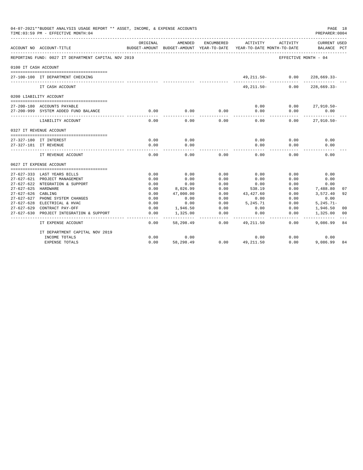|                                         | 04-07-2021**BUDGET ANALYSIS USAGE REPORT ** ASSET, INCOME, & EXPENSE ACCOUNTS<br>TIME: 03:59 PM - EFFECTIVE MONTH: 04 |                           |                          |                            |                   |                                        | PAGE 18<br>PREPARER: 0004 |              |
|-----------------------------------------|-----------------------------------------------------------------------------------------------------------------------|---------------------------|--------------------------|----------------------------|-------------------|----------------------------------------|---------------------------|--------------|
|                                         | ACCOUNT NO ACCOUNT-TITLE                                                                                              | ORIGINAL<br>BUDGET-AMOUNT | AMENDED<br>BUDGET-AMOUNT | ENCUMBERED<br>YEAR-TO-DATE | ACTIVITY          | ACTIVITY<br>YEAR-TO-DATE MONTH-TO-DATE | CURRENT USED<br>BALANCE   | $_{\rm PCT}$ |
|                                         | REPORTING FUND: 0027 IT DEPARTMENT CAPITAL NOV 2019                                                                   |                           |                          |                            |                   |                                        | EFFECTIVE MONTH - 04      |              |
| 0100 IT CASH ACCOUNT                    |                                                                                                                       |                           |                          |                            |                   |                                        |                           |              |
|                                         | 27-100-100 IT DEPARTMENT CHECKING                                                                                     |                           |                          |                            | 49,211.50-        | 0.00                                   | $228,669.33-$             |              |
|                                         | IT CASH ACCOUNT                                                                                                       |                           |                          |                            | 49, 211.50-       | 0.00                                   | $228,669.33-$             |              |
|                                         | 0200 LIABILITY ACCOUNT                                                                                                |                           |                          |                            |                   |                                        |                           |              |
|                                         |                                                                                                                       |                           |                          |                            |                   |                                        |                           |              |
|                                         | 27-200-180 ACCOUNTS PAYABLE                                                                                           |                           |                          |                            | 0.00              | 0.00                                   | $27,910.50 -$             |              |
|                                         | 27-200-999 SYSTEM ADDED FUND BALANCE                                                                                  | 0.00                      | 0.00                     | 0.00                       | 0.00              | 0.00                                   | 0.00                      |              |
|                                         | LIABILITY ACCOUNT                                                                                                     | 0.00                      | 0.00                     | 0.00                       | 0.00              | 0.00                                   | $27,910.50 -$             |              |
|                                         | 0327 IT REVENUE ACCOUNT                                                                                               |                           |                          |                            |                   |                                        |                           |              |
|                                         |                                                                                                                       |                           |                          |                            |                   |                                        |                           |              |
|                                         | 27-327-180 IT INTEREST                                                                                                | 0.00                      | 0.00                     |                            | 0.00              | 0.00                                   | 0.00                      |              |
|                                         | 27-327-181 IT REVENUE                                                                                                 | 0.00                      | 0.00                     |                            | 0.00              | 0.00                                   | 0.00                      |              |
|                                         | IT REVENUE ACCOUNT                                                                                                    | 0.00                      | 0.00                     | 0.00                       | 0.00              | 0.00                                   | 0.00                      |              |
|                                         | 0627 IT EXPENSE ACCOUNT                                                                                               |                           |                          |                            |                   |                                        |                           |              |
|                                         |                                                                                                                       |                           |                          |                            |                   |                                        |                           |              |
|                                         | 27-627-333 LAST YEARS BILLS                                                                                           | 0.00                      | 0.00                     | 0.00                       | 0.00              | 0.00                                   | 0.00                      |              |
|                                         | 27-627-621 PROJECT MANAGEMENT                                                                                         | 0.00                      | 0.00                     | 0.00                       | 0.00              | 0.00                                   | 0.00                      |              |
|                                         | 27-627-622 NTEGRATION & SUPPORT                                                                                       | 0.00                      | 0.00                     | 0.00                       | 0.00              | 0.00                                   | 0.00                      |              |
| 27-627-625 HARDWARE<br>$27 - 627 - 626$ |                                                                                                                       | 0.00<br>0.00              | 8,026.99                 | 0.00<br>0.00               | 538.19            | 0.00                                   | 7,488.80                  | 07           |
| 27-627-627                              | CABLING<br>PHONE SYSTEM CHANGES                                                                                       | 0.00                      | 47,000.00<br>0.00        | 0.00                       | 43,427.60<br>0.00 | 0.00<br>0.00                           | 3,572.40<br>0.00          | 92           |
|                                         | 27-627-628 ELECTRICAL & HVAC                                                                                          | 0.00                      | 0.00                     | 0.00                       | 5,245.71          | 0.00                                   | $5, 245.71 -$             |              |
| $27 - 627 - 629$                        | CONTRACT PAY-OFF                                                                                                      | 0.00                      | 1,946.50                 | 0.00                       | 0.00              | 0.00                                   | 1,946.50                  | 00           |
| $27 - 627 - 630$                        | PROJECT INTEGRATION & SUPPORT                                                                                         | 0.00                      | 1,325.00                 | 0.00                       | 0.00              | 0.00                                   | 1,325.00                  | 00           |
|                                         |                                                                                                                       |                           |                          |                            |                   |                                        |                           |              |
|                                         | IT EXPENSE ACCOUNT                                                                                                    | 0.00                      | 58,298.49                | 0.00                       | 49, 211.50        | 0.00                                   | 9,086.99                  | 84           |
|                                         | IT DEPARTMENT CAPITAL NOV 2019                                                                                        |                           |                          |                            |                   |                                        |                           |              |
|                                         | INCOME TOTALS                                                                                                         | 0.00                      | 0.00                     |                            | 0.00              | 0.00                                   | 0.00                      |              |
|                                         | <b>EXPENSE TOTALS</b>                                                                                                 | 0.00                      | 58,298.49                | 0.00                       | 49, 211, 50       | 0.00                                   | 9,086.99                  | 84           |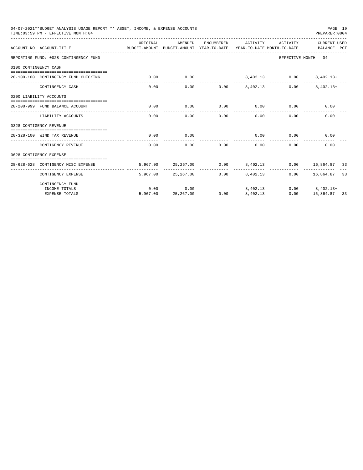|                       | 04-07-2021**BUDGET ANALYSIS USAGE REPORT ** ASSET, INCOME, & EXPENSE ACCOUNTS<br>TIME: 03:59 PM - EFFECTIVE MONTH: 04 |          |                     |            |                                                                     |                      | PAGE 19<br>PREPARER: 0004   |  |
|-----------------------|-----------------------------------------------------------------------------------------------------------------------|----------|---------------------|------------|---------------------------------------------------------------------|----------------------|-----------------------------|--|
|                       | ACCOUNT NO ACCOUNT-TITLE                                                                                              | ORIGINAL | AMENDED             | ENCUMBERED | BUDGET-AMOUNT BUDGET-AMOUNT YEAR-TO-DATE YEAR-TO-DATE MONTH-TO-DATE | ACTIVITY ACTIVITY    | CURRENT USED<br>BALANCE PCT |  |
|                       | REPORTING FUND: 0028 CONTINGENCY FUND                                                                                 |          |                     |            |                                                                     | EFFECTIVE MONTH - 04 |                             |  |
| 0100 CONTINGENCY CASH |                                                                                                                       |          |                     |            |                                                                     |                      |                             |  |
|                       | 28-100-100 CONTINGENCY FUND CHECKING                                                                                  | 0.00     | 0.00<br>----------- |            | 8,402.13 0.00                                                       |                      | $8,402.13+$                 |  |
|                       | CONTINGENCY CASH                                                                                                      | 0.00     | 0.00                |            | $0.00$ $8.402.13$                                                   | 0.00                 | $8.402.13+$                 |  |
|                       | 0200 LIABILITY ACCOUNTS                                                                                               |          |                     |            |                                                                     |                      |                             |  |
|                       | 28-200-999 FUND BALANCE ACCOUNT                                                                                       | 0.00     | 0.00                | 0.00       | 0.00                                                                | $0.00$ 0.00          |                             |  |
|                       | LIABILITY ACCOUNTS                                                                                                    | 0.00     | 0.00                | 0.00       | 0.00                                                                | 0.00                 | 0.00                        |  |
|                       | 0328 CONTIGENCY REVENUE                                                                                               |          |                     |            |                                                                     |                      |                             |  |
|                       | 28-328-100 WIND TAX REVENUE                                                                                           | 0.00     | 0.00                |            | 0.00                                                                | 0.00                 | 0.00                        |  |
|                       | CONTIGENCY REVENUE                                                                                                    | 0.00     | 0.00                | 0.00       | ------------<br>0.00                                                | 0.00                 | 0.00                        |  |
|                       | 0628 CONTIGENCY EXPENSE                                                                                               |          |                     |            |                                                                     |                      |                             |  |
|                       | 28-628-628 CONTIGENCY MISC EXPENSE                                                                                    |          |                     |            | 5,967.00  25,267.00  0.00  8,402.13  0.00  16,864.87  33            |                      |                             |  |
|                       | CONTIGENCY EXPENSE                                                                                                    |          | 5,967.00 25,267.00  |            | $0.00$ $8.402.13$                                                   |                      | $0.00$ 16,864.87 33         |  |
|                       | CONTINGENCY FUND                                                                                                      |          |                     |            |                                                                     |                      |                             |  |
|                       | INCOME TOTALS                                                                                                         | 0.00     | 0.00                |            | 8,402.13                                                            |                      | $0.00$ $8,402.13+$          |  |
|                       | <b>EXPENSE TOTALS</b>                                                                                                 |          | 5,967.00 25,267.00  |            | $0.00$ $8,402.13$                                                   |                      | $0.00$ 16,864.87 33         |  |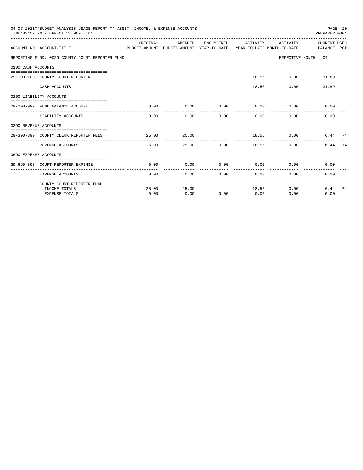|                       | 04-07-2021**BUDGET ANALYSIS USAGE REPORT ** ASSET, INCOME, & EXPENSE ACCOUNTS<br>TIME: 03:59 PM - EFFECTIVE MONTH: 04 |          |                                                  |                  |                      |                             | PREPARER:0004        | PAGE 20 |
|-----------------------|-----------------------------------------------------------------------------------------------------------------------|----------|--------------------------------------------------|------------------|----------------------|-----------------------------|----------------------|---------|
|                       | BUDGET-AMOUNT BUDGET-AMOUNT YEAR-TO-DATE YEAR-TO-DATE MONTH-TO-DATE     BALANCE PCT<br>ACCOUNT NO ACCOUNT-TITLE       | ORIGINAL | AMENDED ENCUMBERED ACTIVITY ACTIVITY CURRENTUSED |                  |                      |                             |                      |         |
|                       | REPORTING FUND: 0029 COUNTY COURT REPORTER FUND                                                                       |          |                                                  |                  |                      |                             | EFFECTIVE MONTH - 04 |         |
| 0100 CASH ACCOUNTS    |                                                                                                                       |          |                                                  |                  |                      |                             |                      |         |
|                       |                                                                                                                       |          |                                                  |                  |                      |                             |                      |         |
|                       | 29-100-100 COUNTY COURT REPORTER                                                                                      |          |                                                  |                  |                      | 18.56 0.00 31.89            |                      |         |
|                       | CASH ACCOUNTS                                                                                                         |          |                                                  |                  |                      | 18.56                       | 0.00<br>31.89        |         |
|                       | 0200 LIABILITY ACCOUNTS                                                                                               |          |                                                  |                  |                      |                             |                      |         |
|                       | 29-200-999 FUND BALANCE ACCOUNT                                                                                       | 0.00     | 0.00                                             |                  |                      | $0.00$ $0.00$ $0.00$ $0.00$ | 0.00                 |         |
|                       | LIABILITY ACCOUNTS                                                                                                    |          | --------------<br>$0.00$ 0.00                    | ------------     | ------------<br>0.00 | -----------<br>0.00<br>0.00 | 0.00                 |         |
| 0390 REVENUE ACCOUNTS |                                                                                                                       |          |                                                  |                  |                      |                             |                      |         |
|                       | 29-390-390 COUNTY CLERK REPORTER FEES                                                                                 | 25.00    | 25.00                                            |                  |                      | $18.56$ 0.00                | 6.44 74              |         |
|                       | REVENUE ACCOUNTS                                                                                                      | 25.00    | ---------                                        | 25.00 0.00 18.56 | .                    |                             | 6.44 74<br>0.00      |         |
| 0690 EXPENSE ACCOUNTS |                                                                                                                       |          |                                                  |                  |                      |                             |                      |         |
|                       | 29-690-395 COURT REPORTER EXPENSE                                                                                     | 0.00     | 0.00                                             | 0.00             |                      | $0.00$ 0.00                 | 0.00                 |         |
|                       | <b>EXPENSE ACCOUNTS</b>                                                                                               | 0.00     |                                                  | $0.00$ $0.00$    |                      | 0.00                        | 0.00<br>0.00         |         |
|                       | COUNTY COURT REPORTER FUND                                                                                            |          |                                                  |                  |                      |                             |                      |         |
|                       | INCOME TOTALS                                                                                                         | 25.00    | 25.00                                            |                  | 18.56                |                             | 0.00<br>6.44 74      |         |
|                       | <b>EXPENSE TOTALS</b>                                                                                                 | 0.00     | 0.00                                             | 0.00             | 0.00                 | 0.00                        | 0.00                 |         |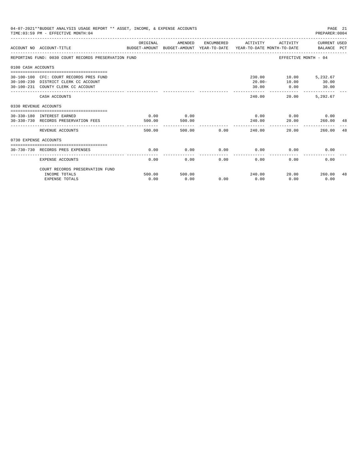|                       | 04-07-2021**BUDGET ANALYSIS USAGE REPORT ** ASSET, INCOME, & EXPENSE ACCOUNTS<br>PAGE 21<br>TIME: 03:59 PM - EFFECTIVE MONTH: 04<br>PREPARER:0004 |                |                |             |                                           |                                                              |                      |     |  |  |
|-----------------------|---------------------------------------------------------------------------------------------------------------------------------------------------|----------------|----------------|-------------|-------------------------------------------|--------------------------------------------------------------|----------------------|-----|--|--|
|                       | ACCOUNT NO ACCOUNT-TITLE<br>BUDGET-AMOUNT BUDGET-AMOUNT YEAR-TO-DATE YEAR-TO-DATE MONTH-TO-DATE   BALANCE PCT                                     | ORIGINAL       | AMENDED        |             | ENCUMBERED ACTIVITY ACTIVITY CURRENT USED |                                                              |                      |     |  |  |
|                       | REPORTING FUND: 0030 COURT RECORDS PRESERVATION FUND                                                                                              |                |                |             |                                           | EFFECTIVE MONTH - 04                                         |                      |     |  |  |
| 0100 CASH ACCOUNTS    |                                                                                                                                                   |                |                |             |                                           |                                                              |                      |     |  |  |
|                       | 30-100-100 CFC: COURT RECORDS PRES FUND<br>30-100-230 DISTRICT CLERK CC ACCOUNT<br>30-100-231 COUNTY CLERK CC ACCOUNT                             |                |                |             | 30.00                                     | 230.00 10.00 5,232.67<br>20.00 - 10.00 30.00<br>$0.00$ 30.00 |                      |     |  |  |
|                       | CASH ACCOUNTS                                                                                                                                     |                |                |             | ---------<br>240.00                       | -----------------------------<br>20.00                       | 5.292.67             |     |  |  |
| 0330 REVENUE ACCOUNTS |                                                                                                                                                   |                |                |             |                                           |                                                              |                      |     |  |  |
|                       | 30-330-180 INTEREST EARNED<br>30-330-730 RECORDS PRESERVATION FEES                                                                                | 0.00<br>500.00 | 0.00<br>500.00 |             | 240.00                                    | $0.00$ $0.00$ $0.00$ $0.00$<br>20.00                         | 260.00               | -48 |  |  |
|                       | REVENUE ACCOUNTS                                                                                                                                  | 500.00         |                | 500.00 0.00 | ------------<br>240.00                    | 20.00                                                        | 260.00               | 48  |  |  |
| 0730 EXPENSE ACCOUNTS |                                                                                                                                                   |                |                |             |                                           |                                                              |                      |     |  |  |
|                       | 30-730-730 RECORDS PRES EXPENSES                                                                                                                  | 0.00           | 0.00           | 0.00        | 0.00                                      | 0.00                                                         | 0.00                 |     |  |  |
|                       | <b>EXPENSE ACCOUNTS</b>                                                                                                                           | 0.00           | 0.00           | 0.00        | 0.00                                      | 0.00                                                         | 0.00                 |     |  |  |
|                       | COURT RECORDS PRESERVATION FUND                                                                                                                   |                |                |             |                                           |                                                              |                      |     |  |  |
|                       | INCOME TOTALS<br><b>EXPENSE TOTALS</b>                                                                                                            | 500.00<br>0.00 | 500.00<br>0.00 | 0.00        | 240.00<br>0.00                            | 0.00                                                         | 20.00 260.00<br>0.00 | 48  |  |  |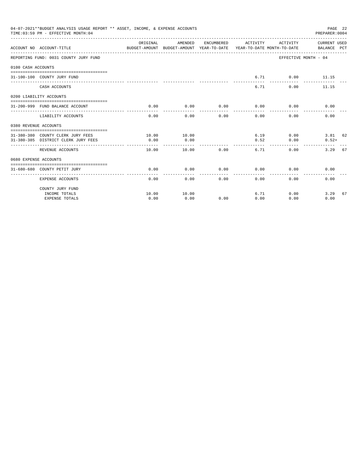|                       | 04-07-2021**BUDGET ANALYSIS USAGE REPORT ** ASSET, INCOME, & EXPENSE ACCOUNTS<br>TIME: 03:59 PM - EFFECTIVE MONTH: 04 |                     |                                                                                            |                     |                                                                                                                                                                                                                                                                                                                                                                                                      |                              | PAGE 22<br>PREPARER: 0004 |    |
|-----------------------|-----------------------------------------------------------------------------------------------------------------------|---------------------|--------------------------------------------------------------------------------------------|---------------------|------------------------------------------------------------------------------------------------------------------------------------------------------------------------------------------------------------------------------------------------------------------------------------------------------------------------------------------------------------------------------------------------------|------------------------------|---------------------------|----|
|                       | ACCOUNT NO ACCOUNT-TITLE                                                                                              | ORIGINAL            | AMENDED<br>BUDGET-AMOUNT BUDGET-AMOUNT YEAR-TO-DATE YEAR-TO-DATE MONTH-TO-DATE BALANCE PCT |                     |                                                                                                                                                                                                                                                                                                                                                                                                      | ENCUMBERED ACTIVITY ACTIVITY | CURRENT USED              |    |
|                       | REPORTING FUND: 0031 COUNTY JURY FUND                                                                                 |                     |                                                                                            |                     |                                                                                                                                                                                                                                                                                                                                                                                                      |                              | EFFECTIVE MONTH - 04      |    |
| 0100 CASH ACCOUNTS    |                                                                                                                       |                     |                                                                                            |                     |                                                                                                                                                                                                                                                                                                                                                                                                      |                              |                           |    |
|                       | 31-100-100 COUNTY JURY FUND                                                                                           |                     |                                                                                            |                     | 6.71                                                                                                                                                                                                                                                                                                                                                                                                 |                              | $0.00$ 11.15              |    |
|                       | CASH ACCOUNTS                                                                                                         |                     |                                                                                            |                     | 6.71                                                                                                                                                                                                                                                                                                                                                                                                 |                              | 0.00<br>11.15             |    |
|                       | 0200 LIABILITY ACCOUNTS                                                                                               |                     |                                                                                            |                     |                                                                                                                                                                                                                                                                                                                                                                                                      |                              |                           |    |
|                       | 31-200-999 FUND BALANCE ACCOUNT                                                                                       | 0.00                | 0.00                                                                                       | 0.00                | 0.00                                                                                                                                                                                                                                                                                                                                                                                                 | 0.00                         | 0.00                      |    |
|                       | LIABILITY ACCOUNTS                                                                                                    | 0.00                | 0.00                                                                                       | $- - - - -$<br>0.00 | $\frac{1}{2} \frac{1}{2} \frac{1}{2} \frac{1}{2} \frac{1}{2} \frac{1}{2} \frac{1}{2} \frac{1}{2} \frac{1}{2} \frac{1}{2} \frac{1}{2} \frac{1}{2} \frac{1}{2} \frac{1}{2} \frac{1}{2} \frac{1}{2} \frac{1}{2} \frac{1}{2} \frac{1}{2} \frac{1}{2} \frac{1}{2} \frac{1}{2} \frac{1}{2} \frac{1}{2} \frac{1}{2} \frac{1}{2} \frac{1}{2} \frac{1}{2} \frac{1}{2} \frac{1}{2} \frac{1}{2} \frac{$<br>0.00 | ------<br>0.00               | 0.00                      |    |
| 0380 REVENUE ACCOUNTS |                                                                                                                       |                     |                                                                                            |                     |                                                                                                                                                                                                                                                                                                                                                                                                      |                              |                           |    |
|                       |                                                                                                                       |                     |                                                                                            |                     |                                                                                                                                                                                                                                                                                                                                                                                                      |                              |                           |    |
|                       | 31-380-380 COUNTY CLERK JURY FEES                                                                                     | 10.00               | 10.00                                                                                      |                     |                                                                                                                                                                                                                                                                                                                                                                                                      | 6.19                         | 3.81 62<br>0.00           |    |
|                       | 31-380-385 DISTRICT CLERK JURY FEES                                                                                   | 0.00                | 0.00                                                                                       |                     | 0.52                                                                                                                                                                                                                                                                                                                                                                                                 | 0.00                         | $0.52+$                   |    |
|                       | REVENUE ACCOUNTS                                                                                                      | 10.00               | 10.00                                                                                      | 0.00                | 6.71                                                                                                                                                                                                                                                                                                                                                                                                 | 0.00                         | 3.29                      | 67 |
| 0680 EXPENSE ACCOUNTS |                                                                                                                       |                     |                                                                                            |                     |                                                                                                                                                                                                                                                                                                                                                                                                      |                              |                           |    |
|                       |                                                                                                                       |                     |                                                                                            |                     |                                                                                                                                                                                                                                                                                                                                                                                                      |                              |                           |    |
|                       | 31-680-680 COUNTY PETIT JURY                                                                                          | 0.00<br>___________ | 0.00<br>-----------                                                                        | 0.00<br>-------     | 0.00<br>.                                                                                                                                                                                                                                                                                                                                                                                            | -----------                  | 0.00<br>0.00              |    |
|                       | <b>EXPENSE ACCOUNTS</b>                                                                                               | 0.00                |                                                                                            | $0.00$ and $0.00$   | 0.00                                                                                                                                                                                                                                                                                                                                                                                                 | $0.00$ and $0.00$<br>0.00    | 0.00                      |    |
|                       | COUNTY JURY FUND                                                                                                      |                     |                                                                                            |                     |                                                                                                                                                                                                                                                                                                                                                                                                      |                              |                           |    |
|                       | INCOME TOTALS                                                                                                         | 10.00               | 10.00                                                                                      |                     | 6.71                                                                                                                                                                                                                                                                                                                                                                                                 | 0.00                         | 3.29                      | 67 |
|                       | <b>EXPENSE TOTALS</b>                                                                                                 | 0.00                | 0.00                                                                                       | 0.00                | 0.00                                                                                                                                                                                                                                                                                                                                                                                                 | 0.00                         | 0.00                      |    |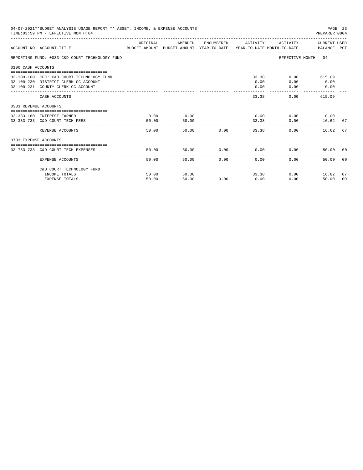| 04-07-2021**BUDGET ANALYSIS USAGE REPORT ** ASSET, INCOME, & EXPENSE ACCOUNTS<br>PAGE 23<br>TIME: 03:59 PM - EFFECTIVE MONTH: 04<br>PREPARER: 0004 |                                                                                                                         |                |                               |               |                                        |                         |                                              |    |
|----------------------------------------------------------------------------------------------------------------------------------------------------|-------------------------------------------------------------------------------------------------------------------------|----------------|-------------------------------|---------------|----------------------------------------|-------------------------|----------------------------------------------|----|
|                                                                                                                                                    | ACCOUNT NO ACCOUNT-TITLE<br>BUDGET-AMOUNT BUDGET-AMOUNT YEAR-TO-DATE  YEAR-TO-DATE MONTH-TO-DATE      BALANCE PCT       | ORIGINAL       | AMENDED                       |               | ENCUMBERED ACTIVITY                    |                         | ACTIVITY CURRENT USED                        |    |
|                                                                                                                                                    | REPORTING FUND: 0033 C&D COURT TECHNOLOGY FUND                                                                          |                |                               |               |                                        |                         | EFFECTIVE MONTH - 04                         |    |
| 0100 CASH ACCOUNTS                                                                                                                                 |                                                                                                                         |                |                               |               |                                        |                         |                                              |    |
|                                                                                                                                                    | 33-100-100 CFC: C&D COURT TECHNOLOGY FUND<br>33-100-230 DISTRICT CLERK CC ACCOUNT<br>33-100-231 COUNTY CLERK CC ACCOUNT |                |                               |               | 0.00<br>0.00<br><b>Address Address</b> | 33.38<br>0.00<br>0.00   | 0.00<br>615.09<br>0.00<br>0.00               |    |
|                                                                                                                                                    | CASH ACCOUNTS                                                                                                           |                |                               |               | 33.38                                  |                         | 615.09<br>0.00                               |    |
| 0333 REVENUE ACCOUNTS                                                                                                                              |                                                                                                                         |                |                               |               |                                        |                         |                                              |    |
|                                                                                                                                                    | 33-333-180 INTEREST EARNED<br>33-333-733 C&D COURT TECH FEES                                                            | 0.00<br>50.00  | 0.00<br>50.00<br>------------ |               | --------------                         | 33.38                   | $0.00$ $0.00$ $0.00$ $0.00$<br>0.00<br>16.62 | 67 |
|                                                                                                                                                    | REVENUE ACCOUNTS                                                                                                        | 50.00          |                               | 50.00 0.00    | 33.38                                  |                         | 0.00<br>16.62                                | 67 |
| 0733 EXPENSE ACCOUNTS                                                                                                                              |                                                                                                                         |                |                               |               |                                        |                         |                                              |    |
|                                                                                                                                                    | 33-733-733 C&D COURT TECH EXPENSES                                                                                      | 50.00          | 50.00                         |               | $0.00$ 0.00                            |                         | 0.00<br>50.00 00                             |    |
|                                                                                                                                                    | EXPENSE ACCOUNTS                                                                                                        | 50.00          |                               | 50.00<br>0.00 | 0.00                                   | ---------------<br>0.00 | 50.00                                        | 00 |
|                                                                                                                                                    | C&D COURT TECHNOLOGY FUND                                                                                               |                |                               |               |                                        |                         |                                              |    |
|                                                                                                                                                    | INCOME TOTALS                                                                                                           | 50.00<br>50.00 | 50.00<br>50.00                | 0.00          | 0.00                                   | 33.38                   | 0.00<br>16.62                                | 67 |
|                                                                                                                                                    | <b>EXPENSE TOTALS</b>                                                                                                   |                |                               |               |                                        | 0.00                    | 50.00                                        | 00 |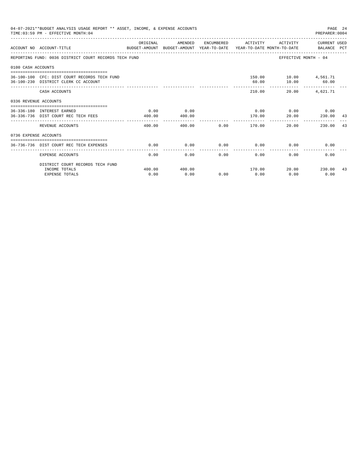|                       | 04-07-2021**BUDGET ANALYSIS USAGE REPORT ** ASSET, INCOME, & EXPENSE ACCOUNTS<br>PAGE 24<br>TIME: 03:59 PM - EFFECTIVE MONTH: 04<br>PREPARER: 0004 |                       |                                                                                            |                |                      |                                      |                                           |    |  |  |
|-----------------------|----------------------------------------------------------------------------------------------------------------------------------------------------|-----------------------|--------------------------------------------------------------------------------------------|----------------|----------------------|--------------------------------------|-------------------------------------------|----|--|--|
|                       | ACCOUNT NO ACCOUNT-TITLE                                                                                                                           | ORIGINAL              | AMENDED<br>BUDGET-AMOUNT BUDGET-AMOUNT YEAR-TO-DATE YEAR-TO-DATE MONTH-TO-DATE BALANCE PCT |                |                      |                                      | ENCUMBERED ACTIVITY ACTIVITY CURRENT USED |    |  |  |
|                       | REPORTING FUND: 0036 DISTRICT COURT RECORDS TECH FUND                                                                                              |                       |                                                                                            |                |                      |                                      | EFFECTIVE MONTH - 04                      |    |  |  |
| 0100 CASH ACCOUNTS    |                                                                                                                                                    |                       |                                                                                            |                |                      |                                      |                                           |    |  |  |
|                       | -------------------------------------<br>36-100-100 CFC: DIST COURT RECORDS TECH FUND<br>36-100-230 DISTRICT CLERK CC ACCOUNT                      |                       |                                                                                            |                | 60.00                | 150.00    10.00    4,561.71          | 10.00 60.00                               |    |  |  |
|                       | CASH ACCOUNTS                                                                                                                                      |                       |                                                                                            |                |                      | 210.00<br>20.00                      | 4,621.71                                  |    |  |  |
| 0336 REVENUE ACCOUNTS |                                                                                                                                                    |                       |                                                                                            |                |                      |                                      |                                           |    |  |  |
|                       | --------------------------------<br>36-336-180 INTEREST EARNED<br>36-336-736 DIST COURT REC TECH FEES                                              | 0.00<br>400.00        | 0.00<br>400.00                                                                             |                | 170.00               | $0.00$ $0.00$ $0.00$ $0.00$<br>20.00 | 230.00                                    | 43 |  |  |
|                       | REVENUE ACCOUNTS                                                                                                                                   | -----------<br>400.00 | ------------                                                                               | 0.00<br>400.00 | --------<br>170.00   | ------------                         | 20.00<br>230.00                           | 43 |  |  |
| 0736 EXPENSE ACCOUNTS |                                                                                                                                                    |                       |                                                                                            |                |                      |                                      |                                           |    |  |  |
|                       | 36-736-736 DIST COURT REC TECH EXPENSES                                                                                                            | 0.00                  | 0.00                                                                                       | 0.00           |                      | $0.00$ 0.00                          | 0.00                                      |    |  |  |
|                       | <b>EXPENSE ACCOUNTS</b>                                                                                                                            | 0.00                  | 0.00                                                                                       | 0.00           | ------------<br>0.00 | 0.00                                 | 0.00                                      |    |  |  |
|                       | DISTRICT COURT RECORDS TECH FUND                                                                                                                   |                       |                                                                                            |                |                      |                                      |                                           |    |  |  |
|                       | INCOME TOTALS                                                                                                                                      | 400.00                | 400.00                                                                                     |                |                      |                                      | 170.00 20.00 230.00 43                    |    |  |  |
|                       | <b>EXPENSE TOTALS</b>                                                                                                                              | 0.00                  | 0.00                                                                                       | 0.00           | 0.00                 | 0.00                                 | 0.00                                      |    |  |  |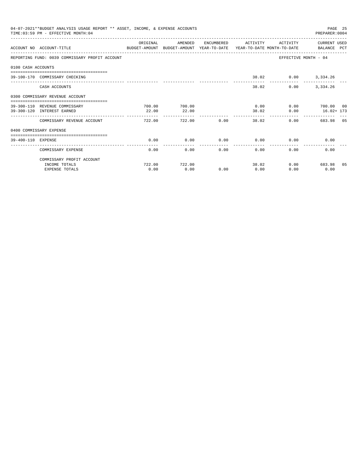|                    | 04-07-2021**BUDGET ANALYSIS USAGE REPORT ** ASSET, INCOME, & EXPENSE ACCOUNTS<br>TIME: 03:59 PM - EFFECTIVE MONTH: 04 |           |         |            |                      |                     | PAGE 25<br>PREPARER: 0004                      |  |
|--------------------|-----------------------------------------------------------------------------------------------------------------------|-----------|---------|------------|----------------------|---------------------|------------------------------------------------|--|
|                    | ACCOUNT NO ACCOUNT-TITLE<br>BUDGET-AMOUNT BUDGET-AMOUNT YEAR-TO-DATE YEAR-TO-DATE MONTH-TO-DATE     BALANCE PCT       | OR TGTNAL | AMENDED | ENCUMBERED | ACTIVITY             | <b>ACTIVITY</b>     | CURRENT USED                                   |  |
|                    | REPORTING FUND: 0039 COMMISSARY PROFIT ACCOUNT                                                                        |           |         |            |                      |                     | EFFECTIVE MONTH - 04                           |  |
| 0100 CASH ACCOUNTS |                                                                                                                       |           |         |            |                      |                     |                                                |  |
|                    | 39-100-170 COMMISSARY CHECKING                                                                                        |           |         |            |                      | 38.02 0.00 3,334.26 |                                                |  |
|                    | CASH ACCOUNTS                                                                                                         |           |         |            | 38.02                | 0.00                | 3,334.26                                       |  |
|                    | 0300 COMMISSARY REVENUE ACCOUNT                                                                                       |           |         |            |                      |                     |                                                |  |
|                    | 39-300-110 REVENUE COMMISSARY                                                                                         | 700.00    | 700.00  |            | 0.00                 |                     | 0.00 700.00 00                                 |  |
|                    | 39-300-120 INTEREST EARNED                                                                                            | 22.00     | 22.00   |            | 38.02<br>---------   | 0.00                | $16.02 + 173$<br>----------------------------- |  |
|                    | COMMISSARY REVENUE ACCOUNT                                                                                            | 722.00    | 722.00  | 0.00       | 38.02                |                     | 0.00<br>683.98 05                              |  |
|                    | 0400 COMMISSARY EXPENSE                                                                                               |           |         |            |                      |                     |                                                |  |
| 39-400-110 EXPENSE |                                                                                                                       | 0.00      | 0.00    | 0.00       | 0.00                 | 0.00                | 0.00                                           |  |
|                    | COMMISSARY EXPENSE                                                                                                    | 0.00      | 0.00    | 0.00       | ------------<br>0.00 | 0.00                | 0.00                                           |  |
|                    | COMMISSARY PROFIT ACCOUNT                                                                                             |           |         |            |                      |                     |                                                |  |
|                    | INCOME TOTALS                                                                                                         | 722.00    | 722.00  |            | 38.02                |                     | 0.00<br>683.98 05                              |  |
|                    | <b>EXPENSE TOTALS</b>                                                                                                 | 0.00      | 0.00    | 0.00       | 0.00                 | 0.00                | 0.00                                           |  |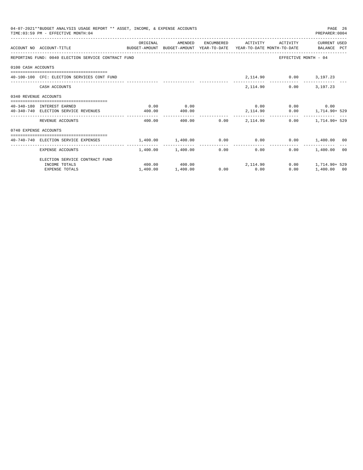|                       | 04-07-2021**BUDGET ANALYSIS USAGE REPORT ** ASSET, INCOME, & EXPENSE ACCOUNTS<br>PAGE 26<br>TIME: 03:59 PM - EFFECTIVE MONTH: 04<br>PREPARER:0004 |          |                                      |                          |                 |                             |                                   |  |  |  |
|-----------------------|---------------------------------------------------------------------------------------------------------------------------------------------------|----------|--------------------------------------|--------------------------|-----------------|-----------------------------|-----------------------------------|--|--|--|
|                       | ACCOUNT NO ACCOUNT-TITLE COMPUTE SUDGET-AMOUNT BUDGET-AMOUNT YEAR-TO-DATE YEAR-TO-DATE MONTH-TO-DATE BALANCE PCT                                  | ORIGINAL | AMENDED ENCUMBERED ACTIVITY ACTIVITY |                          |                 |                             | CURRENT USED                      |  |  |  |
|                       | REPORTING FUND: 0040 ELECTION SERVICE CONTRACT FUND                                                                                               |          |                                      |                          |                 |                             | EFFECTIVE MONTH - 04              |  |  |  |
| 0100 CASH ACCOUNTS    |                                                                                                                                                   |          |                                      |                          |                 |                             |                                   |  |  |  |
|                       | 40-100-100 CFC: ELECTION SERVICES CONT FUND                                                                                                       |          |                                      |                          |                 | 2, 114.90 0.00 3, 197.23    |                                   |  |  |  |
|                       | CASH ACCOUNTS                                                                                                                                     |          |                                      |                          |                 | 2,114.90                    | $0.00$ 3,197.23                   |  |  |  |
| 0340 REVENUE ACCOUNTS |                                                                                                                                                   |          |                                      |                          |                 |                             |                                   |  |  |  |
|                       | 40-340-180 INTEREST EARNED                                                                                                                        | 0.00     | 0.00                                 |                          |                 | $0.00$ $0.00$ $0.00$ $0.00$ |                                   |  |  |  |
|                       | 40-340-740 ELECTION SERVICE REVENUES                                                                                                              | 400.00   | 400.00                               |                          |                 |                             | 2, 114.90   0.00   1, 714.90+ 529 |  |  |  |
|                       | REVENUE ACCOUNTS                                                                                                                                  | 400.00   |                                      | --------------<br>400.00 | $0.00$ 2.114.90 |                             | $0.00$ 1, 714, 90+ 529            |  |  |  |
| 0740 EXPENSE ACCOUNTS |                                                                                                                                                   |          |                                      |                          |                 |                             |                                   |  |  |  |
|                       |                                                                                                                                                   |          |                                      |                          |                 |                             |                                   |  |  |  |
|                       | $1,400.00$ $0.00$ $0.00$ $0.00$ $0.00$ $0.00$ $0.00$ $0.00$ $0.00$ $0.00$ $0.00$ $0.00$ $0.00$ $0.00$ $0.00$                                      |          |                                      |                          | --------------  |                             |                                   |  |  |  |
|                       | EXPENSE ACCOUNTS                                                                                                                                  |          | $1.400.00$ $1.400.00$                |                          | 0.00            | 0.00                        | $0.00$ 1,400.00 00                |  |  |  |
|                       | ELECTION SERVICE CONTRACT FUND                                                                                                                    |          |                                      |                          |                 |                             |                                   |  |  |  |
|                       | INCOME TOTALS                                                                                                                                     |          | $400.00$ $400.00$ $2,114.90$         |                          |                 |                             | $0.00$ 1.714.90+ 529              |  |  |  |
|                       | <b>EXPENSE TOTALS</b>                                                                                                                             | 1,400.00 | 1,400.00                             |                          | $0.00$ 0.00     | 0.00                        | 1,400.00 00                       |  |  |  |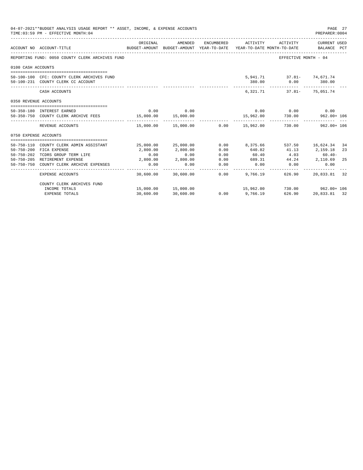| 04-07-2021**BUDGET ANALYSIS USAGE REPORT ** ASSET, INCOME, & EXPENSE ACCOUNTS<br>PAGE 27<br>TIME: 03:59 PM - EFFECTIVE MONTH: 04<br>PREPARER: 0004 |                                                                                  |           |                                                                                |            |                            |                                                                  |                             |          |
|----------------------------------------------------------------------------------------------------------------------------------------------------|----------------------------------------------------------------------------------|-----------|--------------------------------------------------------------------------------|------------|----------------------------|------------------------------------------------------------------|-----------------------------|----------|
|                                                                                                                                                    | ACCOUNT NO ACCOUNT-TITLE                                                         | ORIGINAL  | AMENDED<br>BUDGET-AMOUNT BUDGET-AMOUNT YEAR-TO-DATE YEAR-TO-DATE MONTH-TO-DATE | ENCUMBERED | ACTIVITY                   | ACTIVITY                                                         | CURRENT USED<br>BALANCE PCT |          |
|                                                                                                                                                    | REPORTING FUND: 0050 COUNTY CLERK ARCHIVES FUND                                  |           |                                                                                |            |                            | EFFECTIVE MONTH - 04                                             |                             |          |
| 0100 CASH ACCOUNTS                                                                                                                                 |                                                                                  |           |                                                                                |            |                            |                                                                  |                             |          |
|                                                                                                                                                    | 50-100-100 CFC: COUNTY CLERK ARCHIVES FUND<br>50-100-231 COUNTY CLERK CC ACCOUNT |           |                                                                                |            | 380.00                     | 5,941.71 37.81 74,671.74                                         | $0.00$ 380.00               |          |
|                                                                                                                                                    | CASH ACCOUNTS                                                                    |           |                                                                                |            | --------------<br>6,321,71 | ____________________________                                     | 37.81- 75,051.74            |          |
| 0350 REVENUE ACCOUNTS                                                                                                                              |                                                                                  |           |                                                                                |            |                            |                                                                  |                             |          |
|                                                                                                                                                    | 50-350-180 INTEREST EARNED                                                       | 0.00      | 0.00                                                                           |            |                            | $0.00$ $0.00$ $0.00$ $0.00$                                      |                             |          |
|                                                                                                                                                    | 50-350-750 COUNTY CLERK ARCHIVE FEES 15,000.00                                   |           | 15,000.00                                                                      |            |                            | 15,962.00 730.00 962.00 + 106                                    |                             |          |
|                                                                                                                                                    | REVENUE ACCOUNTS                                                                 |           |                                                                                |            | --------------             | $15,000.00$ $15,000.00$ $0.00$ $15,962.00$ $730.00$ $962.00+106$ |                             |          |
| 0750 EXPENSE ACCOUNTS                                                                                                                              |                                                                                  |           |                                                                                |            |                            |                                                                  |                             |          |
|                                                                                                                                                    |                                                                                  |           |                                                                                |            |                            |                                                                  |                             |          |
| $50 - 750 - 200$                                                                                                                                   | 50-750-110 COUNTY CLERK ADMIN ASSISTANT<br>FICA EXPENSE                          | 2,800.00  | 25,000.00 25,000.00<br>2,800.00                                                | 0.00       | 640.82                     | 0.00 8,375.66 537.50 16,624.34                                   | 41.13 2,159.18              | 34<br>23 |
| $50 - 750 - 202$                                                                                                                                   | TCDRS GROUP TERM LIFE                                                            | 0.00      | 0.00                                                                           | 0.00       | 60.40                      | 4.03                                                             | $60.40 -$                   |          |
|                                                                                                                                                    | 50-750-205 RETIREMENT EXPENSE                                                    | 2,800.00  | 2,800.00                                                                       | 0.00       | 689.31                     | 44.24 2,110.69                                                   |                             | -25      |
|                                                                                                                                                    | 50-750-750 COUNTY CLERK ARCHIVE EXPENSES                                         | 0.00      | 0.00                                                                           | 0.00       | 0.00                       | 0.00                                                             | 0.00                        |          |
|                                                                                                                                                    | EXPENSE ACCOUNTS                                                                 | 30,600.00 | 30,600.00                                                                      | 0.00       | 9,766.19                   | 626.90                                                           | 20,833.81                   | 32       |
|                                                                                                                                                    | COUNTY CLERK ARCHIVES FUND                                                       |           |                                                                                |            |                            |                                                                  |                             |          |
|                                                                                                                                                    | INCOME TOTALS                                                                    |           | 15,000.00 15,000.00                                                            |            |                            | 15,962.00 730.00 962.00 15,962.00                                |                             |          |
|                                                                                                                                                    | <b>EXPENSE TOTALS</b>                                                            | 30,600.00 | 30,600.00                                                                      | 0.00       | 9,766.19                   | 626.90                                                           | 20,833.81 32                |          |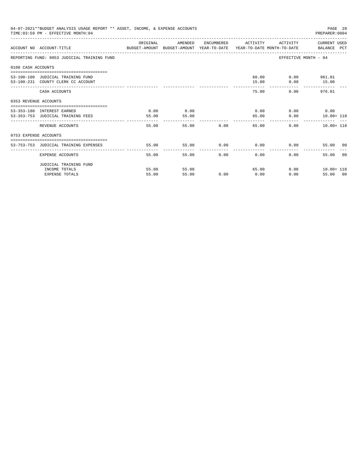|                       | 04-07-2021**BUDGET ANALYSIS USAGE REPORT ** ASSET, INCOME, & EXPENSE ACCOUNTS<br>PAGE 28<br>TIME: 03:59 PM - EFFECTIVE MONTH: 04<br>PREPARER: 0004 |               |                        |               |               |                             |                                           |  |  |
|-----------------------|----------------------------------------------------------------------------------------------------------------------------------------------------|---------------|------------------------|---------------|---------------|-----------------------------|-------------------------------------------|--|--|
|                       | ACCOUNT NO ACCOUNT-TITLE CONTROL SUDGET-AMOUNT BUDGET-AMOUNT YEAR-TO-DATE YEAR-TO-DATE MONTH-TO-DATE BALANCE PCT                                   | ORIGINAL      | AMENDED                |               |               |                             | ENCUMBERED ACTIVITY ACTIVITY CURRENT USED |  |  |
|                       | REPORTING FUND: 0053 JUDICIAL TRAINING FUND                                                                                                        |               |                        |               |               |                             | EFFECTIVE MONTH - 04                      |  |  |
| 0100 CASH ACCOUNTS    |                                                                                                                                                    |               |                        |               |               |                             |                                           |  |  |
|                       | 53-100-100 JUDICIAL TRAINING FUND<br>53-100-231 COUNTY CLERK CC ACCOUNT                                                                            |               |                        |               | 15.00         | 60.00                       | $0.00$ 961.01<br>$0.00$ 15.00             |  |  |
|                       | CASH ACCOUNTS                                                                                                                                      |               |                        |               |               | 75.00                       | $0.00$ 976.01                             |  |  |
| 0353 REVENUE ACCOUNTS |                                                                                                                                                    |               |                        |               |               |                             |                                           |  |  |
|                       | 53-353-180 INTEREST EARNED<br>53-353-753 JUDICIAL TRAINING FEES                                                                                    | 0.00<br>55.00 | 0.00<br>55.00          |               |               | $0.00$ $0.00$ $0.00$ $0.00$ | 65.00   0.00   10.00+ 118                 |  |  |
|                       | REVENUE ACCOUNTS                                                                                                                                   | 55.00         |                        | 55.00 0.00    | ------------- | 65.00                       | ----------<br>0.00<br>10.00+ 118          |  |  |
| 0753 EXPENSE ACCOUNTS |                                                                                                                                                    |               |                        |               |               |                             |                                           |  |  |
|                       | 53-753-753 JUDICIAL TRAINING EXPENSES                                                                                                              | 55.00         | $55.00$ 0.00 0.00 0.00 |               |               |                             | 55.00 00                                  |  |  |
|                       | EXPENSE ACCOUNTS                                                                                                                                   | 55.00         |                        | 0.00<br>55.00 | 0.00          | $0.00 -$                    | 55.00 00                                  |  |  |
|                       | JUDICIAL TRAINING FUND                                                                                                                             |               |                        |               |               |                             |                                           |  |  |
|                       | INCOME TOTALS                                                                                                                                      | 55.00         | 55.00                  |               |               | 65.00                       | $0.00$ $10.00+118$                        |  |  |
|                       | <b>EXPENSE TOTALS</b>                                                                                                                              | 55.00         | 55.00                  | 0.00          | 0.00          |                             | 0.00<br>55.00 00                          |  |  |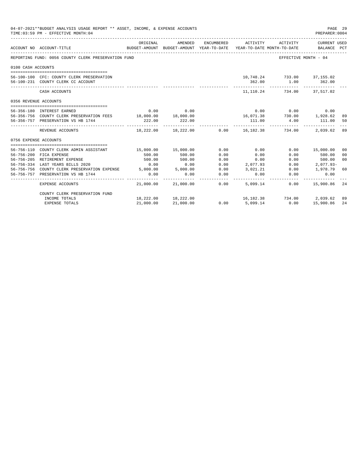| 04-07-2021**BUDGET ANALYSIS USAGE REPORT ** ASSET, INCOME, & EXPENSE ACCOUNTS<br>PAGE 29<br>TIME: 03:59 PM - EFFECTIVE MONTH: 04<br>PREPARER: 0004 |                                                               |           |                                                     |                     |                                 |                                                                                                           |                             |                |
|----------------------------------------------------------------------------------------------------------------------------------------------------|---------------------------------------------------------------|-----------|-----------------------------------------------------|---------------------|---------------------------------|-----------------------------------------------------------------------------------------------------------|-----------------------------|----------------|
|                                                                                                                                                    | ACCOUNT NO ACCOUNT-TITLE                                      | ORIGINAL  | AMENDED<br>BUDGET-AMOUNT BUDGET-AMOUNT YEAR-TO-DATE | ENCUMBERED          | ACTIVITY                        | ACTIVITY<br>YEAR-TO-DATE MONTH-TO-DATE                                                                    | CURRENT USED<br>BALANCE PCT |                |
|                                                                                                                                                    | REPORTING FUND: 0056 COUNTY CLERK PRESERVATION FUND           |           |                                                     |                     |                                 | -----------------------------                                                                             | EFFECTIVE MONTH - 04        |                |
| 0100 CASH ACCOUNTS                                                                                                                                 |                                                               |           |                                                     |                     |                                 |                                                                                                           |                             |                |
|                                                                                                                                                    |                                                               |           |                                                     |                     |                                 |                                                                                                           |                             |                |
|                                                                                                                                                    | 56-100-100 CFC: COUNTY CLERK PRESERVATION                     |           |                                                     |                     |                                 | 10,748.24 733.00 37,155.02                                                                                |                             |                |
|                                                                                                                                                    | 56-100-231 COUNTY CLERK CC ACCOUNT                            |           |                                                     |                     | 362.00<br>. _ _ _ _ _ _ _ _ _ _ |                                                                                                           | 1.00 362.00                 |                |
|                                                                                                                                                    | CASH ACCOUNTS                                                 |           |                                                     |                     |                                 | 11.110.24 734.00 37.517.02                                                                                |                             |                |
| 0356 REVENUE ACCOUNTS                                                                                                                              |                                                               |           |                                                     |                     |                                 |                                                                                                           |                             |                |
|                                                                                                                                                    |                                                               |           |                                                     |                     |                                 |                                                                                                           |                             |                |
|                                                                                                                                                    | 56-356-180 INTEREST EARNED                                    | 0.00      | 0.00                                                |                     |                                 | $0.00$ $0.00$ $0.00$ $0.00$                                                                               |                             |                |
|                                                                                                                                                    | 56-356-756 COUNTY CLERK PRESERVATION FEES 18,000.00 18,000.00 |           |                                                     |                     |                                 | $16,071.38$<br>$17.38$<br>$18.62$<br>$111.00$<br>$10.00$<br>$1.928.62$<br>$111.00$<br>$10.00$<br>$111.00$ |                             | 89             |
|                                                                                                                                                    | 56-356-757 PRESERVATION VS HB 1744                            | 222.00    | 222.00                                              |                     |                                 |                                                                                                           |                             | 50             |
|                                                                                                                                                    | REVENUE ACCOUNTS                                              |           |                                                     |                     |                                 | $18,222.00$ $18,222.00$ $0.00$ $16,182.38$ $734.00$                                                       | 2,039.62                    | 89             |
| 0756 EXPENSE ACCOUNTS                                                                                                                              |                                                               |           |                                                     |                     |                                 |                                                                                                           |                             |                |
|                                                                                                                                                    |                                                               |           |                                                     |                     |                                 |                                                                                                           |                             |                |
|                                                                                                                                                    | 56-756-110 COUNTY CLERK ADMIN ASSISTANT                       |           | 15,000.00 15,000.00                                 | 0.00                | 0.00                            |                                                                                                           | $0.00$ 15,000.00            | 0 <sub>0</sub> |
|                                                                                                                                                    | 56-756-200 FICA EXPENSE                                       | 500.00    | 500.00                                              | 0.00                | 0.00                            | 0.00                                                                                                      | 500.00                      | 0 <sup>0</sup> |
|                                                                                                                                                    | 56-756-205 RETIREMENT EXPENSE                                 | 500.00    | 500.00                                              | 0.00                | 0.00                            | 0.00                                                                                                      | 500.00                      | 0 <sup>0</sup> |
|                                                                                                                                                    | 56-756-334 LAST YEARS BILLS 2020                              | 0.00      | 0.00                                                | 0.00                | 2,077.93                        | 0.00                                                                                                      | 2,077.93-                   |                |
|                                                                                                                                                    | 56-756-756 COUNTY CLERK PRESERVATION EXPENSE 5,000.00         |           | 5,000.00                                            | 0.00                | 3,021.21                        | 0.00                                                                                                      | 1,978.79                    | 60             |
|                                                                                                                                                    | 56-756-757 PRESERVATION VS HB 1744                            | 0.00      | 0.00                                                | 0.00<br>----------- | 0.00                            | 0.00                                                                                                      | 0.00                        |                |
|                                                                                                                                                    | EXPENSE ACCOUNTS                                              | 21,000.00 | 21,000.00                                           | 0.00                | 5,099.14                        | 0.00                                                                                                      | 15,900.86                   | 24             |
|                                                                                                                                                    | COUNTY CLERK PRESERVATION FUND                                |           |                                                     |                     |                                 |                                                                                                           |                             |                |
|                                                                                                                                                    | INCOME TOTALS                                                 |           | 18,222.00 18,222.00                                 |                     |                                 | 16, 182. 38 734. 00 2, 039. 62                                                                            |                             | 89             |
|                                                                                                                                                    | <b>EXPENSE TOTALS</b>                                         | 21,000.00 | 21,000.00                                           | 0.00                | 5,099.14                        | 0.00                                                                                                      | 15,900.86                   | 24             |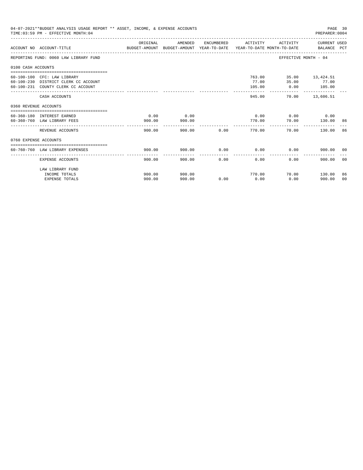|                       | 04-07-2021**BUDGET ANALYSIS USAGE REPORT ** ASSET, INCOME, & EXPENSE ACCOUNTS<br>TIME: 03:59 PM - EFFECTIVE MONTH: 04                        |                                                                                                  |                |             |                     |                                                        | PAGE 30<br>PREPARER: 0004 |                |
|-----------------------|----------------------------------------------------------------------------------------------------------------------------------------------|--------------------------------------------------------------------------------------------------|----------------|-------------|---------------------|--------------------------------------------------------|---------------------------|----------------|
|                       | ACCOUNT NO ACCOUNT-TITLE                                                                                                                     | ORIGINAL<br>BUDGET-AMOUNT BUDGET-AMOUNT YEAR-TO-DATE  YEAR-TO-DATE MONTH-TO-DATE     BALANCE PCT | AMENDED        |             | ENCUMBERED ACTIVITY |                                                        | ACTIVITY CURRENT USED     |                |
|                       | REPORTING FUND: 0060 LAW LIBRARY FUND                                                                                                        |                                                                                                  |                |             |                     | EFFECTIVE MONTH - 04                                   |                           |                |
| 0100 CASH ACCOUNTS    |                                                                                                                                              |                                                                                                  |                |             |                     |                                                        |                           |                |
|                       | ===============================<br>60-100-100 CFC: LAW LIBRARY<br>60-100-230 DISTRICT CLERK CC ACCOUNT<br>60-100-231 COUNTY CLERK CC ACCOUNT |                                                                                                  |                |             | 77.00<br>105.00     | 763.00 35.00 13,424.51<br>35.00 77.00<br>$0.00$ 105.00 | -------------             |                |
|                       | CASH ACCOUNTS                                                                                                                                |                                                                                                  |                |             | 945.00              |                                                        | 70.00 13,606.51           |                |
| 0360 REVENUE ACCOUNTS |                                                                                                                                              |                                                                                                  |                |             |                     |                                                        |                           |                |
|                       | 60-360-180 INTEREST EARNED<br>60-360-760 LAW LIBRARY FEES                                                                                    | 0.00<br>900.00                                                                                   | 0.00<br>900.00 |             | 770.00              | $0.00$ $0.00$ $0.00$ $0.00$<br>70.00                   | 130.00                    | -86            |
|                       | REVENUE ACCOUNTS                                                                                                                             | 900.00                                                                                           |                | 900.00 0.00 | 770.00              | 70.00                                                  | 130.00                    | 86             |
| 0760 EXPENSE ACCOUNTS |                                                                                                                                              |                                                                                                  |                |             |                     |                                                        |                           |                |
|                       | 60-760-760 LAW LIBRARY EXPENSES                                                                                                              | 900.00                                                                                           | 900.00         |             | $0.00$ 0.00         | 0.00                                                   | 900.00 00                 |                |
|                       | EXPENSE ACCOUNTS                                                                                                                             | 900.00                                                                                           | 900.00         | 0.00        | 0.00                | 0.00                                                   | 900.00                    | 0 <sub>0</sub> |
|                       | LAW LIBRARY FUND<br>INCOME TOTALS                                                                                                            | 900.00                                                                                           | 900.00         |             | 770.00              |                                                        | 70.00 130.00              | 86             |
|                       | <b>EXPENSE TOTALS</b>                                                                                                                        | 900.00                                                                                           | 900.00         | 0.00        | 0.00                | 0.00                                                   | 900.00                    | 0 <sup>0</sup> |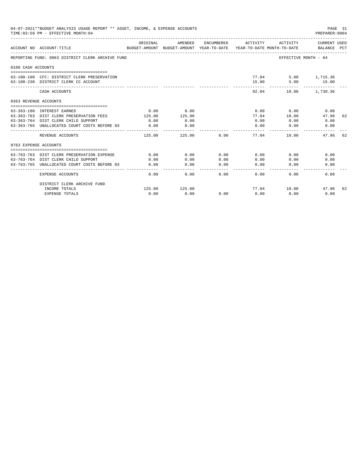|                       | 04-07-2021**BUDGET ANALYSIS USAGE REPORT ** ASSET, INCOME, & EXPENSE ACCOUNTS<br>TIME: 03:59 PM - EFFECTIVE MONTH: 04 |                       |                                                                                |                                                                                                                                                                                                                                                                                                                                                                                                      |                 |                             | PAGE 31<br>PREPARER: 0004   |
|-----------------------|-----------------------------------------------------------------------------------------------------------------------|-----------------------|--------------------------------------------------------------------------------|------------------------------------------------------------------------------------------------------------------------------------------------------------------------------------------------------------------------------------------------------------------------------------------------------------------------------------------------------------------------------------------------------|-----------------|-----------------------------|-----------------------------|
|                       | ACCOUNT NO ACCOUNT-TITLE                                                                                              | ORIGINAL              | AMENDED<br>BUDGET-AMOUNT BUDGET-AMOUNT YEAR-TO-DATE YEAR-TO-DATE MONTH-TO-DATE | ENCUMBERED                                                                                                                                                                                                                                                                                                                                                                                           | ACTIVITY        | ACTIVITY                    | CURRENT USED<br>BALANCE PCT |
|                       | REPORTING FUND: 0063 DISTRICT CLERK ARCHIVE FUND                                                                      |                       |                                                                                |                                                                                                                                                                                                                                                                                                                                                                                                      |                 |                             | EFFECTIVE MONTH - 04        |
| 0100 CASH ACCOUNTS    |                                                                                                                       |                       |                                                                                |                                                                                                                                                                                                                                                                                                                                                                                                      |                 |                             |                             |
|                       | 63-100-100 CFC: DISTRICT CLERK PRESERVATION<br>63-100-230 DISTRICT CLERK CC ACCOUNT                                   |                       |                                                                                |                                                                                                                                                                                                                                                                                                                                                                                                      | 15.00           | 77.04 5.00 1,715.36<br>5.00 | 15.00                       |
|                       | CASH ACCOUNTS                                                                                                         |                       |                                                                                |                                                                                                                                                                                                                                                                                                                                                                                                      |                 | 92.04                       | 10.00 1,730.36              |
| 0363 REVENUE ACCOUNTS |                                                                                                                       |                       |                                                                                |                                                                                                                                                                                                                                                                                                                                                                                                      |                 |                             |                             |
|                       |                                                                                                                       |                       |                                                                                |                                                                                                                                                                                                                                                                                                                                                                                                      |                 |                             |                             |
|                       | 63-363-180 INTEREST EARNED                                                                                            | 0.00                  | 0.00                                                                           |                                                                                                                                                                                                                                                                                                                                                                                                      | 0.00            | 0.00                        | 0.00                        |
|                       | 63-363-763 DIST CLERK PRESERVATION FEES<br>63-363-764 DIST CLERK CHILD SUPPORT                                        | 125.00                | 125.00                                                                         |                                                                                                                                                                                                                                                                                                                                                                                                      | 77.04<br>0.00   | 10.00                       | 47.96<br>62<br>0.00         |
|                       | 63-363-765 UNALLOCATED COURT COSTS BEFORE 03                                                                          | 0.00<br>0.00          | 0.00                                                                           |                                                                                                                                                                                                                                                                                                                                                                                                      | 0.00            | 0.00                        | 0.00                        |
|                       |                                                                                                                       |                       | 0.00<br>-----------                                                            |                                                                                                                                                                                                                                                                                                                                                                                                      | ----------      | 0.00                        |                             |
|                       | REVENUE ACCOUNTS                                                                                                      | 125.00                | 125.00                                                                         | 0.00                                                                                                                                                                                                                                                                                                                                                                                                 | 77.04           | 10.00                       | 47.96<br>62                 |
| 0763 EXPENSE ACCOUNTS |                                                                                                                       |                       |                                                                                |                                                                                                                                                                                                                                                                                                                                                                                                      |                 |                             |                             |
|                       |                                                                                                                       |                       |                                                                                |                                                                                                                                                                                                                                                                                                                                                                                                      |                 |                             |                             |
|                       | 63-763-763 DIST CLERK PRESERVATION EXPENSE                                                                            | 0.00                  | 0.00                                                                           | 0.00                                                                                                                                                                                                                                                                                                                                                                                                 | 0.00            | 0.00                        | 0.00                        |
|                       | 63-763-764 DIST CLERK CHILD SUPPORT                                                                                   | 0.00                  | 0.00                                                                           | 0.00                                                                                                                                                                                                                                                                                                                                                                                                 | 0.00            | 0.00                        | 0.00                        |
|                       | 63-763-765 UNALLOCATED COURT COSTS BEFORE 03                                                                          | 0.00<br>------------- | 0.00<br>-----------                                                            | 0.00<br>$\frac{1}{2} \frac{1}{2} \frac{1}{2} \frac{1}{2} \frac{1}{2} \frac{1}{2} \frac{1}{2} \frac{1}{2} \frac{1}{2} \frac{1}{2} \frac{1}{2} \frac{1}{2} \frac{1}{2} \frac{1}{2} \frac{1}{2} \frac{1}{2} \frac{1}{2} \frac{1}{2} \frac{1}{2} \frac{1}{2} \frac{1}{2} \frac{1}{2} \frac{1}{2} \frac{1}{2} \frac{1}{2} \frac{1}{2} \frac{1}{2} \frac{1}{2} \frac{1}{2} \frac{1}{2} \frac{1}{2} \frac{$ | 0.00<br>------- | 0.00                        | 0.00                        |
|                       | <b>EXPENSE ACCOUNTS</b>                                                                                               | 0.00                  | 0.00                                                                           | 0.00                                                                                                                                                                                                                                                                                                                                                                                                 | 0.00            | 0.00                        | 0.00                        |
|                       | DISTRICT CLERK ARCHIVE FUND                                                                                           |                       |                                                                                |                                                                                                                                                                                                                                                                                                                                                                                                      |                 |                             |                             |
|                       | INCOME TOTALS                                                                                                         | 125.00                | 125.00                                                                         |                                                                                                                                                                                                                                                                                                                                                                                                      |                 | 77.04 10.00                 | 47.96<br>62                 |
|                       | <b>EXPENSE TOTALS</b>                                                                                                 | 0.00                  | 0.00                                                                           | 0.00                                                                                                                                                                                                                                                                                                                                                                                                 | 0.00            | 0.00                        | 0.00                        |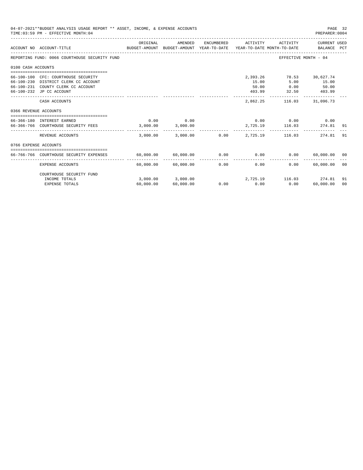|                       | 04-07-2021**BUDGET ANALYSIS USAGE REPORT ** ASSET, INCOME, & EXPENSE ACCOUNTS<br>TIME: 03:59 PM - EFFECTIVE MONTH: 04                         |                  |                                    |                     |                                      |                                                 | PAGE 32<br>PREPARER: 0004   |                      |
|-----------------------|-----------------------------------------------------------------------------------------------------------------------------------------------|------------------|------------------------------------|---------------------|--------------------------------------|-------------------------------------------------|-----------------------------|----------------------|
|                       | BUDGET-AMOUNT BUDGET-AMOUNT YEAR-TO-DATE YEAR-TO-DATE_MONTH-TO-DATE<br>ACCOUNT NO ACCOUNT-TITLE                                               | ORIGINAL         | AMENDED                            | ENCUMBERED          | ACTIVITY                             | ACTIVITY                                        | CURRENT USED<br>BALANCE PCT |                      |
|                       | REPORTING FUND: 0066 COURTHOUSE SECURITY FUND                                                                                                 |                  |                                    |                     |                                      | EFFECTIVE MONTH - 04                            |                             |                      |
| 0100 CASH ACCOUNTS    |                                                                                                                                               |                  |                                    |                     |                                      |                                                 |                             |                      |
|                       | 66-100-100 CFC: COURTHOUSE SECURITY<br>66-100-230 DISTRICT CLERK CC ACCOUNT<br>66-100-231 COUNTY CLERK CC ACCOUNT<br>66-100-232 JP CC ACCOUNT |                  |                                    |                     | 2,393.26<br>15.00<br>50.00<br>403.99 | 78.53 30,627.74<br>5.00<br>0.00<br>32.50 403.99 | 15.00<br>50.00              |                      |
|                       | CASH ACCOUNTS                                                                                                                                 |                  |                                    |                     | 2,862.25                             | 116.03                                          | 31,096.73                   |                      |
| 0366 REVENUE ACCOUNTS |                                                                                                                                               |                  |                                    |                     |                                      |                                                 |                             |                      |
|                       | 66-366-180 INTEREST EARNED<br>66-366-766 COURTHOUSE SECURITY FEES                                                                             | 0.00<br>3.000.00 | 0.00<br>3,000.00                   |                     |                                      | $0.00$ $0.00$ $0.00$ $0.00$<br>2.725.19 116.03  | 274.81                      | 91                   |
|                       | REVENUE ACCOUNTS                                                                                                                              |                  | 3,000.00 3,000.00                  |                     | $0.00$ 2.725.19                      | 116.03                                          | 274.81                      | 91                   |
| 0766 EXPENSE ACCOUNTS |                                                                                                                                               |                  |                                    |                     |                                      |                                                 |                             |                      |
|                       | 66-766-766 COURTHOUSE SECURITY EXPENSES                                                                                                       |                  | 60,000.00 60,000.00                |                     | $0.00$ 0.00                          | 0.00                                            | 60,000.00 00                |                      |
|                       | <b>EXPENSE ACCOUNTS</b>                                                                                                                       |                  | 60.000.00 60.000.00                | -----------<br>0.00 | -------------<br>0.00                | 0.00                                            | -------------<br>60,000.00  | - 00                 |
|                       | COURTHOUSE SECURITY FUND                                                                                                                      |                  |                                    |                     |                                      |                                                 |                             |                      |
|                       | INCOME TOTALS<br><b>EXPENSE TOTALS</b>                                                                                                        | 60,000.00        | $3,000.00$ $3,000.00$<br>60,000.00 | 0.00                | 0.00                                 | 2,725.19 116.03 274.81<br>0.00                  | 60,000.00                   | 91<br>0 <sup>0</sup> |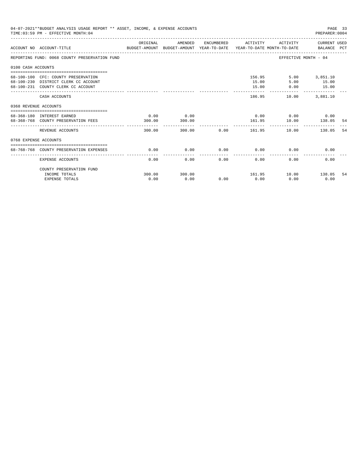| 04-07-2021**BUDGET ANALYSIS USAGE REPORT ** ASSET, INCOME, & EXPENSE ACCOUNTS<br>PAGE 33<br>TIME: 03:59 PM - EFFECTIVE MONTH: 04<br>PREPARER: 0004 |                                                                                                                   |                |                |      |                     |                                             |                                                  |      |
|----------------------------------------------------------------------------------------------------------------------------------------------------|-------------------------------------------------------------------------------------------------------------------|----------------|----------------|------|---------------------|---------------------------------------------|--------------------------------------------------|------|
|                                                                                                                                                    | BUDGET-AMOUNT BUDGET-AMOUNT YEAR-TO-DATE  YEAR-TO-DATE MONTH-TO-DATE     BALANCE PCT<br>ACCOUNT NO ACCOUNT-TITLE  | ORIGINAL       | AMENDED        |      | ENCUMBERED ACTIVITY |                                             | ACTIVITY CURRENT USED                            |      |
|                                                                                                                                                    | REPORTING FUND: 0068 COUNTY PRESERVATION FUND                                                                     |                |                |      |                     | EFFECTIVE MONTH - 04                        |                                                  |      |
| 0100 CASH ACCOUNTS                                                                                                                                 |                                                                                                                   |                |                |      |                     |                                             |                                                  |      |
|                                                                                                                                                    | 68-100-100 CFC: COUNTY PRESERVATION<br>68-100-230 DISTRICT CLERK CC ACCOUNT<br>68-100-231 COUNTY CLERK CC ACCOUNT |                |                |      | 15.00<br>15.00      | 156.95<br>5.00<br>0.00                      | 5.00 3,851.10<br>15.00<br>15.00<br>------------- |      |
|                                                                                                                                                    | CASH ACCOUNTS                                                                                                     |                |                |      | 186.95              | 10.00                                       | 3,881,10                                         |      |
| 0368 REVENUE ACCOUNTS                                                                                                                              |                                                                                                                   |                |                |      |                     |                                             |                                                  |      |
|                                                                                                                                                    | 68-368-180 INTEREST EARNED<br>68-368-768 COUNTY PRESERVATION FEES                                                 | 0.00<br>300.00 | 0.00<br>300.00 |      |                     | $0.00$ $0.00$ $0.00$ $0.00$<br>161.95 10.00 | 138.05                                           | - 54 |
|                                                                                                                                                    | REVENUE ACCOUNTS                                                                                                  | 300.00         |                |      |                     |                                             | 10.00 138.05                                     | 54   |
| 0768 EXPENSE ACCOUNTS                                                                                                                              |                                                                                                                   |                |                |      |                     |                                             |                                                  |      |
|                                                                                                                                                    | 68-768-768 COUNTY PRESERVATION EXPENSES                                                                           | 0.00           | 0.00           |      | $0.00$ 0.00         |                                             | 0.00<br>0.00                                     |      |
|                                                                                                                                                    | <b>EXPENSE ACCOUNTS</b>                                                                                           | 0.00           | 0.00           | 0.00 | 0.00                | 0.00                                        | 0.00                                             |      |
|                                                                                                                                                    | COUNTY PRESERVATION FUND                                                                                          |                |                |      |                     |                                             |                                                  |      |
|                                                                                                                                                    | INCOME TOTALS                                                                                                     | 300.00         | 300.00         |      |                     | 161.95 10.00 138.05                         |                                                  | -54  |
|                                                                                                                                                    | <b>EXPENSE TOTALS</b>                                                                                             | 0.00           | 0.00           | 0.00 | 0.00                | 0.00                                        | 0.00                                             |      |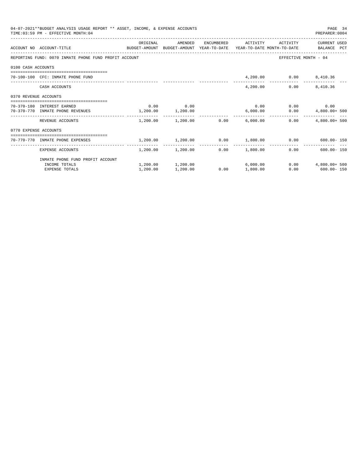|                       | 04-07-2021**BUDGET ANALYSIS USAGE REPORT ** ASSET, INCOME, & EXPENSE ACCOUNTS<br>PAGE 34<br>TIME: 03:59 PM - EFFECTIVE MONTH: 04<br>PREPARER: 0004 |          |                                     |      |                     |                        |                                                               |  |  |  |
|-----------------------|----------------------------------------------------------------------------------------------------------------------------------------------------|----------|-------------------------------------|------|---------------------|------------------------|---------------------------------------------------------------|--|--|--|
|                       | ACCOUNT NO ACCOUNT-TITLE CONTROL SUDGET-AMOUNT BUDGET-AMOUNT YEAR-TO-DATE YEAR-TO-DATE MONTH-TO-DATE BALANCE PCT                                   | ORIGINAL | AMENDED                             |      | ENCUMBERED ACTIVITY | ACTIVITY               | CURRENT USED                                                  |  |  |  |
|                       | REPORTING FUND: 0070 INMATE PHONE FUND PROFIT ACCOUNT                                                                                              |          |                                     |      |                     |                        | EFFECTIVE MONTH - 04                                          |  |  |  |
| 0100 CASH ACCOUNTS    |                                                                                                                                                    |          |                                     |      |                     |                        |                                                               |  |  |  |
|                       | 70-100-100 CFC: INMATE PHONE FUND                                                                                                                  |          |                                     |      |                     | 4,200.00 0.00 8,410.36 |                                                               |  |  |  |
|                       | CASH ACCOUNTS                                                                                                                                      |          |                                     |      | 4,200.00            |                        | $0.00$ $8,410.36$                                             |  |  |  |
| 0370 REVENUE ACCOUNTS |                                                                                                                                                    |          |                                     |      |                     |                        |                                                               |  |  |  |
|                       | 70-370-180 INTEREST EARNED                                                                                                                         |          | $0.00$ 0.00                         |      |                     |                        | $0.00$ $0.00$ $0.00$ $0.00$                                   |  |  |  |
|                       | 70-370-770 INMATE PHONE REVENUES 1,200.00 1,200.00                                                                                                 |          |                                     |      | 6,000.00            |                        | $0.00$ $4,800.00+500$                                         |  |  |  |
|                       | REVENUE ACCOUNTS                                                                                                                                   |          | $1.200.00$ $1.200.00$ 0.00 6.000.00 |      |                     | 0.00                   | $4.800.00+500$                                                |  |  |  |
| 0770 EXPENSE ACCOUNTS |                                                                                                                                                    |          |                                     |      |                     |                        |                                                               |  |  |  |
|                       | 70-770-770 INMATE PHONE EXPENSES                                                                                                                   |          |                                     |      |                     |                        | $1,200.00$ $1,200.00$ $0.00$ $1,800.00$ $0.00$ $600.00$ $150$ |  |  |  |
|                       | EXPENSE ACCOUNTS                                                                                                                                   |          | 1,200.00 1,200.00                   |      | $0.00$ 1,800.00     |                        | $- - - - - - - -$<br>$600.00 - 150$<br>0.00                   |  |  |  |
|                       | INMATE PHONE FUND PROFIT ACCOUNT                                                                                                                   |          |                                     |      |                     |                        |                                                               |  |  |  |
|                       | INCOME TOTALS                                                                                                                                      |          | $1,200.00$ $1,200.00$               |      | 6.000.00            |                        | $0.00$ $4.800.00+500$                                         |  |  |  |
|                       | <b>EXPENSE TOTALS</b>                                                                                                                              | 1,200.00 | 1,200.00                            | 0.00 | 1,800.00            |                        | $0.00$ 600.00 - 150                                           |  |  |  |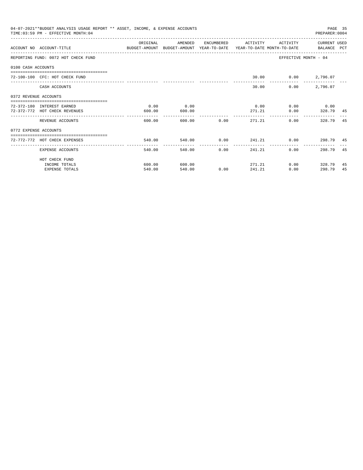|                       | 04-07-2021**BUDGET ANALYSIS USAGE REPORT ** ASSET, INCOME, & EXPENSE ACCOUNTS<br>TIME: 03:59 PM - EFFECTIVE MONTH: 04  |          |              |                                |                     |                     | PREPARER: 0004       | PAGE 35 |
|-----------------------|------------------------------------------------------------------------------------------------------------------------|----------|--------------|--------------------------------|---------------------|---------------------|----------------------|---------|
|                       |                                                                                                                        | ORIGINAL | AMENDED      |                                | ENCUMBERED ACTIVITY | ACTIVITY            | CURRENT USED         |         |
|                       | ACCOUNT NO ACCOUNT-TITLE COMMONICATION BUDGET-AMOUNT BUDGET-AMOUNT YEAR-TO-DATE YEAR-TO-DATE MONTH-TO-DATE BALANCE PCT |          |              |                                |                     |                     |                      |         |
|                       | REPORTING FUND: 0072 HOT CHECK FUND                                                                                    |          |              |                                |                     |                     | EFFECTIVE MONTH - 04 |         |
| 0100 CASH ACCOUNTS    |                                                                                                                        |          |              |                                |                     |                     |                      |         |
|                       | 72-100-100 CFC: HOT CHECK FUND                                                                                         |          |              |                                |                     | 30.00 0.00 2,796.07 |                      |         |
|                       | CASH ACCOUNTS                                                                                                          |          |              |                                | 30.00               | 0.00                | 2,796.07             |         |
| 0372 REVENUE ACCOUNTS |                                                                                                                        |          |              |                                |                     |                     |                      |         |
|                       | 72-372-180 INTEREST EARNED                                                                                             | 0.00     | 0.00         |                                | 0.00                |                     | $0.00$ 0.00          |         |
|                       | 72-372-772 HOT CHECK REVENUES                                                                                          | 600.00   | 600.00       |                                | 271.21              | 0.00                | 328.79 45            |         |
|                       | REVENUE ACCOUNTS                                                                                                       | 600.00   |              | 600.00 0.00                    | 271.21              | 0.00                | 328.79               | 45      |
| 0772 EXPENSE ACCOUNTS |                                                                                                                        |          |              |                                |                     |                     |                      |         |
|                       | :====================================<br>72-772-772 HOT CHECK EXPENSES                                                 | 540.00   |              |                                |                     |                     |                      |         |
|                       | EXPENSE ACCOUNTS                                                                                                       | 540.00   | ------------ | ------------<br>540.00<br>0.00 | 241.21              | 0.00                | 298.79               | 45      |
|                       | HOT CHECK FUND                                                                                                         |          |              |                                |                     |                     |                      |         |
|                       | INCOME TOTALS                                                                                                          | 600.00   | 600.00       |                                | 271.21              |                     | $0.00$ 328.79        | 45      |
|                       | <b>EXPENSE TOTALS</b>                                                                                                  | 540.00   | 540.00       | 0.00                           | 241.21              | 0.00                | 298.79               | 45      |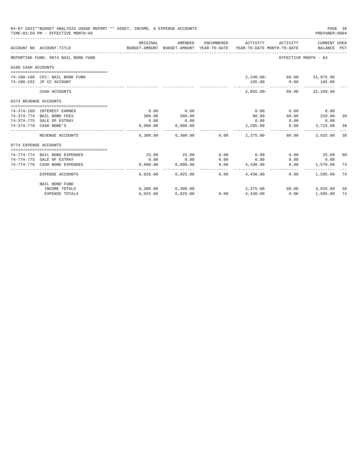|                       | 04-07-2021**BUDGET ANALYSIS USAGE REPORT ** ASSET, INCOME, & EXPENSE ACCOUNTS<br>TIME: 03:59 PM - EFFECTIVE MONTH: 04 |          |                                                                                |            |                 |                            | PAGE 36<br>PREPARER: 0004   |    |
|-----------------------|-----------------------------------------------------------------------------------------------------------------------|----------|--------------------------------------------------------------------------------|------------|-----------------|----------------------------|-----------------------------|----|
|                       | ACCOUNT NO ACCOUNT-TITLE                                                                                              | ORIGINAL | AMENDED<br>BUDGET-AMOUNT BUDGET-AMOUNT YEAR-TO-DATE YEAR-TO-DATE MONTH-TO-DATE | ENCUMBERED | ACTIVITY        | ACTIVITY                   | CURRENT USED<br>BALANCE PCT |    |
|                       | REPORTING FUND: 0074 BAIL BOND FUND                                                                                   |          |                                                                                |            |                 |                            | EFFECTIVE MONTH - 04        |    |
| 0100 CASH ACCOUNTS    |                                                                                                                       |          |                                                                                |            |                 |                            |                             |    |
|                       |                                                                                                                       |          |                                                                                |            |                 |                            |                             |    |
|                       | 74-100-100 CFC: BAIL BOND FUND                                                                                        |          |                                                                                |            |                 | 2,240.00 - 60.00 31,975.98 |                             |    |
|                       | 74-100-232 JP CC ACCOUNT                                                                                              |          |                                                                                |            | 185.00          | 0.00                       | 185.00<br>-------------     |    |
|                       | CASH ACCOUNTS                                                                                                         |          |                                                                                |            | $2.055.00 -$    |                            | 60.00 32,160.98             |    |
| 0374 REVENUE ACCOUNTS |                                                                                                                       |          |                                                                                |            |                 |                            |                             |    |
|                       |                                                                                                                       |          |                                                                                |            |                 |                            |                             |    |
|                       | 74-374-180 INTEREST EARNED                                                                                            | 0.00     | 0.00                                                                           |            | 0.00            | 0.00                       | 0.00                        |    |
|                       | 74-374-774 BAIL BOND FEES                                                                                             | 300.00   | 300.00                                                                         |            | 90.00           | 60.00                      | 210.00                      | 30 |
|                       | 74-374-775 SALE OF ESTRAY                                                                                             | 0.00     | 0.00                                                                           |            | 0.00            | 0.00                       | 0.00                        |    |
|                       | 74-374-776 CASH BOND'S                                                                                                | 6,000.00 | 6,000.00                                                                       |            | 2,285.00        | 0.00                       | 3,715.00                    | 38 |
|                       | REVENUE ACCOUNTS                                                                                                      |          | 6,300.00 6,300.00 0.00                                                         |            | 2,375,00        | 60.00                      | 3,925.00                    | 38 |
| 0774 EXPENSE ACCOUNTS |                                                                                                                       |          |                                                                                |            |                 |                            |                             |    |
|                       | ----------------------------------                                                                                    |          |                                                                                |            |                 |                            |                             |    |
|                       | 74-774-774 BAIL BOND EXPENSES                                                                                         | 25.00    | 25.00                                                                          | 0.00       | 0.00            | 0.00                       | 25.00 00                    |    |
|                       | 74-774-775 SALE OF ESTRAY                                                                                             | 0.00     | 0.00                                                                           | 0.00       | 0.00            | 0.00                       | 0.00                        |    |
|                       | 74-774-776 CASH BOND EXPENSES                                                                                         | 6.000.00 | 6.000.00                                                                       | 0.00       | 4,430.00        | 0.00                       | 1,570.00                    | 74 |
|                       | EXPENSE ACCOUNTS                                                                                                      | 6.025.00 | 6,025.00                                                                       | 0.00       | 4,430.00        | 0.00                       | 1,595.00                    | 74 |
|                       | BAIL BOND FUND                                                                                                        |          |                                                                                |            |                 |                            |                             |    |
|                       | INCOME TOTALS                                                                                                         |          | 6,300.00 6,300.00                                                              |            | 2,375.00        | 60.00                      | 3,925.00                    | 38 |
|                       | <b>EXPENSE TOTALS</b>                                                                                                 | 6,025.00 | 6,025.00                                                                       |            | $0.00$ 4,430.00 | 0.00                       | 1,595.00                    | 74 |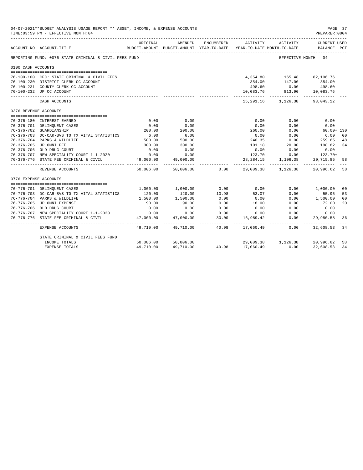|                       | 04-07-2021**BUDGET ANALYSIS USAGE REPORT ** ASSET, INCOME, & EXPENSE ACCOUNTS<br>TIME: 03:59 PM - EFFECTIVE MONTH: 04 |                         |                                                     |                    |                            |                                                                                     | PAGE 37<br>PREPARER: 0004   |                      |
|-----------------------|-----------------------------------------------------------------------------------------------------------------------|-------------------------|-----------------------------------------------------|--------------------|----------------------------|-------------------------------------------------------------------------------------|-----------------------------|----------------------|
|                       | ACCOUNT NO ACCOUNT-TITLE                                                                                              | ORIGINAL                | AMENDED<br>BUDGET-AMOUNT BUDGET-AMOUNT YEAR-TO-DATE | ENCUMBERED         | ACTIVITY                   | ACTIVITY<br>YEAR-TO-DATE MONTH-TO-DATE                                              | CURRENT USED<br>BALANCE PCT |                      |
|                       | REPORTING FUND: 0076 STATE CRIMINAL & CIVIL FEES FUND                                                                 |                         |                                                     |                    |                            | EFFECTIVE MONTH - 04                                                                |                             |                      |
| 0100 CASH ACCOUNTS    |                                                                                                                       |                         |                                                     |                    |                            |                                                                                     |                             |                      |
|                       | 76-100-100 CFC: STATE CRIMINAL & CIVIL FEES                                                                           |                         |                                                     |                    |                            | 4,354.80    165.48    82,106.76                                                     |                             |                      |
|                       | 76-100-230 DISTRICT CLERK CC ACCOUNT                                                                                  |                         |                                                     |                    | 354.00                     | 147.00                                                                              | 354.00                      |                      |
|                       | 76-100-231 COUNTY CLERK CC ACCOUNT                                                                                    |                         |                                                     |                    | 498.60                     |                                                                                     |                             |                      |
|                       | 76-100-232 JP CC ACCOUNT                                                                                              |                         |                                                     |                    | 10,083.76                  | $0.00$ 498.60<br>813.90 10,083.76                                                   |                             |                      |
|                       | CASH ACCOUNTS                                                                                                         |                         |                                                     |                    |                            | 15,291.16 1,126.38                                                                  | 93,043.12                   |                      |
| 0376 REVENUE ACCOUNTS |                                                                                                                       |                         |                                                     |                    |                            |                                                                                     |                             |                      |
|                       |                                                                                                                       |                         |                                                     |                    |                            |                                                                                     |                             |                      |
|                       | 76-376-180 INTEREST EARNED                                                                                            | 0.00                    | 0.00                                                |                    | 0.00                       | 0.00                                                                                | 0.00                        |                      |
|                       | 76-376-701 DELINQUENT CASES                                                                                           | 0.00<br>200.00          | 0.00                                                |                    | 0.00                       | 0.00                                                                                | 0.00                        |                      |
|                       | 76-376-702 GUARDIANSHIP                                                                                               |                         | 200.00                                              |                    | 260.00                     | 0.00                                                                                | $60.00 + 130$               |                      |
|                       | 76-376-703 DC-CAR-BVS TO TX VITAL STATISTICS                                                                          | $6.00$<br>500.00        | $6.00$<br>500.00                                    |                    | 0.00                       | 0.00<br>$\begin{array}{c} \circ \cdot \circ \\ \circ \cdot \circ \circ \end{array}$ | 6.00<br>259.65              | 00                   |
|                       | 76-376-704 PARKS & WILDLIFE                                                                                           |                         |                                                     |                    | 240.35                     |                                                                                     |                             | 48                   |
|                       | 76-376-705 JP OMNI FEE                                                                                                | 300.00<br>0.00          | 300.00                                              |                    | 101.18                     | 20.00                                                                               | 198.82                      | 34                   |
|                       | 76-376-706 OLD DRUG COURT<br>76-376-707 NEW SPECIALITY COURT 1-1-2020                                                 | 0.00                    | 0.00<br>0.00                                        |                    | 0.00<br>123.70             | 0.00                                                                                | 0.00<br>$0.00$ 123.70+      |                      |
|                       | 76-376-776 STATE FEE CRIMINAL & CIVIL                                                                                 |                         |                                                     |                    |                            |                                                                                     |                             | 58                   |
|                       |                                                                                                                       | 49,000.00               | 49,000.00                                           |                    |                            | 28, 284. 15 1, 106. 38                                                              | 20,715.85                   |                      |
|                       | REVENUE ACCOUNTS                                                                                                      | 50,006.00               | 50,006.00                                           | 0.00               |                            | 29,009.38 1,126.38 20,996.62                                                        |                             | 58                   |
| 0776 EXPENSE ACCOUNTS |                                                                                                                       |                         |                                                     |                    |                            |                                                                                     |                             |                      |
|                       |                                                                                                                       |                         |                                                     |                    |                            |                                                                                     |                             |                      |
|                       | 76-776-701 DELINQUENT CASES                                                                                           | 1,000.00                | 1,000.00                                            | 0.00               | 0.00                       | 0.00                                                                                | 1,000.00                    | 0 <sup>0</sup>       |
|                       | 76-776-703 DC-CAR-BVS TO TX VITAL STATISTICS                                                                          | 120.00                  | 120.00                                              | 10.98              | 53.07                      | 0.00                                                                                | 55.95                       | 53                   |
|                       | 76-776-704 PARKS & WILDLIFE<br>76-776-705 JP OMNI EXPENSE                                                             | 1,500.00<br>90.00       | 1,500.00<br>90.00                                   | 0.00<br>0.00       | 0.00                       | 0.00                                                                                | 1,500.00                    | 0 <sup>0</sup><br>20 |
|                       |                                                                                                                       |                         |                                                     |                    | 18.00                      | 0.00                                                                                | 72.00                       |                      |
|                       | 76-776-706 OLD DRUG COURT<br>76-776-707 NEW SPECIALITY COURT 1-1-2020                                                 | 0.00                    | 0.00                                                | 0.00<br>0.00       | 0.00                       | 0.00                                                                                | 0.00                        |                      |
|                       |                                                                                                                       | 0.00                    | 0.00<br>47,000.00                                   |                    | 0.00                       | 0.00<br>0.00                                                                        | 0.00                        |                      |
|                       | 76-776-776 STATE FEE CRIMINAL & CIVIL                                                                                 | 47,000.00<br>__________ | .                                                   | 30.00<br>------- - | 16,989.42<br>----------- - | ------------                                                                        | 29,980.58<br>------------   | 36                   |
|                       | EXPENSE ACCOUNTS                                                                                                      | 49,710.00               | 49,710.00                                           | 40.98              | 17,060.49                  | 0.00                                                                                | 32,608.53                   | 34                   |
|                       | STATE CRIMINAL & CIVIL FEES FUND                                                                                      |                         |                                                     |                    |                            |                                                                                     |                             |                      |
|                       | INCOME TOTALS                                                                                                         |                         | 50,006.00 50,006.00                                 |                    |                            | 29,009.38 1,126.38 20,996.62                                                        |                             | 58                   |
|                       | <b>EXPENSE TOTALS</b>                                                                                                 | 49,710.00               | 49,710.00                                           |                    | 40.98 17,060.49            | 0.00                                                                                | 32,608.53                   | 34                   |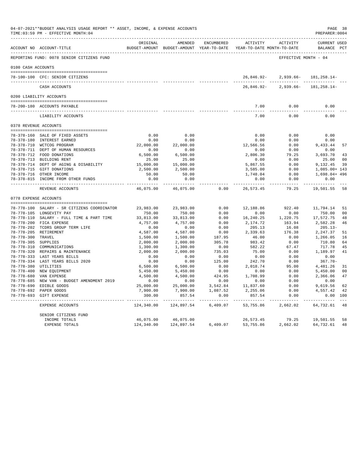|                     | 04-07-2021**BUDGET ANALYSIS USAGE REPORT ** ASSET, INCOME, & EXPENSE ACCOUNTS<br>TIME: 03:59 PM - EFFECTIVE MONTH: 04 |                      |                                                                                |                  |                       |                               | PREPARER: 0004                     | PAGE 38        |
|---------------------|-----------------------------------------------------------------------------------------------------------------------|----------------------|--------------------------------------------------------------------------------|------------------|-----------------------|-------------------------------|------------------------------------|----------------|
|                     | ACCOUNT NO ACCOUNT-TITLE                                                                                              | ORIGINAL             | AMENDED<br>BUDGET-AMOUNT BUDGET-AMOUNT YEAR-TO-DATE YEAR-TO-DATE MONTH-TO-DATE | ENCUMBERED       |                       | ACTIVITY ACTIVITY             | <b>CURRENT USED</b><br>BALANCE PCT |                |
|                     | REPORTING FUND: 0078 SENIOR CITIZENS FUND                                                                             |                      |                                                                                |                  |                       | EFFECTIVE MONTH - 04          |                                    |                |
| 0100 CASH ACCOUNTS  |                                                                                                                       |                      |                                                                                |                  |                       |                               |                                    |                |
|                     | 78-100-100 CFC: SENIOR CITIZENS                                                                                       |                      |                                                                                |                  | 26,846.92-            |                               | $2,939.66 - 181,258.14 -$          |                |
|                     | CASH ACCOUNTS                                                                                                         |                      |                                                                                |                  | 26,846.92-            | $2.939.66 -$                  | 181, 258. 14-                      |                |
|                     | 0200 LIABILITY ACCOUNTS                                                                                               |                      |                                                                                |                  |                       |                               |                                    |                |
|                     | --------------------------------------                                                                                |                      |                                                                                |                  |                       |                               |                                    |                |
|                     | 78-200-180 ACCOUNTS PAYABLE<br>______________________________________                                                 |                      |                                                                                |                  | 7.00<br>-----------   | 0.00<br>-----------           | 0.00<br>المواسوس                   |                |
|                     | LIABILITY ACCOUNTS                                                                                                    |                      |                                                                                |                  | 7.00                  | 0.00                          | 0.00                               |                |
|                     | 0378 REVENUE ACCOUNTS                                                                                                 |                      |                                                                                |                  |                       |                               |                                    |                |
|                     | 78-378-160 SALE OF FIXED ASSETS                                                                                       | 0.00                 | 0.00                                                                           |                  | 0.00                  | 0.00                          | 0.00                               |                |
|                     | 78-378-180 INTEREST EARNED                                                                                            | 0.00                 | 0.00                                                                           |                  | 0.00                  | 0.00                          | 0.00                               |                |
|                     | 78-378-710 WCTCOG PROGRAM                                                                                             | 22,000.00            | 22,000.00                                                                      |                  | 12,566.56             | 0.00                          | 9,433.44                           | 57             |
|                     | 78-378-711 DEPT OF HUMAN RESOURCES                                                                                    | 0.00                 | 0.00                                                                           |                  | 0.00                  | 0.00                          | 0.00                               |                |
|                     | 78-378-712 FOOD DONATIONS                                                                                             | 6,500.00             | 6,500.00                                                                       |                  | 2,806.30              | 79.25                         | 3,693.70                           | 43             |
|                     | 78-378-713 BUILDING RENT                                                                                              | 25.00                | 25.00                                                                          |                  | 0.00                  | 0.00                          | 25.00                              | 00             |
|                     | 78-378-714 DEPT OF AGING & DISABILITY                                                                                 | 15,000.00            | 15,000.00                                                                      |                  | 5,867.55              | 0.00                          | 9,132.45                           | 39             |
|                     | 78-378-715 GIFT DONATIONS                                                                                             | 2,500.00             | 2,500.00                                                                       |                  | 3,585.00              | 0.00                          | 1,085.00+ 143                      |                |
|                     | 78-378-716 OTHER INCOME                                                                                               | 50.00                | 50.00                                                                          |                  | 1,748.04              | 0.00                          | 1,698.04+ 496                      |                |
|                     | 78-378-815 INCOME FROM OTHER FUNDS                                                                                    | 0.00<br>----------   | 0.00<br>----------                                                             |                  | 0.00<br>-----------   | 0.00<br>-----------           | 0.00<br>-----------                |                |
|                     | REVENUE ACCOUNTS                                                                                                      | 46,075.00            | 46,075.00                                                                      | 0.00             | 26,573.45             | 79.25                         | 19,501.55                          | 58             |
|                     | 0778 EXPENSE ACCOUNTS                                                                                                 |                      |                                                                                |                  |                       |                               |                                    |                |
|                     | 78-778-100 SALARY - SR CITIZENS COORDINATOR                                                                           | 23,983.00            | 23,983.00                                                                      | 0.00             | 12,188.86             | 922.40                        | 11,794.14                          | 51             |
|                     | 78-778-105 LONGEVITY PAY                                                                                              | 750.00               | 750.00                                                                         | 0.00             | 0.00                  | 0.00                          | 750.00                             | 0 <sub>0</sub> |
|                     | 78-778-110 SALARY - FULL TIME & PART TIME                                                                             | 33,813.00            | 33,813.00                                                                      | 0.00             | 16,240.25             | 1,220.75                      | 17,572.75                          | 48             |
|                     | 78-778-200 FICA EXPENSE                                                                                               | 4,757.00             | 4,757.00                                                                       | 0.00             | 2,174.72              | 163.94                        | 2,582.28                           | 46             |
|                     | 78-778-202 TCDRS GROUP TERM LIFE                                                                                      | 0.00                 | 0.00                                                                           | 0.00             | 205.13                | 16.08                         | $205.13-$                          |                |
|                     | 78-778-205 RETIREMENT                                                                                                 | 4,587.00             | 4,587.00                                                                       | 0.00             | 2,339.63              | 176.38                        | 2,247.37                           | 51             |
| 78-778-300 TRAVEL   |                                                                                                                       | 1,500.00             | 1,500.00                                                                       | 187.95           | 46.00                 | 0.00                          | 1,266.05                           | 16             |
| 78-778-305 SUPPLIES |                                                                                                                       | 2,000.00             | 2,000.00                                                                       | 305.78           | 983.42                | 0.00                          | 710.80                             | 64             |
|                     | 78-778-310 COMMUNICATIONS                                                                                             | 1,300.00             | 1,300.00                                                                       | 0.00             | 582.22                | 67.47                         | 717.78                             | 45             |
|                     | 78-778-320 REPAIRS & MAINTENANCE                                                                                      | 2,000.00             | 2,000.00                                                                       | 735.03           | 75.00                 | 0.00                          | 1,189.97                           | 41             |
|                     | 78-778-333 LAST YEARS BILLS                                                                                           | 0.00                 | 0.00                                                                           | 0.00             | 0.00                  | 0.00                          | 0.00                               |                |
|                     | 78-778-334 LAST YEARS BILLS 2020                                                                                      | 0.00                 | 0.00                                                                           | 125.00           | 242.70                | 0.00                          | $367.70 -$                         |                |
|                     | 78-778-380 UTILITIES                                                                                                  | 6,500.00             | 6,500.00                                                                       | 0.00             | 2,018.74              | 95.00                         | 4,481.26                           | 31             |
|                     | 78-778-400 NEW EQUIPMENT                                                                                              | 5,450.00             | 5,450.00                                                                       | 0.00             | 0.00                  | 0.00                          | 5,450.00                           | 0 <sup>0</sup> |
|                     | 78-778-680 VAN EXPENSE                                                                                                | 4,500.00             | 4,500.00                                                                       | 424.95           | 1,708.99              | 0.00                          | 2,366.06                           | 47             |
|                     | 78-778-685 NEW VAN - BUDGET AMENDMENT 2019                                                                            | 0.00                 | 0.00                                                                           | 0.00             | 0.00                  | 0.00                          | 0.00                               |                |
|                     | 78-778-690 EDIBLE GOODS                                                                                               | 25,000.00            | 25,000.00                                                                      | 3,542.84         | 11,837.60             | 0.00                          | 9,619.56                           | 62             |
|                     | 78-778-692 PAPER GOODS                                                                                                | 7,900.00             | 7,900.00                                                                       | 1,087.52         | 2,255.06              | 0.00                          | 4,557.42                           | 42             |
|                     | 78-778-693 GIFT EXPENSE                                                                                               | 300.00<br>---------- | 857.54<br>------------                                                         | 0.00<br>-------- | 857.54<br>----------- | 0.00<br>. _ _ _ _ _ _ _ _ _ _ | 0.00 100                           |                |
|                     | EXPENSE ACCOUNTS                                                                                                      | 124,340.00           | 124,897.54                                                                     | 6,409.07         | 53,755.86             | 2,662.02                      | 64,732.61                          | 48             |
|                     | SENIOR CITIZENS FUND                                                                                                  |                      |                                                                                |                  |                       |                               |                                    |                |
|                     | INCOME TOTALS                                                                                                         | 46,075.00            | 46,075.00                                                                      |                  | 26,573.45             | 79.25                         | 19,501.55                          | 58             |
|                     | EXPENSE TOTALS                                                                                                        | 124,340.00           | 124,897.54                                                                     | 6,409.07         | 53,755.86             | 2,662.02                      | 64,732.61                          | 48             |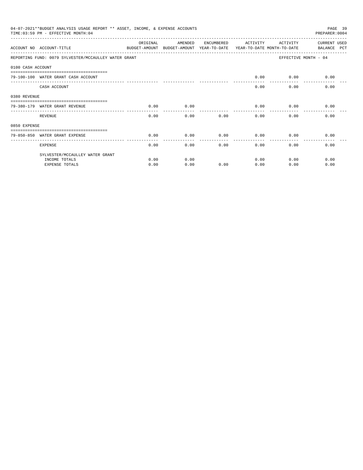|                   | 04-07-2021**BUDGET ANALYSIS USAGE REPORT ** ASSET, INCOME, & EXPENSE ACCOUNTS<br>TIME: 03:59 PM - EFFECTIVE MONTH: 04 |          |                                                     |            |                                        |          | PAGE 39<br>PREPARER: 0004          |
|-------------------|-----------------------------------------------------------------------------------------------------------------------|----------|-----------------------------------------------------|------------|----------------------------------------|----------|------------------------------------|
|                   | ACCOUNT NO ACCOUNT-TITLE                                                                                              | ORIGINAL | AMENDED<br>BUDGET-AMOUNT BUDGET-AMOUNT YEAR-TO-DATE | ENCUMBERED | ACTIVITY<br>YEAR-TO-DATE MONTH-TO-DATE | ACTIVITY | <b>CURRENT USED</b><br>BALANCE PCT |
|                   | REPORTING FUND: 0079 SYLVESTER/MCCAULLEY WATER GRANT                                                                  |          |                                                     |            |                                        |          | EFFECTIVE MONTH - 04               |
| 0100 CASH ACCOUNT |                                                                                                                       |          |                                                     |            |                                        |          |                                    |
|                   | 79-100-100 WATER GRANT CASH ACCOUNT                                                                                   |          |                                                     |            | 0.00                                   | 0.00     | 0.00                               |
|                   | CASH ACCOUNT                                                                                                          |          |                                                     |            | 0.00                                   | 0.00     | 0.00                               |
| 0380 REVENUE      |                                                                                                                       |          |                                                     |            |                                        |          |                                    |
|                   | 79-380-179 WATER GRANT REVENUE                                                                                        | 0.00     | 0.00                                                |            | 0.00                                   | 0.00     | 0.00                               |
|                   | REVENUE                                                                                                               | 0.00     | 0.00                                                | 0.00       | 0.00                                   | 0.00     | 0.00                               |
| 0850 EXPENSE      |                                                                                                                       |          |                                                     |            |                                        |          |                                    |
|                   | 79-850-850 WATER GRANT EXPENSE                                                                                        | 0.00     | 0.00                                                | 0.00       | 0.00                                   | 0.00     | 0.00                               |
|                   | <b>EXPENSE</b>                                                                                                        | 0.00     | 0.00                                                | 0.00       | 0.00                                   | 0.00     | 0.00                               |
|                   | SYLVESTER/MCCAULLEY WATER GRANT                                                                                       |          |                                                     |            |                                        |          |                                    |
|                   | INCOME TOTALS                                                                                                         | 0.00     | 0.00                                                |            | 0.00                                   | 0.00     | 0.00                               |
|                   | <b>EXPENSE TOTALS</b>                                                                                                 | 0.00     | 0.00                                                | 0.00       | 0.00                                   | 0.00     | 0.00                               |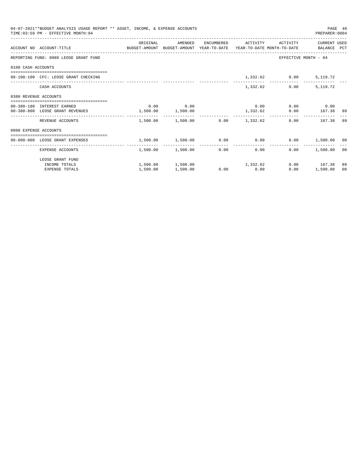|                       | 04-07-2021**BUDGET ANALYSIS USAGE REPORT ** ASSET, INCOME, & EXPENSE ACCOUNTS<br>TIME: 03:59 PM - EFFECTIVE MONTH: 04 |                                                                   |                                         |                  |                              | PREPARER: 0004       | PAGE 40 |
|-----------------------|-----------------------------------------------------------------------------------------------------------------------|-------------------------------------------------------------------|-----------------------------------------|------------------|------------------------------|----------------------|---------|
|                       | ACCOUNT NO ACCOUNT-TITLE COMPUTE BUDGET-AMOUNT BUDGET-AMOUNT YEAR-TO-DATE YEAR-TO-DATE MONTH-TO-DATE BALANCE PCT      | ORIGINAL                                                          | AMENDED                                 |                  | ENCUMBERED ACTIVITY ACTIVITY | CURRENT USED         |         |
|                       | REPORTING FUND: 0080 LEOSE GRANT FUND                                                                                 |                                                                   |                                         |                  |                              | EFFECTIVE MONTH - 04 |         |
| 0100 CASH ACCOUNTS    |                                                                                                                       |                                                                   |                                         |                  |                              |                      |         |
|                       | 80-100-100 CFC: LEOSE GRANT CHECKING                                                                                  |                                                                   |                                         |                  | 1,332.62 0.00 5,119.72       |                      |         |
|                       | CASH ACCOUNTS                                                                                                         |                                                                   |                                         | 1,332.62         | 0.00                         | 5,119.72             |         |
| 0380 REVENUE ACCOUNTS |                                                                                                                       |                                                                   |                                         |                  |                              |                      |         |
|                       | 80-380-180 INTEREST EARNED                                                                                            |                                                                   | $0.00$ 0.00                             |                  | $0.00$ 0.00 0.00             |                      |         |
|                       | 80-380-800 LEOSE GRANT REVENUES                                                                                       | $1,500.00$ $1,500.00$                                             |                                         |                  | $1,332.62$ 0.00 167.38 89    |                      |         |
|                       | REVENUE ACCOUNTS                                                                                                      |                                                                   | $1.500.00$ $1.500.00$ $0.00$ $1.332.62$ |                  |                              | 0.00 167.38 89       |         |
| 0800 EXPENSE ACCOUNTS |                                                                                                                       |                                                                   |                                         |                  |                              |                      |         |
|                       | -------------------------------------<br>80-800-800 LEOSE GRANT EXPENSES                                              | $1,500.00$ $1,500.00$ $0.00$ $0.00$ $0.00$ $0.00$ $1,500.00$ $00$ |                                         |                  |                              |                      |         |
|                       |                                                                                                                       |                                                                   |                                         | ---------------- |                              |                      |         |
|                       | EXPENSE ACCOUNTS                                                                                                      |                                                                   | $1.500.00$ $1.500.00$ 0.00              |                  | 0.00                         | $0.00$ 1,500.00 00   |         |
|                       | LEOSE GRANT FUND                                                                                                      |                                                                   |                                         |                  |                              |                      |         |
|                       | INCOME TOTALS                                                                                                         |                                                                   | $1,500.00$ $1,500.00$ $1,332.62$        |                  |                              | $0.00$ 167.38        | 89      |
|                       | <b>EXPENSE TOTALS</b>                                                                                                 | 1,500.00                                                          | 1,500.00                                | $0.00$ 0.00      | 0.00                         | 1,500.00             | 00      |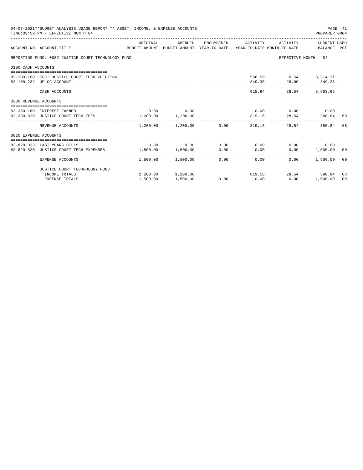|                       | 04-07-2021**BUDGET ANALYSIS USAGE REPORT ** ASSET, INCOME, & EXPENSE ACCOUNTS<br>TIME: 03:59 PM - EFFECTIVE MONTH: 04  |                       |                                              |      |                |                                                      | PAGE 41<br>PREPARER: 0004         |                |
|-----------------------|------------------------------------------------------------------------------------------------------------------------|-----------------------|----------------------------------------------|------|----------------|------------------------------------------------------|-----------------------------------|----------------|
|                       | ACCOUNT NO ACCOUNT-TITLE COMMONICATION BUDGET-AMOUNT BUDGET-AMOUNT YEAR-TO-DATE YEAR-TO-DATE MONTH-TO-DATE BALANCE PCT | ORIGINAL              |                                              |      |                | AMENDED ENCUMBERED ACTIVITY ACTIVITY CURRENT_USED    |                                   |                |
|                       | REPORTING FUND: 0082 JUSTICE COURT TECHNOLOGY FUND                                                                     |                       |                                              |      |                |                                                      | EFFECTIVE MONTH - 04              |                |
| 0100 CASH ACCOUNTS    |                                                                                                                        |                       |                                              |      |                |                                                      |                                   |                |
|                       | 82-100-100 CFC: JUSTICE COURT TECH CHECKING<br>82-100-232 JP CC ACCOUNT                                                |                       |                                              |      |                | 566.59 0.54 8,314.31<br>349.35 28.00 349.35          |                                   |                |
|                       | CASH ACCOUNTS                                                                                                          |                       |                                              |      | -------------- | 915.94                                               | 28.54 8,663.66                    |                |
| 0380 REVENUE ACCOUNTS |                                                                                                                        |                       |                                              |      |                |                                                      |                                   |                |
|                       | 82-380-180 INTEREST EARNED                                                                                             |                       | $0.00$ 0.00                                  |      |                | $0.00$ $0.00$ $0.00$ $0.00$                          |                                   |                |
|                       | 82-380-820 JUSTICE COURT TECH FEES                                                                                     | $1,200.00$ $1,200.00$ |                                              |      |                | 819.16 28.54 380.84 68                               |                                   |                |
|                       | REVENUE ACCOUNTS                                                                                                       |                       | --------------<br>$1.200.00$ $1.200.00$ 0.00 |      |                | _________________________________<br>819.16<br>28.54 | 380.84                            | 68             |
| 0820 EXPENSE ACCOUNTS |                                                                                                                        |                       |                                              |      |                |                                                      |                                   |                |
|                       | =====================================                                                                                  |                       | $0.00$ $0.00$ $0.00$ $0.00$ $0.00$ $0.00$    |      |                |                                                      |                                   |                |
|                       | 82-820-333 LAST YEARS BILLS<br>82-820-820 JUSTICE COURT TECH EXPENSES                                                  | 1,500.00 1,500.00     |                                              | 0.00 | 0.00           |                                                      | $0.00$ 0.00<br>$0.00$ 1,500.00 00 |                |
|                       |                                                                                                                        |                       |                                              |      |                |                                                      |                                   |                |
|                       | EXPENSE ACCOUNTS                                                                                                       |                       | $1.500.00$ $1.500.00$ $0.00$ $0.00$          |      |                | 0.00                                                 | 1,500.00 00                       |                |
|                       | JUSTICE COURT TECHNOLOGY FUND                                                                                          |                       |                                              |      |                |                                                      |                                   |                |
|                       | INCOME TOTALS                                                                                                          |                       | $1,200.00$ $1,200.00$                        |      |                | 819.16 28.54 380.84                                  |                                   | 68             |
|                       | <b>EXPENSE TOTALS</b>                                                                                                  | 1,500.00              | 1,500.00                                     | 0.00 | 0.00           | 0.00                                                 | 1,500.00                          | 0 <sup>0</sup> |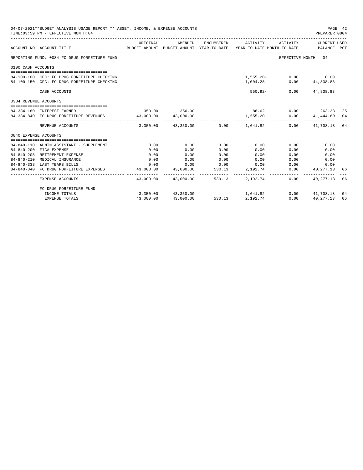|                       | 04-07-2021**BUDGET ANALYSIS USAGE REPORT ** ASSET, INCOME, & EXPENSE ACCOUNTS<br>TIME: 03:59 PM - EFFECTIVE MONTH: 04 |           |                                           |        |          |                                                                                                                              | PAGE 42<br>PREPARER: 0004          |    |
|-----------------------|-----------------------------------------------------------------------------------------------------------------------|-----------|-------------------------------------------|--------|----------|------------------------------------------------------------------------------------------------------------------------------|------------------------------------|----|
|                       | ACCOUNT NO ACCOUNT-TITLE                                                                                              | ORIGINAL  | AMENDED                                   |        |          | ENCUMBERED ACTIVITY ACTIVITY CURRENT USED<br>BUDGET-AMOUNT BUDGET-AMOUNT YEAR-TO-DATE YEAR-TO-DATE MONTH-TO-DATE BALANCE PCT |                                    |    |
|                       | REPORTING FUND: 0084 FC DRUG FORFEITURE FUND                                                                          |           |                                           |        |          | EFFECTIVE MONTH - 04                                                                                                         |                                    |    |
| 0100 CASH ACCOUNTS    |                                                                                                                       |           |                                           |        |          |                                                                                                                              |                                    |    |
|                       |                                                                                                                       |           |                                           |        |          |                                                                                                                              |                                    |    |
|                       | 84-100-100 CFC: FC DRUG FORFEITURE CHECKING                                                                           |           |                                           |        |          | $1,555.20 - 0.00$ 0.00                                                                                                       |                                    |    |
|                       | 84-100-150 CFC: FC DRUG FORFEITURE CHECKING                                                                           |           |                                           |        |          | 1,004.28 0.00 44,838.83<br>------------ -------------                                                                        |                                    |    |
|                       | CASH ACCOUNTS                                                                                                         |           |                                           |        |          | 550.92- 0.00 44,838.83                                                                                                       |                                    |    |
| 0384 REVENUE ACCOUNTS |                                                                                                                       |           |                                           |        |          |                                                                                                                              |                                    |    |
|                       | 84-384-180 INTEREST EARNED                                                                                            |           | 350.00 350.00                             |        | 86.62    |                                                                                                                              | $0.00$ 263.38                      | 25 |
|                       | 84-384-840 FC DRUG FORFEITURE REVENUES 43,000.00 43,000.00                                                            |           |                                           |        | 1,555.20 |                                                                                                                              | $0.00$ $41,444.80$ 04              |    |
|                       |                                                                                                                       |           |                                           |        |          |                                                                                                                              |                                    |    |
|                       | REVENUE ACCOUNTS                                                                                                      |           | $43.350.00$ $43.350.00$ $0.00$ $1.641.82$ |        |          |                                                                                                                              | $0.00$ $41,708.18$ 04              |    |
| 0840 EXPENSE ACCOUNTS |                                                                                                                       |           |                                           |        |          |                                                                                                                              |                                    |    |
|                       |                                                                                                                       |           |                                           |        |          |                                                                                                                              |                                    |    |
|                       | 84-840-110 ADMIN ASSISTANT - SUPPLEMENT                                                                               | 0.00      | 0.00                                      | 0.00   | 0.00     | 0.00                                                                                                                         | 0.00                               |    |
|                       | 84-840-200 FICA EXPENSE                                                                                               | 0.00      | 0.00                                      | 0.00   | 0.00     | 0.00                                                                                                                         | 0.00                               |    |
|                       | 84-840-205 RETIREMENT EXPENSE                                                                                         | 0.00      | 0.00                                      | 0.00   | 0.00     | 0.00                                                                                                                         | 0.00                               |    |
| $84 - 840 - 210$      | MEDICAL INSURANCE                                                                                                     | 0.00      | 0.00                                      | 0.00   | 0.00     |                                                                                                                              | 0.00<br>0.00                       |    |
|                       | 84-840-333 LAST YEARS BILLS                                                                                           |           | $0.00$ $0.00$ $0.00$ $0.00$ $0.00$        |        |          | 0.00                                                                                                                         | 0.00                               |    |
|                       | 84-840-840 FC DRUG FORFEITURE EXPENSES                                                                                |           | 43,000.00 43,000.00                       | 530.13 | 2,192.74 | ---------------                                                                                                              | $0.00$ $40,277.13$<br>____________ | 06 |
|                       | EXPENSE ACCOUNTS                                                                                                      |           | 43,000.00 43,000.00 530.13 2,192.74       |        |          | 0.00                                                                                                                         | 40,277.13                          | 06 |
|                       | FC DRUG FORFEITURE FUND                                                                                               |           |                                           |        |          |                                                                                                                              |                                    |    |
|                       | INCOME TOTALS                                                                                                         |           | 43,350.00 43,350.00                       | 530.13 | 1,641.82 |                                                                                                                              | $0.00$ $41.708.18$                 | 04 |
|                       | <b>EXPENSE TOTALS</b>                                                                                                 | 43,000.00 | 43,000.00                                 | 530.13 | 2,192.74 | 0.00                                                                                                                         | 40, 277, 13                        | 06 |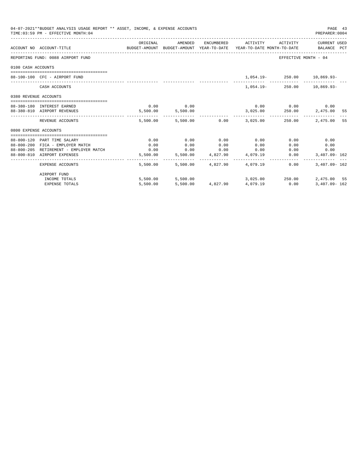|                       | 04-07-2021**BUDGET ANALYSIS USAGE REPORT ** ASSET, INCOME, & EXPENSE ACCOUNTS<br>TIME: 03:59 PM - EFFECTIVE MONTH: 04 |                                                                                             |                   |      |                                           |                             | PAGE 43<br>PREPARER: 0004 |     |
|-----------------------|-----------------------------------------------------------------------------------------------------------------------|---------------------------------------------------------------------------------------------|-------------------|------|-------------------------------------------|-----------------------------|---------------------------|-----|
|                       | ACCOUNT NO ACCOUNT-TITLE                                                                                              | ORIGINAL<br>BUDGET-AMOUNT BUDGET-AMOUNT YEAR-TO-DATE YEAR-TO-DATE MONTH-TO-DATE BALANCE PCT | AMENDED           |      | ENCUMBERED ACTIVITY ACTIVITY CURRENT USED |                             |                           |     |
|                       | REPORTING FUND: 0088 AIRPORT FUND                                                                                     |                                                                                             |                   |      |                                           | EFFECTIVE MONTH - 04        |                           |     |
| 0100 CASH ACCOUNTS    |                                                                                                                       |                                                                                             |                   |      |                                           |                             |                           |     |
|                       | 88-100-100 CFC - AIRPORT FUND                                                                                         |                                                                                             |                   |      |                                           | 1,054.19 250.00 10,869.93-  |                           |     |
|                       | CASH ACCOUNTS                                                                                                         |                                                                                             |                   |      |                                           | 1,054.19-250.00 10,869.93-  |                           |     |
| 0380 REVENUE ACCOUNTS |                                                                                                                       |                                                                                             |                   |      |                                           |                             |                           |     |
|                       | 88-380-180 INTEREST EARNED                                                                                            |                                                                                             | $0.00$ 0.00       |      |                                           | $0.00$ $0.00$ $0.00$ $0.00$ |                           |     |
|                       | 88-380-810 AIRPORT REVENUES                                                                                           |                                                                                             | 5,500.00 5,500.00 |      | 3,025.00  250.00  2,475.00  55            |                             |                           |     |
|                       | REVENUE ACCOUNTS                                                                                                      |                                                                                             |                   |      | 5,500.00 5,500.00 0.00 3,025.00 250.00    |                             | 2,475.00                  | -55 |
| 0800 EXPENSE ACCOUNTS |                                                                                                                       |                                                                                             |                   |      |                                           |                             |                           |     |
|                       | 88-800-120 PART TIME SALARY                                                                                           | 0.00                                                                                        | 0.00              | 0.00 | 0.00                                      | 0.00                        | 0.00                      |     |
|                       | 88-800-200 FICA - EMPLOYER MATCH                                                                                      | 0.00                                                                                        | 0.00              | 0.00 | 0.00                                      | 0.00                        | 0.00                      |     |
|                       | 88-800-205 RETIREMENT - EMPLOYER MATCH                                                                                | 0.00                                                                                        | $0.00$ 0.00       |      | 0.00                                      | 0.00                        | 0.00                      |     |
|                       | 88-800-810 AIRPORT EXPENSES                                                                                           |                                                                                             |                   |      | 5,500.00 5,500.00 4,827.90 4,079.19       | 0.00                        | 3,407.09- 162             |     |
|                       | EXPENSE ACCOUNTS                                                                                                      |                                                                                             |                   |      | 5,500.00 5,500.00 4,827.90 4,079.19       | 0.00                        | $3.407.09 - 162$          |     |
|                       | AIRPORT FUND                                                                                                          |                                                                                             |                   |      |                                           |                             |                           |     |
|                       | INCOME TOTALS                                                                                                         |                                                                                             | 5,500.00 5,500.00 |      |                                           | 3,025,00 250,00             | 2,475,00 55               |     |
|                       | <b>EXPENSE TOTALS</b>                                                                                                 | 5.500.00                                                                                    |                   |      | 5,500.00 4,827.90 4,079.19                | 0.00                        | $3.407.09 - 162$          |     |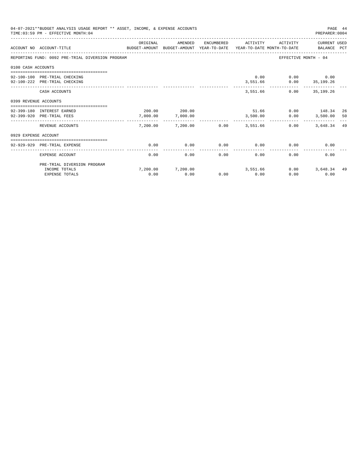|                       | 04-07-2021**BUDGET ANALYSIS USAGE REPORT ** ASSET, INCOME, & EXPENSE ACCOUNTS<br>TIME: 03:59 PM - EFFECTIVE MONTH: 04 |                                                    |                                |      |                       |                                                 | PREPARER: 0004              | PAGE 44 |
|-----------------------|-----------------------------------------------------------------------------------------------------------------------|----------------------------------------------------|--------------------------------|------|-----------------------|-------------------------------------------------|-----------------------------|---------|
|                       | ACCOUNT NO ACCOUNT-TITLE<br>BUDGET-AMOUNT BUDGET-AMOUNT YEAR-TO-DATE YEAR-TO-DATE MONTH-TO-DATE                       | ORIGINAL<br>______________________________________ | AMENDED                        |      | ENCUMBERED ACTIVITY   | ACTIVITY                                        | CURRENT USED<br>BALANCE PCT |         |
|                       | REPORTING FUND: 0092 PRE-TRIAL DIVERSION PROGRAM                                                                      |                                                    |                                |      |                       |                                                 | EFFECTIVE MONTH - 04        |         |
| 0100 CASH ACCOUNTS    |                                                                                                                       |                                                    |                                |      |                       |                                                 |                             |         |
|                       | 92-100-100 PRE-TRIAL CHECKING<br>92-100-222 PRE-TRIAL CHECKING                                                        |                                                    |                                |      |                       | $0.00$ $0.00$ $0.00$<br>3,551.66 0.00 35,199.26 |                             |         |
|                       | CASH ACCOUNTS                                                                                                         |                                                    |                                |      |                       | 3,551.66                                        | $0.00$ 35,199.26            |         |
| 0399 REVENUE ACCOUNTS |                                                                                                                       |                                                    |                                |      |                       |                                                 |                             |         |
|                       | 92-399-180 INTEREST EARNED<br>92-399-920 PRE-TRIAL FEES                                                               | 7,000.00                                           | 200.00 200.00<br>7,000.00      |      | 3.500.00              | 51.66 0.00 148.34<br>0.00                       | 3,500.00 50                 | -26     |
|                       | REVENUE ACCOUNTS                                                                                                      | --------<br>7,200.00                               | -----------<br>$7,200.00$ 0.00 |      | ---------<br>3,551.66 | 0.00                                            | .<br>3,648.34 49            |         |
| 0929 EXPENSE ACCOUNT  |                                                                                                                       |                                                    |                                |      |                       |                                                 |                             |         |
|                       | 92-929-929 PRE-TRIAL EXPENSE                                                                                          | 0.00                                               | 0.00                           | 0.00 | 0.00                  | 0.00                                            | 0.00                        |         |
|                       | EXPENSE ACCOUNT                                                                                                       | 0.00                                               | 0.00                           | 0.00 | 0.00                  | 0.00                                            | 0.00                        |         |
|                       | PRE-TRIAL DIVERSION PROGRAM                                                                                           |                                                    |                                |      |                       |                                                 |                             |         |
|                       | INCOME TOTALS<br><b>EXPENSE TOTALS</b>                                                                                | 0.00                                               | 7,200.00 7,200.00<br>0.00      | 0.00 | 3,551.66<br>0.00      | 0.00<br>0.00                                    | 3,648.34<br>0.00            | -49     |